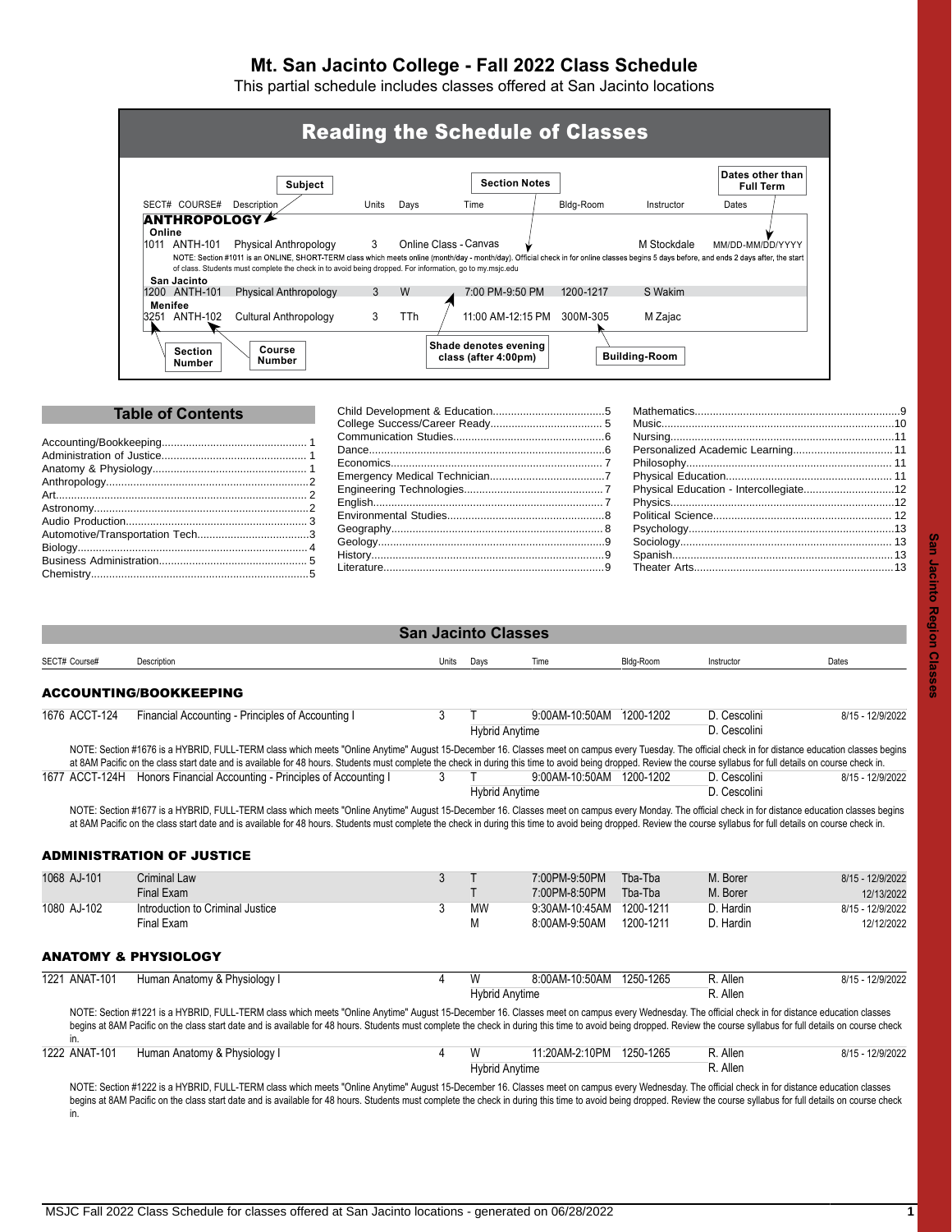# **Mt. San Jacinto College - Fall 2022 Class Schedule**

This partial schedule includes classes offered at San Jacinto locations

|             |               | <b>Subject</b>                                                                                                                                                                                                                                                                                                                  |       |      | <b>Section Notes</b> |           |            | Dates other than<br><b>Full Term</b> |  |
|-------------|---------------|---------------------------------------------------------------------------------------------------------------------------------------------------------------------------------------------------------------------------------------------------------------------------------------------------------------------------------|-------|------|----------------------|-----------|------------|--------------------------------------|--|
|             | SECT# COURSE# | Description                                                                                                                                                                                                                                                                                                                     | Units | Days | Time                 | Bldg-Room | Instructor | Dates                                |  |
|             |               |                                                                                                                                                                                                                                                                                                                                 |       |      |                      |           |            |                                      |  |
| San Jacinto | 1200 ANTH-101 | NOTE: Section #1011 is an ONLINE, SHORT-TERM class which meets online (month/day - month/day). Official check in for online classes begins 5 days before, and ends 2 days after, the start<br>of class. Students must complete the check in to avoid being dropped. For information, go to my msic.edu<br>Physical Anthropology | 3     | W    | 7:00 PM-9:50 PM      | 1200-1217 | S Wakim    |                                      |  |

| <b>Table of Contents</b> |  |                                        |  |
|--------------------------|--|----------------------------------------|--|
|                          |  |                                        |  |
|                          |  |                                        |  |
|                          |  |                                        |  |
|                          |  |                                        |  |
|                          |  |                                        |  |
| Art and                  |  | Physical Education - Intercollegiate12 |  |
|                          |  |                                        |  |
|                          |  |                                        |  |
|                          |  |                                        |  |
|                          |  |                                        |  |
|                          |  |                                        |  |
|                          |  |                                        |  |
|                          |  |                                        |  |

| ı<br>٠ |
|--------|
| r      |
|        |
|        |
| ٠<br>× |
|        |
| E<br>۰ |
|        |
|        |
| ¢      |
| æ      |
| ٠      |
|        |
|        |
|        |
| D      |
| ä      |
| ĵ      |
| ß      |
|        |
|        |

<span id="page-0-2"></span><span id="page-0-1"></span><span id="page-0-0"></span>

|               |                                                                                                                                                                                                                                                                                                                                                                                                                              |       | <b>San Jacinto Classes</b> |                            |           |                              |                  |
|---------------|------------------------------------------------------------------------------------------------------------------------------------------------------------------------------------------------------------------------------------------------------------------------------------------------------------------------------------------------------------------------------------------------------------------------------|-------|----------------------------|----------------------------|-----------|------------------------------|------------------|
| SECT# Course# | Description                                                                                                                                                                                                                                                                                                                                                                                                                  | Units | Days                       | Time                       | Bldg-Room | Instructor                   | Dates            |
|               | <b>ACCOUNTING/BOOKKEEPING</b>                                                                                                                                                                                                                                                                                                                                                                                                |       |                            |                            |           |                              |                  |
| 1676 ACCT-124 | Financial Accounting - Principles of Accounting I                                                                                                                                                                                                                                                                                                                                                                            | 3     | <b>Hybrid Anytime</b>      | 9:00AM-10:50AM 1200-1202   |           | D. Cescolini<br>D. Cescolini | 8/15 - 12/9/2022 |
|               | NOTE: Section #1676 is a HYBRID, FULL-TERM class which meets "Online Anytime" August 15-December 16. Classes meet on campus every Tuesday. The official check in for distance education classes begins<br>at 8AM Pacific on the class start date and is available for 48 hours. Students must complete the check in during this time to avoid being dropped. Review the course syllabus for full details on course check in. |       |                            |                            |           |                              |                  |
|               | 1677 ACCT-124H Honors Financial Accounting - Principles of Accounting I                                                                                                                                                                                                                                                                                                                                                      | 3     | <b>Hybrid Anytime</b>      | 9:00 AM-10:50 AM 1200-1202 |           | D. Cescolini<br>D. Cescolini | 8/15 - 12/9/2022 |
| 1068 AJ-101   | at 8AM Pacific on the class start date and is available for 48 hours. Students must complete the check in during this time to avoid being dropped. Review the course syllabus for full details on course check in.<br><b>ADMINISTRATION OF JUSTICE</b><br><b>Criminal Law</b>                                                                                                                                                | 3     | Τ                          | 7:00PM-9:50PM              | Tba-Tba   | M. Borer                     | 8/15 - 12/9/2022 |
|               | Final Exam                                                                                                                                                                                                                                                                                                                                                                                                                   |       | T                          | 7:00PM-8:50PM              | Tha-Tha   | M. Borer                     | 12/13/2022       |
| 1080 AJ-102   | Introduction to Criminal Justice                                                                                                                                                                                                                                                                                                                                                                                             | 3     | <b>MW</b>                  | 9:30AM-10:45AM             | 1200-1211 | D. Hardin                    | 8/15 - 12/9/2022 |
|               | Final Exam                                                                                                                                                                                                                                                                                                                                                                                                                   |       | М                          | 8:00AM-9:50AM              | 1200-1211 | D. Hardin                    | 12/12/2022       |
|               | <b>ANATOMY &amp; PHYSIOLOGY</b>                                                                                                                                                                                                                                                                                                                                                                                              |       |                            |                            |           |                              |                  |
| 1221 ANAT-101 | Human Anatomy & Physiology I                                                                                                                                                                                                                                                                                                                                                                                                 | 4     | W                          | 8:00AM-10:50AM             | 1250-1265 | R. Allen<br>R. Allen         | 8/15 - 12/9/2022 |
| in.           | NOTE: Section #1221 is a HYBRID, FULL-TERM class which meets "Online Anytime" August 15-December 16. Classes meet on campus every Wednesday. The official check in for distance education classes<br>begins at 8AM Pacific on the class start date and is available for 48 hours. Students must complete the check in during this time to avoid being dropped. Review the course syllabus for full details on course check   |       | <b>Hybrid Anytime</b>      |                            |           |                              |                  |
| 1222 ANAT-101 | Human Anatomy & Physiology I                                                                                                                                                                                                                                                                                                                                                                                                 | 4     | W                          | 11:20AM-2:10PM             | 1250-1265 | R. Allen                     | 8/15 - 12/9/2022 |
|               |                                                                                                                                                                                                                                                                                                                                                                                                                              |       | <b>Hybrid Anytime</b>      |                            |           | R. Allen                     |                  |
| in.           | NOTE: Section #1222 is a HYBRID, FULL-TERM class which meets "Online Anytime" August 15-December 16. Classes meet on campus every Wednesday. The official check in for distance education classes<br>begins at 8AM Pacific on the class start date and is available for 48 hours. Students must complete the check in during this time to avoid being dropped. Review the course syllabus for full details on course check   |       |                            |                            |           |                              |                  |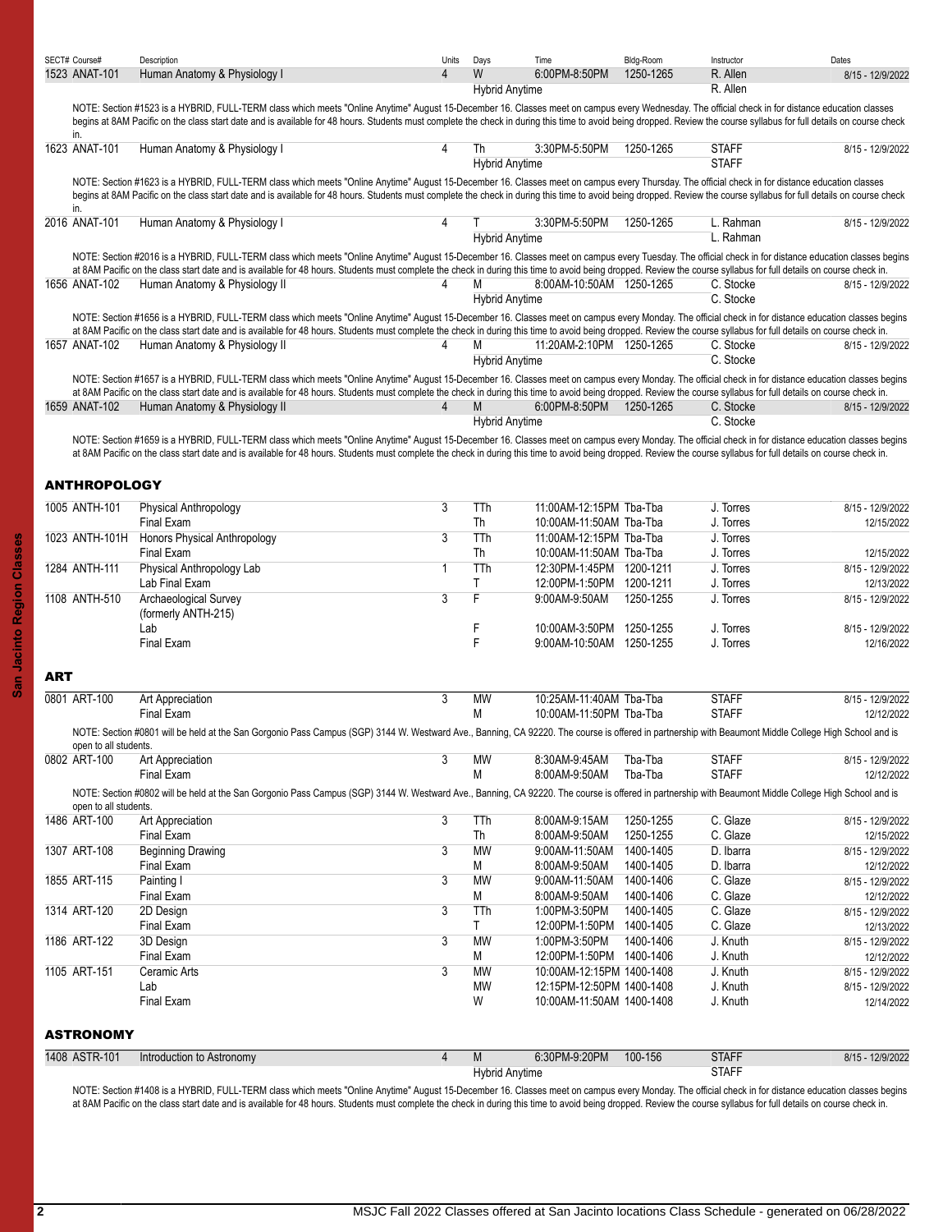<span id="page-1-0"></span>

|            | SECT# Course#         | Description                                                                                                                                                                                                                                                                                                                                                                                                                 | Units          | Days       | Time                      | Bldg-Room | Instructor   | Dates            |
|------------|-----------------------|-----------------------------------------------------------------------------------------------------------------------------------------------------------------------------------------------------------------------------------------------------------------------------------------------------------------------------------------------------------------------------------------------------------------------------|----------------|------------|---------------------------|-----------|--------------|------------------|
|            | 1523 ANAT-101         | Human Anatomy & Physiology I                                                                                                                                                                                                                                                                                                                                                                                                | 4              | W          | 6:00PM-8:50PM             | 1250-1265 | R. Allen     | 8/15 - 12/9/2022 |
|            |                       |                                                                                                                                                                                                                                                                                                                                                                                                                             |                |            | <b>Hybrid Anytime</b>     |           | R. Allen     |                  |
|            |                       | NOTE: Section #1523 is a HYBRID, FULL-TERM class which meets "Online Anytime" August 15-December 16. Classes meet on campus every Wednesday. The official check in for distance education classes                                                                                                                                                                                                                           |                |            |                           |           |              |                  |
|            | in.                   | begins at 8AM Pacific on the class start date and is available for 48 hours. Students must complete the check in during this time to avoid being dropped. Review the course syllabus for full details on course check                                                                                                                                                                                                       |                |            |                           |           |              |                  |
|            | 1623 ANAT-101         | Human Anatomy & Physiology I                                                                                                                                                                                                                                                                                                                                                                                                | 4              | Th         | 3:30PM-5:50PM             | 1250-1265 | <b>STAFF</b> | 8/15 - 12/9/2022 |
|            |                       |                                                                                                                                                                                                                                                                                                                                                                                                                             |                |            | <b>Hybrid Anytime</b>     |           | <b>STAFF</b> |                  |
|            |                       | NOTE: Section #1623 is a HYBRID, FULL-TERM class which meets "Online Anytime" August 15-December 16. Classes meet on campus every Thursday. The official check in for distance education classes                                                                                                                                                                                                                            |                |            |                           |           |              |                  |
|            | in.                   | begins at 8AM Pacific on the class start date and is available for 48 hours. Students must complete the check in during this time to avoid being dropped. Review the course syllabus for full details on course check                                                                                                                                                                                                       |                |            |                           |           |              |                  |
|            | 2016 ANAT-101         | Human Anatomy & Physiology I                                                                                                                                                                                                                                                                                                                                                                                                | 4              |            | 3:30PM-5:50PM             | 1250-1265 | L. Rahman    | 8/15 - 12/9/2022 |
|            |                       |                                                                                                                                                                                                                                                                                                                                                                                                                             |                |            | <b>Hybrid Anytime</b>     |           | L. Rahman    |                  |
|            |                       | NOTE: Section #2016 is a HYBRID, FULL-TERM class which meets "Online Anytime" August 15-December 16. Classes meet on campus every Tuesday. The official check in for distance education classes begins                                                                                                                                                                                                                      |                |            |                           |           |              |                  |
|            |                       | at 8AM Pacific on the class start date and is available for 48 hours. Students must complete the check in during this time to avoid being dropped. Review the course syllabus for full details on course check in.                                                                                                                                                                                                          |                |            |                           |           |              |                  |
|            | 1656 ANAT-102         | Human Anatomy & Physiology II                                                                                                                                                                                                                                                                                                                                                                                               | 4              | M          | 8.00AM-10:50AM 1250-1265  |           | C. Stocke    | 8/15 - 12/9/2022 |
|            |                       |                                                                                                                                                                                                                                                                                                                                                                                                                             |                |            | <b>Hybrid Anytime</b>     |           | C. Stocke    |                  |
|            |                       | NOTE: Section #1656 is a HYBRID, FULL-TERM class which meets "Online Anytime" August 15-December 16. Classes meet on campus every Monday. The official check in for distance education classes begins                                                                                                                                                                                                                       |                |            |                           |           |              |                  |
|            |                       | at 8AM Pacific on the class start date and is available for 48 hours. Students must complete the check in during this time to avoid being dropped. Review the course syllabus for full details on course check in.                                                                                                                                                                                                          |                |            |                           |           |              |                  |
|            | 1657 ANAT-102         | Human Anatomy & Physiology II                                                                                                                                                                                                                                                                                                                                                                                               | 4              | M          | 11:20AM-2:10PM 1250-1265  |           | C. Stocke    | 8/15 - 12/9/2022 |
|            |                       |                                                                                                                                                                                                                                                                                                                                                                                                                             |                |            | <b>Hybrid Anytime</b>     |           | C. Stocke    |                  |
|            |                       | NOTE: Section #1657 is a HYBRID, FULL-TERM class which meets "Online Anytime" August 15-December 16. Classes meet on campus every Monday. The official check in for distance education classes begins                                                                                                                                                                                                                       |                |            |                           |           |              |                  |
|            |                       | at 8AM Pacific on the class start date and is available for 48 hours. Students must complete the check in during this time to avoid being dropped. Review the course syllabus for full details on course check in.                                                                                                                                                                                                          |                |            |                           |           |              |                  |
|            | 1659 ANAT-102         | Human Anatomy & Physiology II                                                                                                                                                                                                                                                                                                                                                                                               | $\overline{4}$ | M          | 6:00PM-8:50PM             | 1250-1265 | C. Stocke    | 8/15 - 12/9/2022 |
|            |                       |                                                                                                                                                                                                                                                                                                                                                                                                                             |                |            | <b>Hybrid Anytime</b>     |           | C. Stocke    |                  |
|            |                       |                                                                                                                                                                                                                                                                                                                                                                                                                             |                |            |                           |           |              |                  |
|            |                       | NOTE: Section #1659 is a HYBRID, FULL-TERM class which meets "Online Anytime" August 15-December 16. Classes meet on campus every Monday. The official check in for distance education classes begins<br>at 8AM Pacific on the class start date and is available for 48 hours. Students must complete the check in during this time to avoid being dropped. Review the course syllabus for full details on course check in. |                |            |                           |           |              |                  |
|            |                       |                                                                                                                                                                                                                                                                                                                                                                                                                             |                |            |                           |           |              |                  |
|            |                       |                                                                                                                                                                                                                                                                                                                                                                                                                             |                |            |                           |           |              |                  |
|            | <b>ANTHROPOLOGY</b>   |                                                                                                                                                                                                                                                                                                                                                                                                                             |                |            |                           |           |              |                  |
|            | 1005 ANTH-101         | <b>Physical Anthropology</b>                                                                                                                                                                                                                                                                                                                                                                                                | $\overline{3}$ | TTh        | 11:00AM-12:15PM Tba-Tba   |           | J. Torres    | 8/15 - 12/9/2022 |
|            |                       | Final Exam                                                                                                                                                                                                                                                                                                                                                                                                                  |                | Th         | 10:00AM-11:50AM Tba-Tba   |           | J. Torres    | 12/15/2022       |
|            | 1023 ANTH-101H        | Honors Physical Anthropology                                                                                                                                                                                                                                                                                                                                                                                                | 3              | <b>TTh</b> | 11:00AM-12:15PM Tba-Tba   |           | J. Torres    |                  |
|            |                       | Final Exam                                                                                                                                                                                                                                                                                                                                                                                                                  |                | Th         | 10:00AM-11:50AM Tba-Tba   |           | J. Torres    | 12/15/2022       |
|            | 1284 ANTH-111         | Physical Anthropology Lab                                                                                                                                                                                                                                                                                                                                                                                                   | $\mathbf{1}$   | TTh        | 12:30PM-1:45PM 1200-1211  |           | J. Torres    | 8/15 - 12/9/2022 |
|            |                       | Lab Final Exam                                                                                                                                                                                                                                                                                                                                                                                                              |                | Τ          | 12:00PM-1:50PM 1200-1211  |           | J. Torres    | 12/13/2022       |
|            | 1108 ANTH-510         | Archaeological Survey                                                                                                                                                                                                                                                                                                                                                                                                       | 3              | F          | 9:00AM-9:50AM             | 1250-1255 | J. Torres    | 8/15 - 12/9/2022 |
|            |                       | (formerly ANTH-215)                                                                                                                                                                                                                                                                                                                                                                                                         |                |            |                           |           |              |                  |
|            |                       | Lab                                                                                                                                                                                                                                                                                                                                                                                                                         |                | F          | 10:00AM-3:50PM 1250-1255  |           | J. Torres    | 8/15 - 12/9/2022 |
|            |                       | <b>Final Exam</b>                                                                                                                                                                                                                                                                                                                                                                                                           |                | F          | 9:00AM-10:50AM 1250-1255  |           | J. Torres    | 12/16/2022       |
|            |                       |                                                                                                                                                                                                                                                                                                                                                                                                                             |                |            |                           |           |              |                  |
| <b>ART</b> |                       |                                                                                                                                                                                                                                                                                                                                                                                                                             |                |            |                           |           |              |                  |
|            |                       |                                                                                                                                                                                                                                                                                                                                                                                                                             |                |            |                           |           |              |                  |
|            | 0801 ART-100          | Art Appreciation                                                                                                                                                                                                                                                                                                                                                                                                            | 3              | MW         | 10:25AM-11:40AM Tba-Tba   |           | <b>STAFF</b> | 8/15 - 12/9/2022 |
|            |                       | Final Exam                                                                                                                                                                                                                                                                                                                                                                                                                  |                | M          | 10:00AM-11:50PM Tba-Tba   |           | <b>STAFF</b> | 12/12/2022       |
|            |                       | NOTE: Section #0801 will be held at the San Gorgonio Pass Campus (SGP) 3144 W. Westward Ave., Banning, CA 92220. The course is offered in partnership with Beaumont Middle College High School and is                                                                                                                                                                                                                       |                |            |                           |           |              |                  |
|            | open to all students. |                                                                                                                                                                                                                                                                                                                                                                                                                             |                |            |                           |           |              |                  |
|            | 0802 ART-100          | Art Appreciation                                                                                                                                                                                                                                                                                                                                                                                                            | 3              | <b>MW</b>  | 8:30AM-9:45AM             | Tba-Tba   | <b>STAFF</b> | 8/15 - 12/9/2022 |
|            |                       | Final Exam                                                                                                                                                                                                                                                                                                                                                                                                                  |                | M          | 8:00AM-9:50AM             | Tba-Tba   | <b>STAFF</b> | 12/12/2022       |
|            |                       | NOTE: Section #0802 will be held at the San Gorgonio Pass Campus (SGP) 3144 W. Westward Ave., Banning, CA 92220. The course is offered in partnership with Beaumont Middle College High School and is                                                                                                                                                                                                                       |                |            |                           |           |              |                  |
|            | open to all students. |                                                                                                                                                                                                                                                                                                                                                                                                                             |                |            |                           |           |              |                  |
|            | 1486 ART-100          | Art Appreciation                                                                                                                                                                                                                                                                                                                                                                                                            | 3              | TTh        | 8:00AM-9:15AM             | 1250-1255 | C. Glaze     | 8/15 - 12/9/2022 |
|            |                       | Final Exam                                                                                                                                                                                                                                                                                                                                                                                                                  |                | Th         | 8:00AM-9:50AM             | 1250-1255 | C. Glaze     | 12/15/2022       |
|            | 1307 ART-108          | Beginning Drawing                                                                                                                                                                                                                                                                                                                                                                                                           | 3              | <b>MW</b>  | 9:00AM-11:50AM            | 1400-1405 | D. Ibarra    | 8/15 - 12/9/2022 |
|            |                       | Final Exam                                                                                                                                                                                                                                                                                                                                                                                                                  |                | M          | 8:00AM-9:50AM             | 1400-1405 | D. Ibarra    | 12/12/2022       |
|            | 1855 ART-115          | Painting I                                                                                                                                                                                                                                                                                                                                                                                                                  | 3              | <b>MW</b>  | 9:00AM-11:50AM            | 1400-1406 | C. Glaze     | 8/15 - 12/9/2022 |
|            |                       | Final Exam                                                                                                                                                                                                                                                                                                                                                                                                                  |                | M          | 8:00AM-9:50AM             | 1400-1406 | C. Glaze     | 12/12/2022       |
|            | 1314 ART-120          | 2D Design                                                                                                                                                                                                                                                                                                                                                                                                                   | 3              | TTh        | 1:00PM-3:50PM             | 1400-1405 | C. Glaze     | 8/15 - 12/9/2022 |
|            |                       | Final Exam                                                                                                                                                                                                                                                                                                                                                                                                                  |                | Τ          | 12:00PM-1:50PM            | 1400-1405 | C. Glaze     | 12/13/2022       |
|            | 1186 ART-122          | 3D Design                                                                                                                                                                                                                                                                                                                                                                                                                   | 3              | <b>MW</b>  | 1:00PM-3:50PM             | 1400-1406 | J. Knuth     | 8/15 - 12/9/2022 |
|            |                       | Final Exam                                                                                                                                                                                                                                                                                                                                                                                                                  |                | Μ          | 12:00PM-1:50PM 1400-1406  |           | J. Knuth     | 12/12/2022       |
|            | 1105 ART-151          | Ceramic Arts                                                                                                                                                                                                                                                                                                                                                                                                                | 3              | МW         | 10:00AM-12:15PM 1400-1408 |           | J. Knuth     | 8/15 - 12/9/2022 |
|            |                       | Lab                                                                                                                                                                                                                                                                                                                                                                                                                         |                | <b>MW</b>  | 12:15PM-12:50PM 1400-1408 |           | J. Knuth     | 8/15 - 12/9/2022 |
|            |                       | Final Exam                                                                                                                                                                                                                                                                                                                                                                                                                  |                | W          | 10:00AM-11:50AM 1400-1408 |           | J. Knuth     | 12/14/2022       |
|            |                       |                                                                                                                                                                                                                                                                                                                                                                                                                             |                |            |                           |           |              |                  |
|            | <b>ASTRONOMY</b>      |                                                                                                                                                                                                                                                                                                                                                                                                                             |                |            |                           |           |              |                  |
|            |                       |                                                                                                                                                                                                                                                                                                                                                                                                                             |                |            |                           |           |              |                  |
|            | 1408 ASTR-101         | Introduction to Astronomy                                                                                                                                                                                                                                                                                                                                                                                                   | $\overline{4}$ | M          | 6:30PM-9:20PM             | 100-156   | <b>STAFF</b> | 8/15 - 12/9/2022 |
|            |                       |                                                                                                                                                                                                                                                                                                                                                                                                                             |                |            | <b>Hybrid Anytime</b>     |           | <b>STAFF</b> |                  |

<span id="page-1-2"></span><span id="page-1-1"></span>NOTE: Section #1408 is a HYBRID, FULL-TERM class which meets "Online Anytime" August 15-December 16. Classes meet on campus every Monday. The official check in for distance education classes begins at 8AM Pacific on the class start date and is available for 48 hours. Students must complete the check in during this time to avoid being dropped. Review the course syllabus for full details on course check in.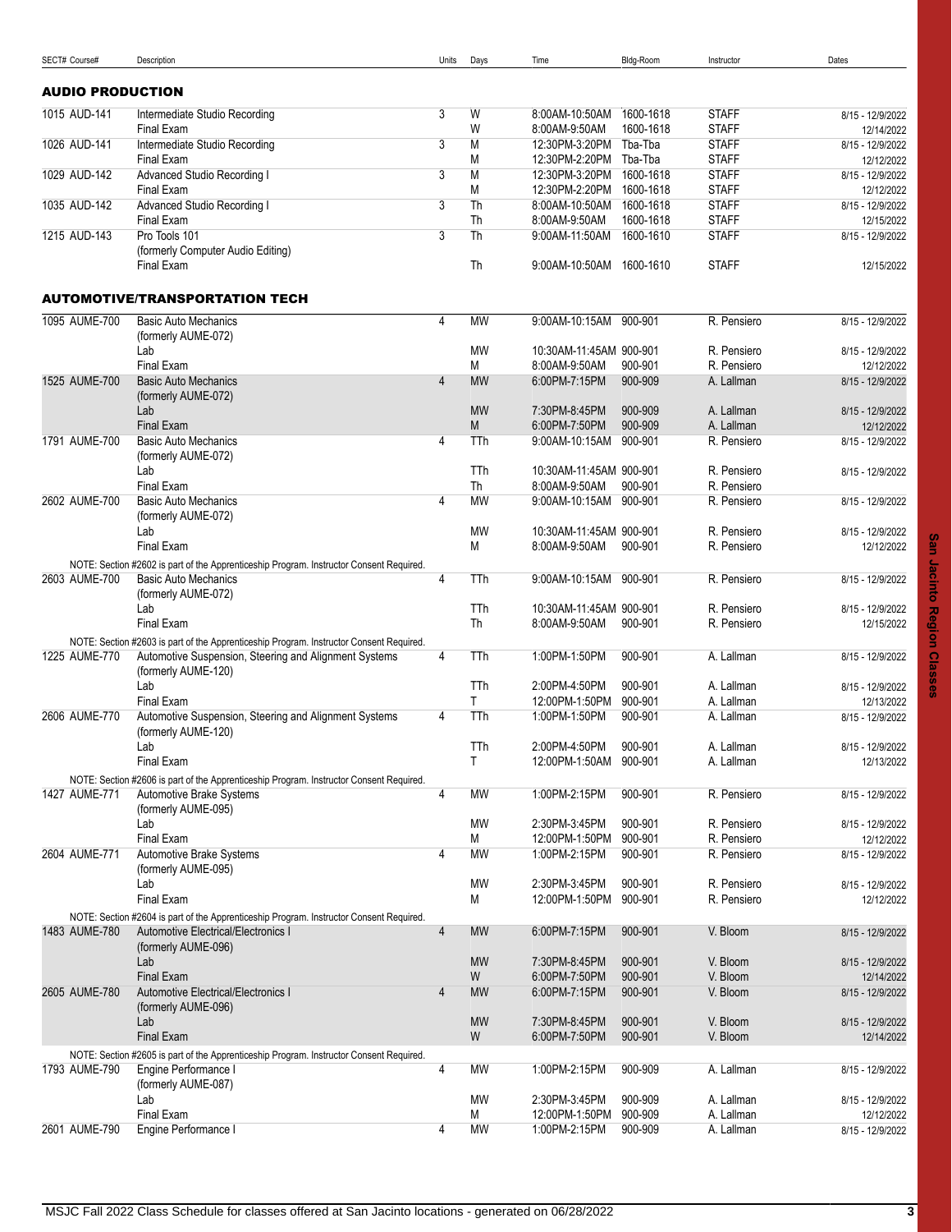<span id="page-2-1"></span><span id="page-2-0"></span>

| SECT# Course#           | Description                                                                             | Units          | Days       | Time                             | Bldg-Room            | Instructor                   | Dates                          |
|-------------------------|-----------------------------------------------------------------------------------------|----------------|------------|----------------------------------|----------------------|------------------------------|--------------------------------|
|                         |                                                                                         |                |            |                                  |                      |                              |                                |
| <b>AUDIO PRODUCTION</b> |                                                                                         |                |            |                                  |                      |                              |                                |
| 1015 AUD-141            | Intermediate Studio Recording                                                           | 3              | W          | 8:00AM-10:50AM                   | 1600-1618            | <b>STAFF</b>                 | 8/15 - 12/9/2022               |
| 1026 AUD-141            | Final Exam                                                                              |                | W<br>M     | 8:00AM-9:50AM                    | 1600-1618<br>Tba-Tba | <b>STAFF</b>                 | 12/14/2022<br>8/15 - 12/9/2022 |
|                         | Intermediate Studio Recording<br>Final Exam                                             | 3              | M          | 12:30PM-3:20PM<br>12:30PM-2:20PM | Tba-Tba              | <b>STAFF</b><br><b>STAFF</b> | 12/12/2022                     |
| 1029 AUD-142            | Advanced Studio Recording I                                                             | 3              | M          | 12:30PM-3:20PM                   | 1600-1618            | <b>STAFF</b>                 | 8/15 - 12/9/2022               |
|                         | Final Exam                                                                              |                | M          | 12:30PM-2:20PM                   | 1600-1618            | <b>STAFF</b>                 | 12/12/2022                     |
| 1035 AUD-142            | Advanced Studio Recording I                                                             | 3              | Th         | 8:00AM-10:50AM                   | 1600-1618            | <b>STAFF</b>                 | 8/15 - 12/9/2022               |
|                         | Final Exam                                                                              |                | Th         | 8:00AM-9:50AM                    | 1600-1618            | <b>STAFF</b>                 | 12/15/2022                     |
| 1215 AUD-143            | Pro Tools 101                                                                           | 3              | Th         | 9:00AM-11:50AM                   | 1600-1610            | <b>STAFF</b>                 | 8/15 - 12/9/2022               |
|                         | (formerly Computer Audio Editing)                                                       |                |            |                                  |                      |                              |                                |
|                         | Final Exam                                                                              |                | Th         | 9:00AM-10:50AM 1600-1610         |                      | <b>STAFF</b>                 | 12/15/2022                     |
|                         | <b>AUTOMOTIVE/TRANSPORTATION TECH</b>                                                   |                |            |                                  |                      |                              |                                |
| 1095 AUME-700           | <b>Basic Auto Mechanics</b>                                                             | 4              | <b>MW</b>  | 9:00AM-10:15AM 900-901           |                      | R. Pensiero                  | 8/15 - 12/9/2022               |
|                         | (formerly AUME-072)                                                                     |                |            |                                  |                      |                              |                                |
|                         | Lab                                                                                     |                | <b>MW</b>  | 10:30AM-11:45AM 900-901          |                      | R. Pensiero                  | 8/15 - 12/9/2022               |
|                         | <b>Final Exam</b>                                                                       |                | M          | 8:00AM-9:50AM                    | 900-901              | R. Pensiero                  | 12/12/2022                     |
| 1525 AUME-700           | <b>Basic Auto Mechanics</b>                                                             | $\overline{4}$ | <b>MW</b>  | 6.00PM-7:15PM                    | 900-909              | A. Lallman                   | 8/15 - 12/9/2022               |
|                         | (formerly AUME-072)                                                                     |                |            |                                  |                      |                              |                                |
|                         | Lab                                                                                     |                | <b>MW</b>  | 7:30PM-8:45PM                    | 900-909              | A. Lallman                   | 8/15 - 12/9/2022               |
|                         | Final Exam                                                                              |                | M          | 6:00PM-7:50PM                    | 900-909              | A. Lallman                   | 12/12/2022                     |
| 1791 AUME-700           | <b>Basic Auto Mechanics</b><br>(formerly AUME-072)                                      | 4              | TTh        | 9:00AM-10:15AM 900-901           |                      | R. Pensiero                  | 8/15 - 12/9/2022               |
|                         | Lab                                                                                     |                | TTh        | 10:30AM-11:45AM 900-901          |                      | R. Pensiero                  | 8/15 - 12/9/2022               |
|                         | <b>Final Exam</b>                                                                       |                | Th         | 8:00AM-9:50AM                    | 900-901              | R. Pensiero                  |                                |
| 2602 AUME-700           | <b>Basic Auto Mechanics</b>                                                             | 4              | <b>MW</b>  | 9:00AM-10:15AM 900-901           |                      | R. Pensiero                  | 8/15 - 12/9/2022               |
|                         | (formerly AUME-072)                                                                     |                |            |                                  |                      |                              |                                |
|                         | Lab                                                                                     |                | MW         | 10:30AM-11:45AM 900-901          |                      | R. Pensiero                  | 8/15 - 12/9/2022               |
|                         | Final Exam                                                                              |                | M          | 8:00AM-9:50AM                    | 900-901              | R. Pensiero                  | 12/12/2022                     |
|                         | NOTE: Section #2602 is part of the Apprenticeship Program. Instructor Consent Required. |                |            |                                  |                      |                              |                                |
| 2603 AUME-700           | <b>Basic Auto Mechanics</b><br>(formerly AUME-072)                                      | 4              | TTh        | 9:00AM-10:15AM                   | 900-901              | R. Pensiero                  | 8/15 - 12/9/2022               |
|                         | Lab                                                                                     |                | TTh        | 10:30AM-11:45AM 900-901          |                      | R. Pensiero                  | 8/15 - 12/9/2022               |
|                         | <b>Final Exam</b>                                                                       |                | Th         | 8:00AM-9:50AM                    | 900-901              | R. Pensiero                  | 12/15/2022                     |
|                         | NOTE: Section #2603 is part of the Apprenticeship Program. Instructor Consent Required. |                |            |                                  |                      |                              |                                |
| 1225 AUME-770           | Automotive Suspension, Steering and Alignment Systems                                   | 4              | <b>TTh</b> | 1:00PM-1:50PM                    | 900-901              | A. Lallman                   | 8/15 - 12/9/2022               |
|                         | (formerly AUME-120)                                                                     |                |            |                                  |                      |                              |                                |
|                         | Lab                                                                                     |                | TTh        | 2:00PM-4:50PM                    | 900-901              | A. Lallman                   | 8/15 - 12/9/2022               |
|                         | Final Exam                                                                              |                | T          | 12:00PM-1:50PM                   | 900-901              | A. Lallman                   | 12/13/2022                     |
| 2606 AUME-770           | Automotive Suspension, Steering and Alignment Systems<br>(formerly AUME-120)            | 4              | TTh        | 1:00PM-1:50PM                    | 900-901              | A. Lallman                   | 8/15 - 12/9/2022               |
|                         | Lab                                                                                     |                | TTh        | 2:00PM-4:50PM                    | 900-901              | A. Lallman                   | 8/15 - 12/9/2022               |
|                         | Final Exam                                                                              |                | T          | 12:00PM-1:50AM 900-901           |                      | A. Lallman                   | 12/13/2022                     |
|                         | NOTE: Section #2606 is part of the Apprenticeship Program. Instructor Consent Required. |                |            |                                  |                      |                              |                                |
| 1427 AUME-771           | Automotive Brake Systems                                                                | 4              | <b>MW</b>  | 1:00PM-2:15PM                    | 900-901              | R. Pensiero                  | 8/15 - 12/9/2022               |
|                         | (formerly AUME-095)                                                                     |                |            |                                  |                      |                              |                                |
|                         | Lab                                                                                     |                | MW         | 2:30PM-3:45PM                    | 900-901              | R. Pensiero                  | 8/15 - 12/9/2022               |
|                         | Final Exam                                                                              |                | М          | 12:00PM-1:50PM                   | 900-901              | R. Pensiero                  | 12/12/2022                     |
| 2604 AUME-771           | Automotive Brake Systems                                                                | 4              | MW         | 1:00PM-2:15PM                    | 900-901              | R. Pensiero                  | 8/15 - 12/9/2022               |
|                         | (formerly AUME-095)<br>Lab                                                              |                | MW         | 2:30PM-3:45PM                    | 900-901              | R. Pensiero                  | 8/15 - 12/9/2022               |
|                         | Final Exam                                                                              |                | М          | 12:00PM-1:50PM                   | 900-901              | R. Pensiero                  | 12/12/2022                     |
|                         | NOTE: Section #2604 is part of the Apprenticeship Program. Instructor Consent Required. |                |            |                                  |                      |                              |                                |
| 1483 AUME-780           | Automotive Electrical/Electronics I                                                     | $\overline{4}$ | <b>MW</b>  | 6:00PM-7:15PM                    | 900-901              | V. Bloom                     | 8/15 - 12/9/2022               |
|                         | (formerly AUME-096)                                                                     |                |            |                                  |                      |                              |                                |
|                         | Lab                                                                                     |                | <b>MW</b>  | 7:30PM-8:45PM                    | 900-901              | V. Bloom                     | 8/15 - 12/9/2022               |
|                         | Final Exam                                                                              |                | W          | 6:00PM-7:50PM                    | 900-901              | V. Bloom                     | 12/14/2022                     |
| 2605 AUME-780           | Automotive Electrical/Electronics I                                                     | 4              | <b>MW</b>  | 6:00PM-7:15PM                    | 900-901              | V. Bloom                     | 8/15 - 12/9/2022               |
|                         | (formerly AUME-096)<br>Lab                                                              |                | <b>MW</b>  | 7:30PM-8:45PM                    | 900-901              | V. Bloom                     |                                |
|                         | <b>Final Exam</b>                                                                       |                | W          | 6:00PM-7:50PM                    | 900-901              | V. Bloom                     | 8/15 - 12/9/2022<br>12/14/2022 |
|                         | NOTE: Section #2605 is part of the Apprenticeship Program. Instructor Consent Required. |                |            |                                  |                      |                              |                                |
| 1793 AUME-790           | Engine Performance I                                                                    | 4              | MW         | 1:00PM-2:15PM                    | 900-909              | A. Lallman                   | 8/15 - 12/9/2022               |
|                         | (formerly AUME-087)                                                                     |                |            |                                  |                      |                              |                                |
|                         | Lab                                                                                     |                | <b>MW</b>  | 2:30PM-3:45PM                    | 900-909              | A. Lallman                   | 8/15 - 12/9/2022               |
|                         | Final Exam                                                                              |                | М          | 12:00PM-1:50PM                   | 900-909              | A. Lallman                   | 12/12/2022                     |
| 2601 AUME-790           | Engine Performance I                                                                    | 4              | MW         | 1:00PM-2:15PM                    | 900-909              | A. Lallman                   | 8/15 - 12/9/2022               |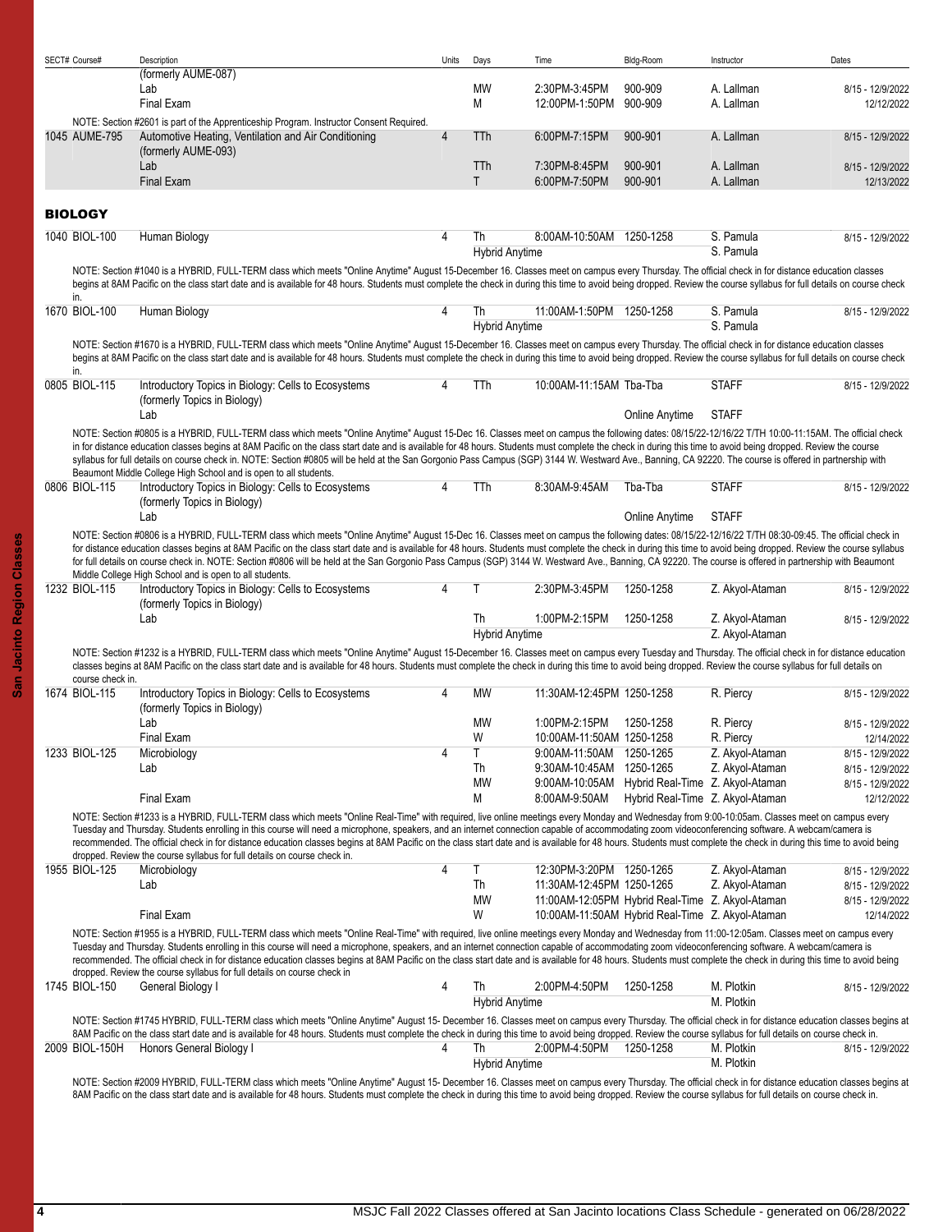<span id="page-3-0"></span>

| SECT# Course#                     | Description<br>(formerly AUME-087)                                                                                                                                                                                                                                                                                                                                                                                                                                                                                                                                                                                                                                                                    | Units          | Days                        | Time                                             | Bldg-Room                        | Instructor                         | Dates                          |
|-----------------------------------|-------------------------------------------------------------------------------------------------------------------------------------------------------------------------------------------------------------------------------------------------------------------------------------------------------------------------------------------------------------------------------------------------------------------------------------------------------------------------------------------------------------------------------------------------------------------------------------------------------------------------------------------------------------------------------------------------------|----------------|-----------------------------|--------------------------------------------------|----------------------------------|------------------------------------|--------------------------------|
|                                   | Lab                                                                                                                                                                                                                                                                                                                                                                                                                                                                                                                                                                                                                                                                                                   |                | MW                          | 2:30PM-3:45PM                                    | 900-909                          | A. Lallman                         | 8/15 - 12/9/2022               |
|                                   | <b>Final Exam</b>                                                                                                                                                                                                                                                                                                                                                                                                                                                                                                                                                                                                                                                                                     |                | М                           | 12:00PM-1:50PM                                   | 900-909                          | A. Lallman                         | 12/12/2022                     |
|                                   | NOTE: Section #2601 is part of the Apprenticeship Program. Instructor Consent Required.                                                                                                                                                                                                                                                                                                                                                                                                                                                                                                                                                                                                               |                |                             |                                                  |                                  |                                    |                                |
| 1045 AUME-795                     | Automotive Heating, Ventilation and Air Conditioning<br>(formerly AUME-093)                                                                                                                                                                                                                                                                                                                                                                                                                                                                                                                                                                                                                           | $\overline{4}$ | TTh                         | 6:00PM-7:15PM                                    | 900-901                          | A. Lallman                         | 8/15 - 12/9/2022               |
|                                   | Lab                                                                                                                                                                                                                                                                                                                                                                                                                                                                                                                                                                                                                                                                                                   |                | <b>TTh</b>                  | 7:30PM-8:45PM                                    | 900-901                          | A. Lallman                         | 8/15 - 12/9/2022               |
|                                   | <b>Final Exam</b>                                                                                                                                                                                                                                                                                                                                                                                                                                                                                                                                                                                                                                                                                     |                | T.                          | 6:00PM-7:50PM                                    | 900-901                          | A. Lallman                         | 12/13/2022                     |
| <b>BIOLOGY</b>                    |                                                                                                                                                                                                                                                                                                                                                                                                                                                                                                                                                                                                                                                                                                       |                |                             |                                                  |                                  |                                    |                                |
| 1040 BIOL-100                     | Human Biology                                                                                                                                                                                                                                                                                                                                                                                                                                                                                                                                                                                                                                                                                         | 4              | Th                          | 8:00AM-10:50AM 1250-1258                         |                                  | S. Pamula                          | 8/15 - 12/9/2022               |
|                                   |                                                                                                                                                                                                                                                                                                                                                                                                                                                                                                                                                                                                                                                                                                       |                | <b>Hybrid Anytime</b>       |                                                  |                                  | S. Pamula                          |                                |
|                                   | NOTE: Section #1040 is a HYBRID, FULL-TERM class which meets "Online Anytime" August 15-December 16. Classes meet on campus every Thursday. The official check in for distance education classes<br>begins at 8AM Pacific on the class start date and is available for 48 hours. Students must complete the check in during this time to avoid being dropped. Review the course syllabus for full details on course check                                                                                                                                                                                                                                                                             |                |                             |                                                  |                                  |                                    |                                |
| in.<br>1670 BIOL-100              | Human Biology                                                                                                                                                                                                                                                                                                                                                                                                                                                                                                                                                                                                                                                                                         | 4              | Th                          | 11:00AM-1:50PM 1250-1258                         |                                  | S. Pamula                          | 8/15 - 12/9/2022               |
|                                   | NOTE: Section #1670 is a HYBRID, FULL-TERM class which meets "Online Anytime" August 15-December 16. Classes meet on campus every Thursday. The official check in for distance education classes                                                                                                                                                                                                                                                                                                                                                                                                                                                                                                      |                | <b>Hybrid Anytime</b>       |                                                  |                                  | S. Pamula                          |                                |
| in.                               | begins at 8AM Pacific on the class start date and is available for 48 hours. Students must complete the check in during this time to avoid being dropped. Review the course syllabus for full details on course check                                                                                                                                                                                                                                                                                                                                                                                                                                                                                 |                |                             |                                                  |                                  |                                    |                                |
| 0805 BIOL-115                     | Introductory Topics in Biology: Cells to Ecosystems<br>(formerly Topics in Biology)                                                                                                                                                                                                                                                                                                                                                                                                                                                                                                                                                                                                                   | 4              | TTh                         | 10:00AM-11:15AM Tba-Tba                          |                                  | <b>STAFF</b>                       | 8/15 - 12/9/2022               |
|                                   | Lab                                                                                                                                                                                                                                                                                                                                                                                                                                                                                                                                                                                                                                                                                                   |                |                             |                                                  | Online Anytime                   | <b>STAFF</b>                       |                                |
|                                   | NOTE: Section #0805 is a HYBRID, FULL-TERM class which meets "Online Anytime" August 15-Dec 16. Classes meet on campus the following dates: 08/15/22-12/16/22 T/TH 10:00-11:15AM. The official check<br>in for distance education classes begins at 8AM Pacific on the class start date and is available for 48 hours. Students must complete the check in during this time to avoid being dropped. Review the course<br>syllabus for full details on course check in. NOTE: Section #0805 will be held at the San Gorgonio Pass Campus (SGP) 3144 W. Westward Ave., Banning, CA 92220. The course is offered in partnership with<br>Beaumont Middle College High School and is open to all students. |                |                             |                                                  |                                  |                                    |                                |
| 0806 BIOL-115                     | Introductory Topics in Biology: Cells to Ecosystems<br>(formerly Topics in Biology)                                                                                                                                                                                                                                                                                                                                                                                                                                                                                                                                                                                                                   | 4              | TTh                         | 8:30AM-9:45AM                                    | Tba-Tba                          | <b>STAFF</b>                       | 8/15 - 12/9/2022               |
|                                   | Lab                                                                                                                                                                                                                                                                                                                                                                                                                                                                                                                                                                                                                                                                                                   |                |                             |                                                  | Online Anytime                   | <b>STAFF</b>                       |                                |
|                                   | NOTE: Section #0806 is a HYBRID, FULL-TERM class which meets "Online Anytime" August 15-Dec 16. Classes meet on campus the following dates: 08/15/22-12/16/22 T/TH 08:30-09:45. The official check in<br>for distance education classes begins at 8AM Pacific on the class start date and is available for 48 hours. Students must complete the check in during this time to avoid being dropped. Review the course syllabus<br>for full details on course check in. NOTE: Section #0806 will be held at the San Gorgonio Pass Campus (SGP) 3144 W. Westward Ave., Banning, CA 92220. The course is offered in partnership with Beaumont<br>Middle College High School and is open to all students.   |                |                             |                                                  |                                  |                                    |                                |
| 1232 BIOL-115                     | Introductory Topics in Biology: Cells to Ecosystems<br>(formerly Topics in Biology)                                                                                                                                                                                                                                                                                                                                                                                                                                                                                                                                                                                                                   | 4              |                             | 2:30PM-3:45PM                                    | 1250-1258                        | Z. Akyol-Ataman                    | 8/15 - 12/9/2022               |
|                                   | Lab                                                                                                                                                                                                                                                                                                                                                                                                                                                                                                                                                                                                                                                                                                   |                | Th<br><b>Hybrid Anytime</b> | 1:00PM-2:15PM                                    | 1250-1258                        | Z. Akyol-Ataman<br>Z. Akyol-Ataman | 8/15 - 12/9/2022               |
|                                   | NOTE: Section #1232 is a HYBRID, FULL-TERM class which meets "Online Anytime" August 15-December 16. Classes meet on campus every Tuesday and Thursday. The official check in for distance education<br>classes begins at 8AM Pacific on the class start date and is available for 48 hours. Students must complete the check in during this time to avoid being dropped. Review the course syllabus for full details on                                                                                                                                                                                                                                                                              |                |                             |                                                  |                                  |                                    |                                |
| course check in.<br>1674 BIOL-115 | Introductory Topics in Biology: Cells to Ecosystems                                                                                                                                                                                                                                                                                                                                                                                                                                                                                                                                                                                                                                                   | 4              | <b>MW</b>                   | 11:30AM-12:45PM 1250-1258                        |                                  | R. Piercy                          | 8/15 - 12/9/2022               |
|                                   | (formerly Topics in Biology)<br>Lab                                                                                                                                                                                                                                                                                                                                                                                                                                                                                                                                                                                                                                                                   |                | <b>MW</b>                   | 1:00PM-2:15PM                                    | 1250-1258                        | R. Piercy                          |                                |
|                                   | Final Exam                                                                                                                                                                                                                                                                                                                                                                                                                                                                                                                                                                                                                                                                                            |                | W                           | 10:00AM-11:50AM 1250-1258                        |                                  | R. Piercy                          | 8/15 - 12/9/2022<br>12/14/2022 |
| 1233 BIOL-125                     | Microbiology                                                                                                                                                                                                                                                                                                                                                                                                                                                                                                                                                                                                                                                                                          | 4              |                             | 9:00AM-11:50AM 1250-1265                         |                                  | Z. Akyol-Ataman                    | 8/15 - 12/9/2022               |
|                                   | Lab                                                                                                                                                                                                                                                                                                                                                                                                                                                                                                                                                                                                                                                                                                   |                | Th                          | 9:30AM-10:45AM 1250-1265                         |                                  | Z. Akyol-Ataman                    | 8/15 - 12/9/2022               |
|                                   |                                                                                                                                                                                                                                                                                                                                                                                                                                                                                                                                                                                                                                                                                                       |                | MW                          | 9:00AM-10:05AM Hybrid Real-Time Z. Akyol-Ataman  |                                  |                                    | 8/15 - 12/9/2022               |
|                                   | Final Exam                                                                                                                                                                                                                                                                                                                                                                                                                                                                                                                                                                                                                                                                                            |                | M                           | 8:00AM-9:50AM                                    | Hybrid Real-Time Z. Akyol-Ataman |                                    | 12/12/2022                     |
|                                   | NOTE: Section #1233 is a HYBRID, FULL-TERM class which meets "Online Real-Time" with required, live online meetings every Monday and Wednesday from 9:00-10:05am. Classes meet on campus every<br>Tuesday and Thursday. Students enrolling in this course will need a microphone, speakers, and an internet connection capable of accommodating zoom videoconferencing software. A webcam/camera is<br>recommended. The official check in for distance education classes begins at 8AM Pacific on the class start date and is available for 48 hours. Students must complete the check in during this time to avoid being                                                                             |                |                             |                                                  |                                  |                                    |                                |
|                                   | dropped. Review the course syllabus for full details on course check in.                                                                                                                                                                                                                                                                                                                                                                                                                                                                                                                                                                                                                              |                |                             |                                                  |                                  |                                    |                                |
| 1955 BIOL-125                     | Microbiology                                                                                                                                                                                                                                                                                                                                                                                                                                                                                                                                                                                                                                                                                          | 4              | Τ                           | 12:30PM-3:20PM 1250-1265                         |                                  | Z. Akyol-Ataman                    | 8/15 - 12/9/2022               |
|                                   | Lab                                                                                                                                                                                                                                                                                                                                                                                                                                                                                                                                                                                                                                                                                                   |                | Th                          | 11:30AM-12:45PM 1250-1265                        |                                  | Z. Akyol-Ataman                    | 8/15 - 12/9/2022               |
|                                   |                                                                                                                                                                                                                                                                                                                                                                                                                                                                                                                                                                                                                                                                                                       |                | MW                          | 11:00AM-12:05PM Hybrid Real-Time Z. Akyol-Ataman |                                  |                                    | 8/15 - 12/9/2022               |
|                                   | Final Exam                                                                                                                                                                                                                                                                                                                                                                                                                                                                                                                                                                                                                                                                                            |                | W                           | 10:00AM-11:50AM Hybrid Real-Time Z. Akyol-Ataman |                                  |                                    | 12/14/2022                     |
|                                   | NOTE: Section #1955 is a HYBRID, FULL-TERM class which meets "Online Real-Time" with required, live online meetings every Monday and Wednesday from 11:00-12:05am. Classes meet on campus every<br>Tuesday and Thursday. Students enrolling in this course will need a microphone, speakers, and an internet connection capable of accommodating zoom videoconferencing software. A webcam/camera is<br>recommended. The official check in for distance education classes begins at 8AM Pacific on the class start date and is available for 48 hours. Students must complete the check in during this time to avoid being<br>dropped. Review the course syllabus for full details on course check in |                |                             |                                                  |                                  |                                    |                                |
| 1745 BIOL-150                     | General Biology I                                                                                                                                                                                                                                                                                                                                                                                                                                                                                                                                                                                                                                                                                     | 4              | Th                          | 2:00PM-4:50PM                                    | 1250-1258                        | M. Plotkin                         | 8/15 - 12/9/2022               |
|                                   |                                                                                                                                                                                                                                                                                                                                                                                                                                                                                                                                                                                                                                                                                                       |                | <b>Hybrid Anytime</b>       |                                                  |                                  | M. Plotkin                         |                                |
|                                   | NOTE: Section #1745 HYBRID, FULL-TERM class which meets "Online Anytime" August 15- December 16. Classes meet on campus every Thursday. The official check in for distance education classes begins at<br>8AM Pacific on the class start date and is available for 48 hours. Students must complete the check in during this time to avoid being dropped. Review the course syllabus for full details on course check in.                                                                                                                                                                                                                                                                             |                |                             |                                                  |                                  |                                    |                                |
| 2009 BIOL-150H                    | Honors General Biology I                                                                                                                                                                                                                                                                                                                                                                                                                                                                                                                                                                                                                                                                              | 4              | Th                          | 2:00PM-4:50PM 1250-1258                          |                                  | M. Plotkin                         | 8/15 - 12/9/2022               |
|                                   |                                                                                                                                                                                                                                                                                                                                                                                                                                                                                                                                                                                                                                                                                                       |                | <b>Hybrid Anytime</b>       |                                                  |                                  | M. Plotkin                         |                                |
|                                   | NOTE: Section #2009 HYBRID, FULL-TERM class which meets "Online Anytime" August 15- December 16. Classes meet on campus every Thursday. The official check in for distance education classes begins at<br>8AM Pacific on the class start date and is available for 48 hours. Students must complete the check in during this time to avoid being dropped. Review the course syllabus for full details on course check in.                                                                                                                                                                                                                                                                             |                |                             |                                                  |                                  |                                    |                                |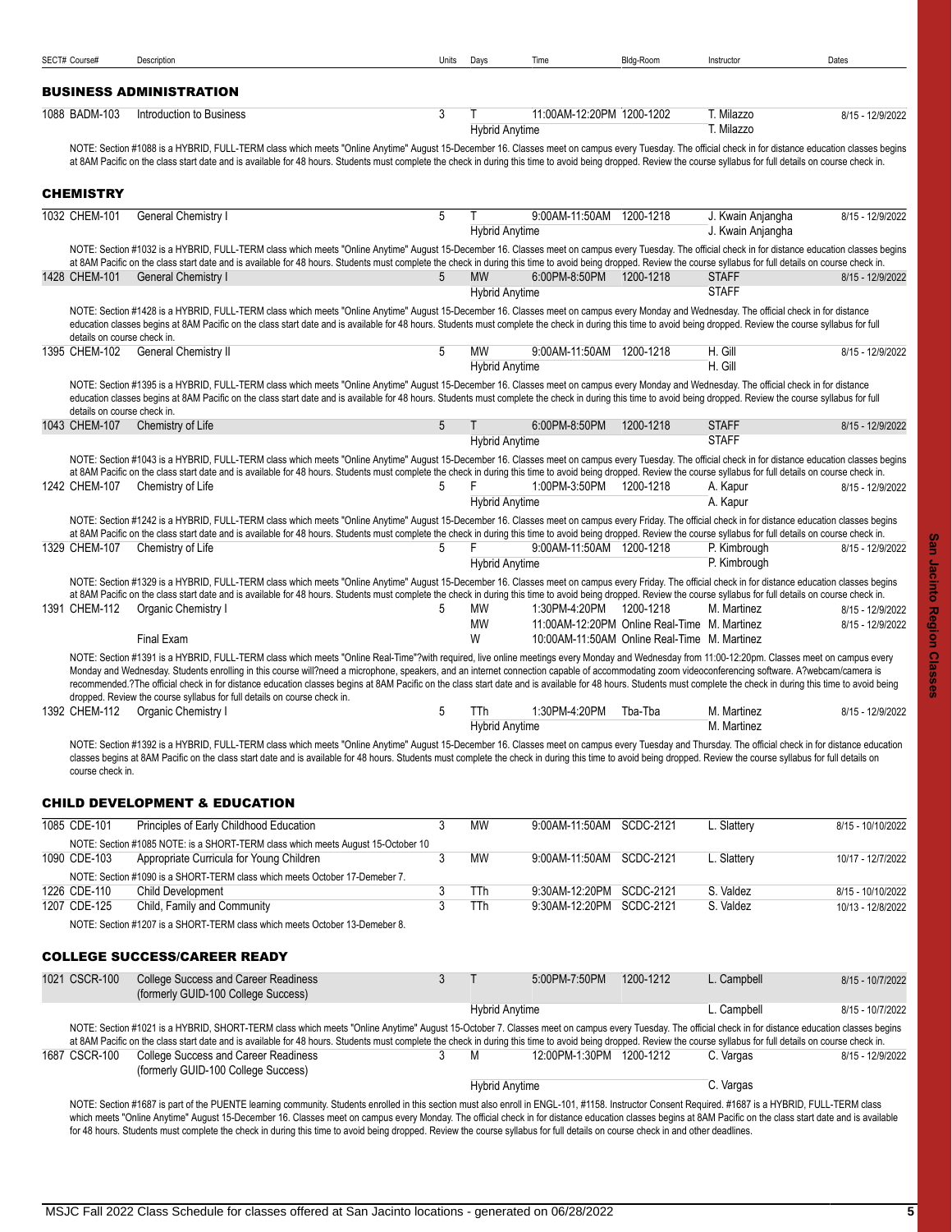<span id="page-4-3"></span><span id="page-4-2"></span><span id="page-4-1"></span><span id="page-4-0"></span>

| SECT# Course#               | Description                                                                                                                                                                                                                                                                                                                                                                                                                                                                                                                                                                                            | Units          | Days                               | Time                                                                                         | Bldg-Room        | Instructor                             | Dates             |
|-----------------------------|--------------------------------------------------------------------------------------------------------------------------------------------------------------------------------------------------------------------------------------------------------------------------------------------------------------------------------------------------------------------------------------------------------------------------------------------------------------------------------------------------------------------------------------------------------------------------------------------------------|----------------|------------------------------------|----------------------------------------------------------------------------------------------|------------------|----------------------------------------|-------------------|
|                             | <b>BUSINESS ADMINISTRATION</b>                                                                                                                                                                                                                                                                                                                                                                                                                                                                                                                                                                         |                |                                    |                                                                                              |                  |                                        |                   |
| 1088 BADM-103               | Introduction to Business                                                                                                                                                                                                                                                                                                                                                                                                                                                                                                                                                                               | 3              | <b>Hybrid Anytime</b>              | 11:00AM-12:20PM 1200-1202                                                                    |                  | T. Milazzo<br>T. Milazzo               | 8/15 - 12/9/2022  |
|                             | NOTE: Section #1088 is a HYBRID, FULL-TERM class which meets "Online Anytime" August 15-December 16. Classes meet on campus every Tuesday. The official check in for distance education classes begins<br>at 8AM Pacific on the class start date and is available for 48 hours. Students must complete the check in during this time to avoid being dropped. Review the course syllabus for full details on course check in.                                                                                                                                                                           |                |                                    |                                                                                              |                  |                                        |                   |
| <b>CHEMISTRY</b>            |                                                                                                                                                                                                                                                                                                                                                                                                                                                                                                                                                                                                        |                |                                    |                                                                                              |                  |                                        |                   |
| 1032 CHEM-101               | General Chemistry I                                                                                                                                                                                                                                                                                                                                                                                                                                                                                                                                                                                    | 5              | т<br><b>Hybrid Anytime</b>         | 9:00AM-11:50AM 1200-1218                                                                     |                  | J. Kwain Anjangha<br>J. Kwain Anjangha | 8/15 - 12/9/2022  |
|                             | NOTE: Section #1032 is a HYBRID, FULL-TERM class which meets "Online Anytime" August 15-December 16. Classes meet on campus every Tuesday. The official check in for distance education classes begins<br>at 8AM Pacific on the class start date and is available for 48 hours. Students must complete the check in during this time to avoid being dropped. Review the course syllabus for full details on course check in.                                                                                                                                                                           |                |                                    |                                                                                              |                  |                                        |                   |
| 1428 CHEM-101               | <b>General Chemistry I</b>                                                                                                                                                                                                                                                                                                                                                                                                                                                                                                                                                                             | 5              | <b>MW</b><br><b>Hybrid Anytime</b> | 6:00PM-8:50PM 1200-1218                                                                      |                  | <b>STAFF</b><br><b>STAFF</b>           | 8/15 - 12/9/2022  |
| details on course check in. | NOTE: Section #1428 is a HYBRID, FULL-TERM class which meets "Online Anytime" August 15-December 16. Classes meet on campus every Monday and Wednesday. The official check in for distance<br>education classes begins at 8AM Pacific on the class start date and is available for 48 hours. Students must complete the check in during this time to avoid being dropped. Review the course syllabus for full                                                                                                                                                                                          |                |                                    |                                                                                              |                  |                                        |                   |
|                             | 1395 CHEM-102 General Chemistry II                                                                                                                                                                                                                                                                                                                                                                                                                                                                                                                                                                     | 5              | МW<br><b>Hybrid Anytime</b>        | 9:00AM-11:50AM 1200-1218                                                                     |                  | H. Gill<br>H. Gill                     | 8/15 - 12/9/2022  |
| details on course check in. | NOTE: Section #1395 is a HYBRID, FULL-TERM class which meets "Online Anytime" August 15-December 16. Classes meet on campus every Monday and Wednesday. The official check in for distance<br>education classes begins at 8AM Pacific on the class start date and is available for 48 hours. Students must complete the check in during this time to avoid being dropped. Review the course syllabus for full                                                                                                                                                                                          |                |                                    |                                                                                              |                  |                                        |                   |
|                             | 1043 CHEM-107 Chemistry of Life                                                                                                                                                                                                                                                                                                                                                                                                                                                                                                                                                                        | 5              | Τ                                  | 6:00PM-8:50PM                                                                                | 1200-1218        | <b>STAFF</b>                           | 8/15 - 12/9/2022  |
|                             | NOTE: Section #1043 is a HYBRID, FULL-TERM class which meets "Online Anytime" August 15-December 16. Classes meet on campus every Tuesday. The official check in for distance education classes begins                                                                                                                                                                                                                                                                                                                                                                                                 |                | <b>Hybrid Anytime</b>              |                                                                                              |                  | <b>STAFF</b>                           |                   |
|                             | at 8AM Pacific on the class start date and is available for 48 hours. Students must complete the check in during this time to avoid being dropped. Review the course syllabus for full details on course check in.<br>1242 CHEM-107 Chemistry of Life                                                                                                                                                                                                                                                                                                                                                  | 5              | F.                                 | 1:00PM-3:50PM 1200-1218                                                                      |                  | A. Kapur                               | 8/15 - 12/9/2022  |
|                             |                                                                                                                                                                                                                                                                                                                                                                                                                                                                                                                                                                                                        |                | <b>Hybrid Anytime</b>              |                                                                                              |                  | A. Kapur                               |                   |
|                             | NOTE: Section #1242 is a HYBRID, FULL-TERM class which meets "Online Anytime" August 15-December 16. Classes meet on campus every Friday. The official check in for distance education classes begins<br>at 8AM Pacific on the class start date and is available for 48 hours. Students must complete the check in during this time to avoid being dropped. Review the course syllabus for full details on course check in.                                                                                                                                                                            |                |                                    |                                                                                              |                  |                                        |                   |
| 1329 CHEM-107               | Chemistry of Life                                                                                                                                                                                                                                                                                                                                                                                                                                                                                                                                                                                      | 5              | F<br><b>Hybrid Anytime</b>         | 9:00AM-11:50AM 1200-1218                                                                     |                  | P. Kimbrough<br>P. Kimbrough           | 8/15 - 12/9/2022  |
|                             | NOTE: Section #1329 is a HYBRID, FULL-TERM class which meets "Online Anytime" August 15-December 16. Classes meet on campus every Friday. The official check in for distance education classes begins                                                                                                                                                                                                                                                                                                                                                                                                  |                |                                    |                                                                                              |                  |                                        |                   |
| 1391 CHEM-112               | at 8AM Pacific on the class start date and is available for 48 hours. Students must complete the check in during this time to avoid being dropped. Review the course syllabus for full details on course check in.<br>Organic Chemistry I                                                                                                                                                                                                                                                                                                                                                              | 5              | MW                                 | 1.30PM-4.20PM                                                                                | 1200-1218        | M. Martinez                            | 8/15 - 12/9/2022  |
|                             | Final Exam                                                                                                                                                                                                                                                                                                                                                                                                                                                                                                                                                                                             |                | МW<br>W                            | 11:00AM-12:20PM Online Real-Time M. Martinez<br>10:00AM-11:50AM Online Real-Time M. Martinez |                  |                                        | 8/15 - 12/9/2022  |
|                             | NOTE: Section #1391 is a HYBRID, FULL-TERM class which meets "Online Real-Time"?with required, live online meetings every Monday and Wednesday from 11:00-12:20pm. Classes meet on campus every<br>Monday and Wednesday. Students enrolling in this course will?need a microphone, speakers, and an internet connection capable of accommodating zoom videoconferencing software. A?webcam/camera is                                                                                                                                                                                                   |                |                                    |                                                                                              |                  |                                        |                   |
|                             | recommended.?The official check in for distance education classes begins at 8AM Pacific on the class start date and is available for 48 hours. Students must complete the check in during this time to avoid being<br>dropped. Review the course syllabus for full details on course check in.                                                                                                                                                                                                                                                                                                         |                |                                    |                                                                                              |                  |                                        |                   |
|                             | 1392 CHEM-112 Organic Chemistry I                                                                                                                                                                                                                                                                                                                                                                                                                                                                                                                                                                      | 5              | TTh                                | 1:30PM-4:20PM                                                                                | Tba-Tba          | M. Martinez                            | 8/15 - 12/9/2022  |
|                             | NOTE: Section #1392 is a HYBRID, FULL-TERM class which meets "Online Anytime" August 15-December 16. Classes meet on campus every Tuesday and Thursday. The official check in for distance education                                                                                                                                                                                                                                                                                                                                                                                                   |                | <b>Hybrid Anytime</b>              |                                                                                              |                  | M. Martinez                            |                   |
| course check in.            | classes begins at 8AM Pacific on the class start date and is available for 48 hours. Students must complete the check in during this time to avoid being dropped. Review the course syllabus for full details on                                                                                                                                                                                                                                                                                                                                                                                       |                |                                    |                                                                                              |                  |                                        |                   |
|                             | <b>CHILD DEVELOPMENT &amp; EDUCATION</b>                                                                                                                                                                                                                                                                                                                                                                                                                                                                                                                                                               |                |                                    |                                                                                              |                  |                                        |                   |
| 1085 CDE-101                | Principles of Early Childhood Education                                                                                                                                                                                                                                                                                                                                                                                                                                                                                                                                                                | $\overline{3}$ | <b>MW</b>                          | 9:00AM-11:50AM                                                                               | <b>SCDC-2121</b> | L. Slattery                            | 8/15 - 10/10/2022 |
| 1090 CDE-103                | NOTE: Section #1085 NOTE: is a SHORT-TERM class which meets August 15-October 10<br>Appropriate Curricula for Young Children                                                                                                                                                                                                                                                                                                                                                                                                                                                                           | 3              | <b>MW</b>                          | 9:00AM-11:50AM SCDC-2121                                                                     |                  | L. Slattery                            | 10/17 - 12/7/2022 |
| 1226 CDE-110                | NOTE: Section #1090 is a SHORT-TERM class which meets October 17-Demeber 7.<br><b>Child Development</b>                                                                                                                                                                                                                                                                                                                                                                                                                                                                                                | 3              | TTh                                | 9:30AM-12:20PM                                                                               | SCDC-2121        | S. Valdez                              | 8/15 - 10/10/2022 |
| 1207 CDE-125                | Child, Family and Community                                                                                                                                                                                                                                                                                                                                                                                                                                                                                                                                                                            | $\overline{3}$ | TTh                                | 9:30AM-12:20PM SCDC-2121                                                                     |                  | S. Valdez                              | 10/13 - 12/8/2022 |
|                             | NOTE: Section #1207 is a SHORT-TERM class which meets October 13-Demeber 8.                                                                                                                                                                                                                                                                                                                                                                                                                                                                                                                            |                |                                    |                                                                                              |                  |                                        |                   |
|                             | <b>COLLEGE SUCCESS/CAREER READY</b>                                                                                                                                                                                                                                                                                                                                                                                                                                                                                                                                                                    |                |                                    |                                                                                              |                  |                                        |                   |
| 1021 CSCR-100               | <b>College Success and Career Readiness</b><br>(formerly GUID-100 College Success)                                                                                                                                                                                                                                                                                                                                                                                                                                                                                                                     | 3              | T                                  | 5:00PM-7:50PM                                                                                | 1200-1212        | L. Campbell                            | 8/15 - 10/7/2022  |
|                             |                                                                                                                                                                                                                                                                                                                                                                                                                                                                                                                                                                                                        |                | <b>Hybrid Anytime</b>              |                                                                                              |                  | L. Campbell                            | 8/15 - 10/7/2022  |
| 1687 CSCR-100               | NOTE: Section #1021 is a HYBRID, SHORT-TERM class which meets "Online Anytime" August 15-October 7. Classes meet on campus every Tuesday. The official check in for distance education classes begins<br>at 8AM Pacific on the class start date and is available for 48 hours. Students must complete the check in during this time to avoid being dropped. Review the course syllabus for full details on course check in.<br>College Success and Career Readiness                                                                                                                                    | 3              | М                                  | 12:00PM-1:30PM 1200-1212                                                                     |                  | C. Vargas                              | 8/15 - 12/9/2022  |
|                             | (formerly GUID-100 College Success)                                                                                                                                                                                                                                                                                                                                                                                                                                                                                                                                                                    |                | <b>Hybrid Anytime</b>              |                                                                                              |                  | C. Vargas                              |                   |
|                             | NOTE: Section #1687 is part of the PUENTE learning community. Students enrolled in this section must also enroll in ENGL-101, #1158. Instructor Consent Required. #1687 is a HYBRID, FULL-TERM class<br>which meets "Online Anytime" August 15-December 16. Classes meet on campus every Monday. The official check in for distance education classes begins at 8AM Pacific on the class start date and is available<br>for 48 hours. Students must complete the check in during this time to avoid being dropped. Review the course syllabus for full details on course check in and other deadlines. |                |                                    |                                                                                              |                  |                                        |                   |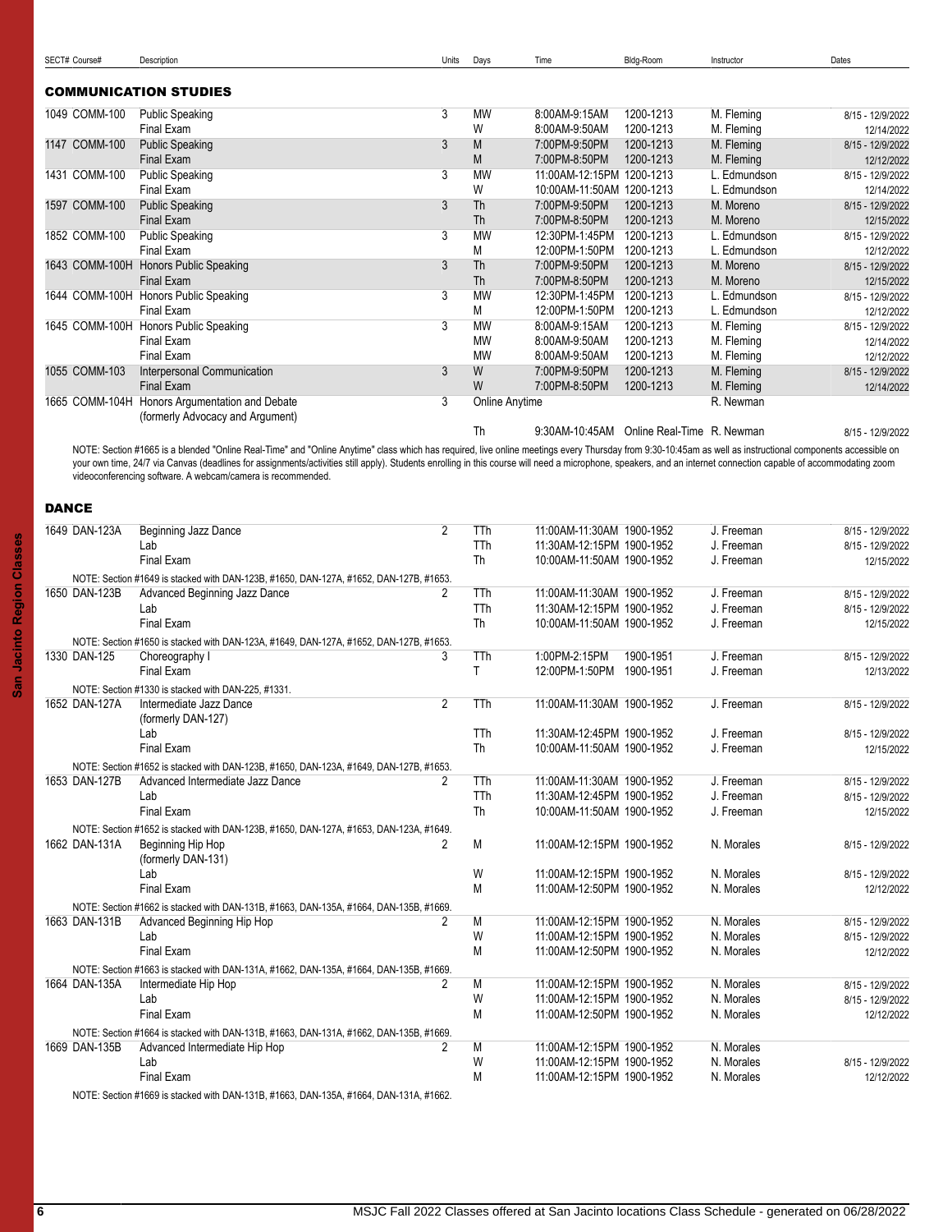<span id="page-5-1"></span>

|              | 1049 COMM-100 | <b>Public Speaking</b>                                                                                                                                                                                                                                                         | $\overline{3}$ | <b>MW</b>             | 8:00AM-9:15AM                                          | 1200-1213              | M. Fleming               | 8/15 - 12/9/2022                     |
|--------------|---------------|--------------------------------------------------------------------------------------------------------------------------------------------------------------------------------------------------------------------------------------------------------------------------------|----------------|-----------------------|--------------------------------------------------------|------------------------|--------------------------|--------------------------------------|
|              | 1147 COMM-100 | Final Exam<br><b>Public Speaking</b>                                                                                                                                                                                                                                           | 3              | W<br>M                | 8:00AM-9:50AM<br>7:00PM-9:50PM                         | 1200-1213<br>1200-1213 | M. Fleming<br>M. Fleming | 12/14/2022<br>8/15 - 12/9/2022       |
|              |               | <b>Final Exam</b>                                                                                                                                                                                                                                                              |                | M                     | 7:00PM-8:50PM                                          | 1200-1213              | M. Fleming               | 12/12/2022                           |
|              | 1431 COMM-100 | <b>Public Speaking</b>                                                                                                                                                                                                                                                         | 3              | <b>MW</b>             | 11:00AM-12:15PM 1200-1213                              |                        | L. Edmundson             | 8/15 - 12/9/2022                     |
|              |               | Final Exam                                                                                                                                                                                                                                                                     |                | W                     | 10:00AM-11:50AM 1200-1213                              |                        | L. Edmundson             | 12/14/2022                           |
|              | 1597 COMM-100 | <b>Public Speaking</b>                                                                                                                                                                                                                                                         | 3              | Th                    | 7:00PM-9:50PM                                          | 1200-1213              | M. Moreno                | 8/15 - 12/9/2022                     |
|              |               | <b>Final Exam</b>                                                                                                                                                                                                                                                              |                | Th                    | 7:00PM-8:50PM                                          | 1200-1213              | M. Moreno                | 12/15/2022                           |
|              | 1852 COMM-100 | <b>Public Speaking</b>                                                                                                                                                                                                                                                         | 3              | <b>MW</b>             | 12:30PM-1:45PM                                         | 1200-1213              | L. Edmundson             | 8/15 - 12/9/2022                     |
|              |               | Final Exam                                                                                                                                                                                                                                                                     |                | M                     | 12:00PM-1:50PM                                         | 1200-1213              | L. Edmundson             | 12/12/2022                           |
|              |               | 1643 COMM-100H Honors Public Speaking<br>Final Exam                                                                                                                                                                                                                            | 3              | Th<br>Th              | 7:00PM-9:50PM<br>7:00PM-8:50PM                         | 1200-1213<br>1200-1213 | M. Moreno<br>M. Moreno   | 8/15 - 12/9/2022                     |
|              |               | 1644 COMM-100H Honors Public Speaking                                                                                                                                                                                                                                          | 3              | MW                    | 12:30PM-1:45PM                                         | 1200-1213              | L. Edmundson             | 12/15/2022<br>8/15 - 12/9/2022       |
|              |               | Final Exam                                                                                                                                                                                                                                                                     |                | Μ                     | 12:00PM-1:50PM                                         | 1200-1213              | L. Edmundson             | 12/12/2022                           |
|              |               | 1645 COMM-100H Honors Public Speaking                                                                                                                                                                                                                                          | 3              | MW                    | 8:00AM-9:15AM                                          | 1200-1213              | M. Fleming               | 8/15 - 12/9/2022                     |
|              |               | Final Exam                                                                                                                                                                                                                                                                     |                | <b>MW</b>             | 8:00AM-9:50AM                                          | 1200-1213              | M. Fleming               | 12/14/2022                           |
|              |               | Final Exam                                                                                                                                                                                                                                                                     |                | <b>MW</b>             | 8:00AM-9:50AM                                          | 1200-1213              | M. Fleming               | 12/12/2022                           |
|              | 1055 COMM-103 | Interpersonal Communication                                                                                                                                                                                                                                                    | 3              | W                     | 7:00PM-9:50PM                                          | 1200-1213              | M. Fleming               | 8/15 - 12/9/2022                     |
|              |               | <b>Final Exam</b>                                                                                                                                                                                                                                                              |                | W                     | 7:00PM-8:50PM                                          | 1200-1213              | M. Fleming               | 12/14/2022                           |
|              |               | 1665 COMM-104H Honors Argumentation and Debate                                                                                                                                                                                                                                 | 3              | <b>Online Anytime</b> |                                                        |                        | R. Newman                |                                      |
|              |               | (formerly Advocacy and Argument)                                                                                                                                                                                                                                               |                | Th                    | 9:30AM-10:45AM Online Real-Time R. Newman              |                        |                          | 8/15 - 12/9/2022                     |
|              |               | NOTE: Section #1665 is a blended "Online Real-Time" and "Online Anytime" class which has required, live online meetings every Thursday from 9:30-10:45am as well as instructional components accessible on                                                                     |                |                       |                                                        |                        |                          |                                      |
| <b>DANCE</b> |               | your own time, 24/7 via Canvas (deadlines for assignments/activities still apply). Students enrolling in this course will need a microphone, speakers, and an internet connection capable of accommodating zoom<br>videoconferencing software. A webcam/camera is recommended. |                |                       |                                                        |                        |                          |                                      |
|              |               |                                                                                                                                                                                                                                                                                |                |                       |                                                        |                        |                          |                                      |
|              | 1649 DAN-123A | Beginning Jazz Dance                                                                                                                                                                                                                                                           | $\overline{2}$ | TTh                   | 11:00AM-11:30AM 1900-1952<br>11:30AM-12:15PM 1900-1952 |                        | J. Freeman<br>J. Freeman | 8/15 - 12/9/2022<br>8/15 - 12/9/2022 |
|              |               | Lab<br>Final Exam                                                                                                                                                                                                                                                              |                | TTh<br>Th             | 10:00AM-11:50AM 1900-1952                              |                        | J. Freeman               | 12/15/2022                           |
|              |               |                                                                                                                                                                                                                                                                                |                |                       |                                                        |                        |                          |                                      |
|              | 1650 DAN-123B | NOTE: Section #1649 is stacked with DAN-123B, #1650, DAN-127A, #1652, DAN-127B, #1653.<br>Advanced Beginning Jazz Dance                                                                                                                                                        | 2              | TTh                   | 11:00AM-11:30AM 1900-1952                              |                        | J. Freeman               | 8/15 - 12/9/2022                     |
|              |               | Lab                                                                                                                                                                                                                                                                            |                | TTh                   | 11:30AM-12:15PM 1900-1952                              |                        | J. Freeman               | 8/15 - 12/9/2022                     |
|              |               | Final Exam                                                                                                                                                                                                                                                                     |                | <b>Th</b>             | 10:00AM-11:50AM 1900-1952                              |                        | J. Freeman               | 12/15/2022                           |
|              |               | NOTE: Section #1650 is stacked with DAN-123A, #1649, DAN-127A, #1652, DAN-127B, #1653.                                                                                                                                                                                         |                |                       |                                                        |                        |                          |                                      |
|              | 1330 DAN-125  | Choreography I                                                                                                                                                                                                                                                                 | 3              | TTh                   | 1:00PM-2:15PM                                          | 1900-1951              | J. Freeman               | 8/15 - 12/9/2022                     |
|              |               | Final Exam                                                                                                                                                                                                                                                                     |                | T                     | 12:00PM-1:50PM                                         | 1900-1951              | J. Freeman               | 12/13/2022                           |
|              |               | NOTE: Section #1330 is stacked with DAN-225, #1331.                                                                                                                                                                                                                            |                |                       |                                                        |                        |                          |                                      |
|              | 1652 DAN-127A | Intermediate Jazz Dance<br>(formerly DAN-127)                                                                                                                                                                                                                                  | $\overline{2}$ | TTh                   | 11:00AM-11:30AM 1900-1952                              |                        | J. Freeman               | 8/15 - 12/9/2022                     |
|              |               | Lab                                                                                                                                                                                                                                                                            |                | TTh                   | 11:30AM-12:45PM 1900-1952                              |                        | J. Freeman               | 8/15 - 12/9/2022                     |
|              |               | Final Exam                                                                                                                                                                                                                                                                     |                | Th                    | 10:00AM-11:50AM 1900-1952                              |                        | J. Freeman               | 12/15/2022                           |
|              |               | NOTE: Section #1652 is stacked with DAN-123B, #1650, DAN-123A, #1649, DAN-127B, #1653.                                                                                                                                                                                         |                |                       |                                                        |                        |                          |                                      |
|              | 1653 DAN-127B | Advanced Intermediate Jazz Dance                                                                                                                                                                                                                                               | 2              | TTh                   | 11:00AM-11:30AM 1900-1952                              |                        | J. Freeman               | 8/15 - 12/9/2022                     |
|              |               | Lab                                                                                                                                                                                                                                                                            |                | TTh                   | 11:30AM-12:45PM 1900-1952                              |                        | J. Freeman               | 8/15 - 12/9/2022                     |
|              |               | Final Exam                                                                                                                                                                                                                                                                     |                | Th                    | 10:00AM-11:50AM 1900-1952                              |                        | J. Freeman               | 12/15/2022                           |
|              |               | NOTE: Section #1652 is stacked with DAN-123B, #1650, DAN-127A, #1653, DAN-123A, #1649.                                                                                                                                                                                         |                |                       |                                                        |                        |                          |                                      |
|              | 1662 DAN-131A | Beginning Hip Hop<br>(formerly DAN-131)                                                                                                                                                                                                                                        | 2              | M                     | 11:00AM-12:15PM 1900-1952                              |                        | N. Morales               | 8/15 - 12/9/2022                     |
|              |               | Lab                                                                                                                                                                                                                                                                            |                | W                     | 11:00AM-12:15PM 1900-1952                              |                        | N. Morales               | 8/15 - 12/9/2022                     |
|              |               | Final Exam                                                                                                                                                                                                                                                                     |                | M                     | 11:00AM-12:50PM 1900-1952                              |                        | N. Morales               | 12/12/2022                           |
|              |               | NOTE: Section #1662 is stacked with DAN-131B, #1663, DAN-135A, #1664, DAN-135B, #1669.                                                                                                                                                                                         |                |                       |                                                        |                        |                          |                                      |
|              | 1663 DAN-131B | Advanced Beginning Hip Hop                                                                                                                                                                                                                                                     | 2              | M                     | 11:00AM-12:15PM 1900-1952                              |                        | N. Morales               | 8/15 - 12/9/2022                     |
|              |               | Lab                                                                                                                                                                                                                                                                            |                | W                     | 11:00AM-12:15PM 1900-1952                              |                        | N. Morales               | 8/15 - 12/9/2022                     |
|              |               | Final Exam                                                                                                                                                                                                                                                                     |                | M                     | 11:00AM-12:50PM 1900-1952                              |                        | N. Morales               | 12/12/2022                           |
|              |               | NOTE: Section #1663 is stacked with DAN-131A, #1662, DAN-135A, #1664, DAN-135B, #1669.                                                                                                                                                                                         |                |                       |                                                        |                        |                          |                                      |
|              | 1664 DAN-135A | Intermediate Hip Hop                                                                                                                                                                                                                                                           | 2              | M                     | 11:00AM-12:15PM 1900-1952                              |                        | N. Morales               | 8/15 - 12/9/2022                     |
|              |               | Lab                                                                                                                                                                                                                                                                            |                | W                     | 11:00AM-12:15PM 1900-1952                              |                        | N. Morales               | 8/15 - 12/9/2022                     |
|              |               | Final Exam                                                                                                                                                                                                                                                                     |                | M                     | 11:00AM-12:50PM 1900-1952                              |                        | N. Morales               | 12/12/2022                           |
|              |               | NOTE: Section #1664 is stacked with DAN-131B, #1663, DAN-131A, #1662, DAN-135B, #1669.                                                                                                                                                                                         |                |                       |                                                        |                        |                          |                                      |
|              | 1669 DAN-135B | Advanced Intermediate Hip Hop                                                                                                                                                                                                                                                  | 2              | M                     | 11:00AM-12:15PM 1900-1952                              |                        | N. Morales               |                                      |
|              |               | Lab                                                                                                                                                                                                                                                                            |                | W                     | 11:00AM-12:15PM 1900-1952                              |                        | N. Morales               | 8/15 - 12/9/2022                     |
|              |               | Final Exam                                                                                                                                                                                                                                                                     |                | M                     | 11:00AM-12:15PM 1900-1952                              |                        | N. Morales               | 12/12/2022                           |
|              |               | NOTE: Section #1669 is stacked with DAN-131B, #1663, DAN-135A, #1664, DAN-131A, #1662.                                                                                                                                                                                         |                |                       |                                                        |                        |                          |                                      |

<span id="page-5-0"></span>COMMUNICATION STUDIES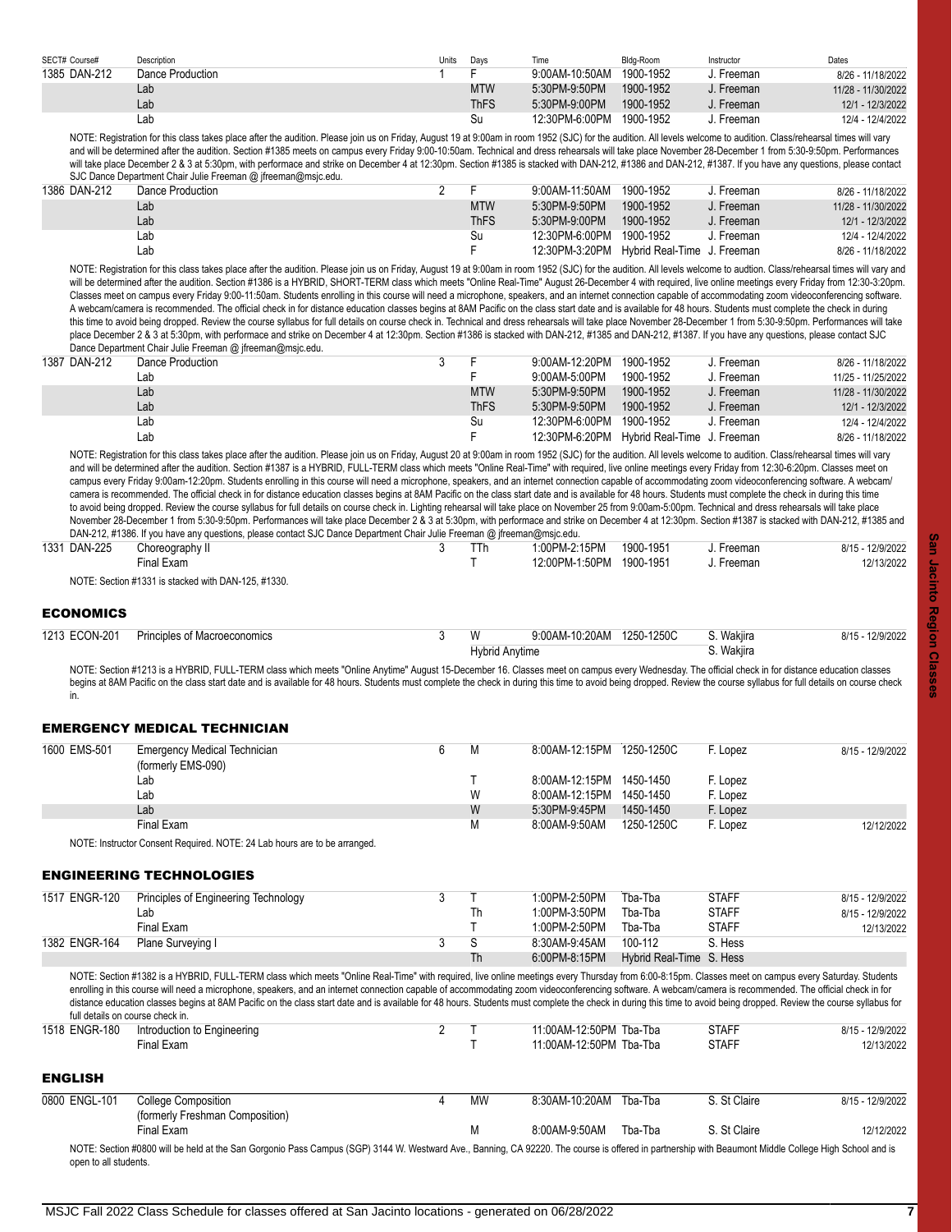| SECT# Course# | Description      | Units | Davs       | Time           | Bldg-Room | Instructor   | Dates              |
|---------------|------------------|-------|------------|----------------|-----------|--------------|--------------------|
| 1385 DAN-212  | Dance Production |       |            | 9:00AM-10:50AM | 1900-1952 | J. Freeman   | 8/26 - 11/18/2022  |
|               | Lab              |       | <b>MTW</b> | 5:30PM-9:50PM  | 1900-1952 | J. Freeman   | 11/28 - 11/30/2022 |
|               | Lab              |       | ThFS       | 5:30PM-9:00PM  | 1900-1952 | J. Freeman   | 12/1 - 12/3/2022   |
|               | Lab              |       | Su         | 12:30PM-6:00PM | 1900-1952 | ่ J. Freeman | 12/4 - 12/4/2022   |

NOTE: Registration for this class takes place after the audition. Please join us on Friday, August 19 at 9:00am in room 1952 (SJC) for the audition. All levels welcome to audition. Class/rehearsal times will vary and will be determined after the audition. Section #1385 meets on campus every Friday 9:00-10:50am. Technical and dress rehearsals will take place November 28-December 1 from 5:30-9:50pm. Performances will take place December 2 & 3 at 5:30pm, with performace and strike on December 4 at 12:30pm. Section #1385 is stacked with DAN-212, #1386 and DAN-212, #1387. If you have any questions, please contact SJC Dance Department Chair Julie Freeman @ jfreeman@msjc.edu.

| 1386 DAN-212 | Dance Production |  |            | 9:00AM-11:50AM | 1900-1952                                  | Freeman | 8/26 - 11/18/2022  |
|--------------|------------------|--|------------|----------------|--------------------------------------------|---------|--------------------|
|              | Lab              |  | <b>MTW</b> | 5:30PM-9:50PM  | 1900-1952                                  | Freeman | 11/28 - 11/30/2022 |
|              | Lab              |  | ThFS       | 5:30PM-9:00PM  | 1900-1952                                  | Freeman | 12/1 - 12/3/2022   |
|              | Lat              |  | Su         | 12:30PM-6.00PM | 1900-1952                                  | Freeman | 12/4 - 12/4/2022   |
|              | Lat              |  |            |                | 12:30PM-3:20PM Hybrid Real-Time J. Freeman |         | 8/26 - 11/18/2022  |
|              |                  |  |            |                |                                            |         |                    |

NOTE: Registration for this class takes place after the audition. Please join us on Friday, August 19 at 9:00am in room 1952 (SJC) for the audition. All levels welcome to audtion. Class/rehearsal times will vary and will be determined after the audition. Section #1386 is a HYBRID, SHORT-TERM class which meets "Online Real-Time" August 26-December 4 with required, live online meetings every Friday from 12:30-3:20pm. Classes meet on campus every Friday 9:00-11:50am. Students enrolling in this course will need a microphone, speakers, and an internet connection capable of accommodating zoom videoconferencing software. A webcam/camera is recommended. The official check in for distance education classes begins at 8AM Pacific on the class start date and is available for 48 hours. Students must complete the check in during this time to avoid being dropped. Review the course syllabus for full details on course check in. Technical and dress rehearsals will take place November 28-December 1 from 5:30-9:50pm. Performances will take place December 2 & 3 at 5:30pm, with performace and strike on December 4 at 12:30pm. Section #1386 is stacked with DAN-212, #1385 and DAN-212, #1387. If you have any questions, please contact SJC Dance Department Chair Julie Freeman @ jfreeman@msjc.edu.

|              | <b>Parish Pepertrion Chair Canon Position (w. processive formation</b> |             |                                            |           |            |                    |
|--------------|------------------------------------------------------------------------|-------------|--------------------------------------------|-----------|------------|--------------------|
| 1387 DAN-212 | Dance Production                                                       |             | 9:00AM-12:20PM 1900-1952                   |           | . Freeman  | 8/26 - 11/18/2022  |
|              | Lab                                                                    |             | 9:00AM-5:00PM                              | 1900-1952 | J. Freeman | 11/25 - 11/25/2022 |
|              | Lab                                                                    | <b>MTW</b>  | 5:30PM-9:50PM                              | 1900-1952 | J. Freeman | 11/28 - 11/30/2022 |
|              | Lab                                                                    | <b>ThFS</b> | 5:30PM-9:50PM                              | 1900-1952 | J. Freeman | 12/1 - 12/3/2022   |
|              | Lab                                                                    | Su          | 12:30PM-6:00PM 1900-1952                   |           | J. Freeman | 12/4 - 12/4/2022   |
|              | Lab                                                                    |             | 12:30PM-6:20PM Hybrid Real-Time J. Freeman |           |            | 8/26 - 11/18/2022  |

NOTE: Registration for this class takes place after the audition. Please join us on Friday, August 20 at 9:00am in room 1952 (SJC) for the audition. All levels welcome to audition. Class/rehearsal times will vary and will be determined after the audition. Section #1387 is a HYBRID, FULL-TERM class which meets "Online Real-Time" with required, live online meetings every Friday from 12:30-6:20pm. Classes meet on campus every Friday 9:00am-12:20pm. Students enrolling in this course will need a microphone, speakers, and an internet connection capable of accommodating zoom videoconferencing software. A webcam/ camera is recommended. The official check in for distance education classes begins at 8AM Pacific on the class start date and is available for 48 hours. Students must complete the check in during this time to avoid being dropped. Review the course syllabus for full details on course check in. Lighting rehearsal will take place on November 25 from 9:00am-5:00pm. Technical and dress rehearsals will take place November 28-December 1 from 5:30-9:50pm. Performances will take place December 2 & 3 at 5:30pm, with performace and strike on December 4 at 12:30pm. Section #1387 is stacked with DAN-212, #1385 and DAN-212, #1386. If you have any questions, please contact SJC Dance Department Chair Julie Freeman @ jfreeman@msjc.edu.

|              |                                                   |  | . . | .              |           |         |                  |
|--------------|---------------------------------------------------|--|-----|----------------|-----------|---------|------------------|
| 1331 DAN-225 | Choreography II                                   |  | TTh | 1:00PM-2:15PM  | 1900-1951 | Freeman | 8/15 - 12/9/2022 |
|              | Final Exam                                        |  |     | 12:00PM-1:50PM | 1900-1951 | Freeman | 12/13/2022       |
|              | NOTE: Soction #1331 is stacked with DAN 125 #1330 |  |     |                |           |         |                  |

NOTE: Section #1331 is stacked with DAN-125, #1330.

#### <span id="page-6-0"></span>**ECONOMICS**

| 1213 ECON-201 | <b>Principles of Macroeconomics</b> |  | 9:00AM-10:20AM | 1250-1250C | . Wakiira | 12/0/2022<br>Q/1F |
|---------------|-------------------------------------|--|----------------|------------|-----------|-------------------|
|               |                                     |  | Hybrid Anytime |            | Wakiira   |                   |

NOTE: Section #1213 is a HYBRID, FULL-TERM class which meets "Online Anytime" August 15-December 16. Classes meet on campus every Wednesday. The official check in for distance education classes begins at 8AM Pacific on the class start date and is available for 48 hours. Students must complete the check in during this time to avoid being dropped. Review the course syllabus for full details on course check in.

### <span id="page-6-1"></span>EMERGENCY MEDICAL TECHNICIAN

| 1600 EMS-501 | <b>Emergency Medical Technician</b><br>(formerly EMS-090) | M | 8:00AM-12:15PM 1250-1250C |            | F. Lopez | 8/15 - 12/9/2022 |
|--------------|-----------------------------------------------------------|---|---------------------------|------------|----------|------------------|
|              | Lab                                                       |   | 8:00AM-12:15PM 1450-1450  |            | F. Lopez |                  |
|              | Lab                                                       | W | 8:00AM-12:15PM 1450-1450  |            | F. Lopez |                  |
|              | Lab                                                       | W | 5:30PM-9:45PM             | 1450-1450  | F. Lopez |                  |
|              | Final Exam                                                | М | 8:00AM-9:50AM             | 1250-1250C | F. Lopez | 12/12/2022       |

NOTE: Instructor Consent Required. NOTE: 24 Lab hours are to be arranged.

#### <span id="page-6-2"></span>ENGINEERING TECHNOLOGIES

| 1517 ENGR-120 | Principles of Engineering Technology<br>Lab<br>Final Exam | Th | 1:00PM-2:50PM<br>1:00PM-3:50PM<br>1:00PM-2:50PM | Tba-Tba<br>Tba-Tba<br>Tba-Tba       | <b>STAFF</b><br><b>STAFF</b><br><b>STAFF</b> | 8/15 - 12/9/2022<br>8/15 - 12/9/2022<br>12/13/2022 |
|---------------|-----------------------------------------------------------|----|-------------------------------------------------|-------------------------------------|----------------------------------------------|----------------------------------------------------|
| 1382 ENGR-164 | Plane Surveying I                                         | Th | 8:30AM-9:45AM<br>6:00PM-8:15PM                  | 100-112<br>Hybrid Real-Time S. Hess | S. Hess                                      |                                                    |

NOTE: Section #1382 is a HYBRID, FULL-TERM class which meets "Online Real-Time" with required, live online meetings every Thursday from 6:00-8:15pm. Classes meet on campus every Saturday. Students enrolling in this course will need a microphone, speakers, and an internet connection capable of accommodating zoom videoconferencing software. A webcam/camera is recommended. The official check in for distance education classes begins at 8AM Pacific on the class start date and is available for 48 hours. Students must complete the check in during this time to avoid being dropped. Review the course syllabus for full details on course check in

<span id="page-6-3"></span>

| 1518 ENGR-180         | Introduction to Engineering                                                                                                                                                                           |           | 11:00AM-12:50PM Tba-Tba |         | <b>STAFF</b> | 8/15 - 12/9/2022 |
|-----------------------|-------------------------------------------------------------------------------------------------------------------------------------------------------------------------------------------------------|-----------|-------------------------|---------|--------------|------------------|
|                       | Final Exam                                                                                                                                                                                            |           | 11:00AM-12:50PM Tba-Tba |         | <b>STAFF</b> | 12/13/2022       |
| <b>ENGLISH</b>        |                                                                                                                                                                                                       |           |                         |         |              |                  |
| 0800 ENGL-101         | College Composition                                                                                                                                                                                   | <b>MW</b> | 8:30AM-10:20AM Tba-Tba  |         | S. St Claire | 8/15 - 12/9/2022 |
|                       | (formerly Freshman Composition)                                                                                                                                                                       |           |                         |         |              |                  |
|                       | Final Exam                                                                                                                                                                                            | М         | 8:00AM-9:50AM           | Tba-Tba | S. St Claire | 12/12/2022       |
| open to all students. | NOTE: Section #0800 will be held at the San Gorgonio Pass Campus (SGP) 3144 W. Westward Ave., Banning, CA 92220. The course is offered in partnership with Beaumont Middle College High School and is |           |                         |         |              |                  |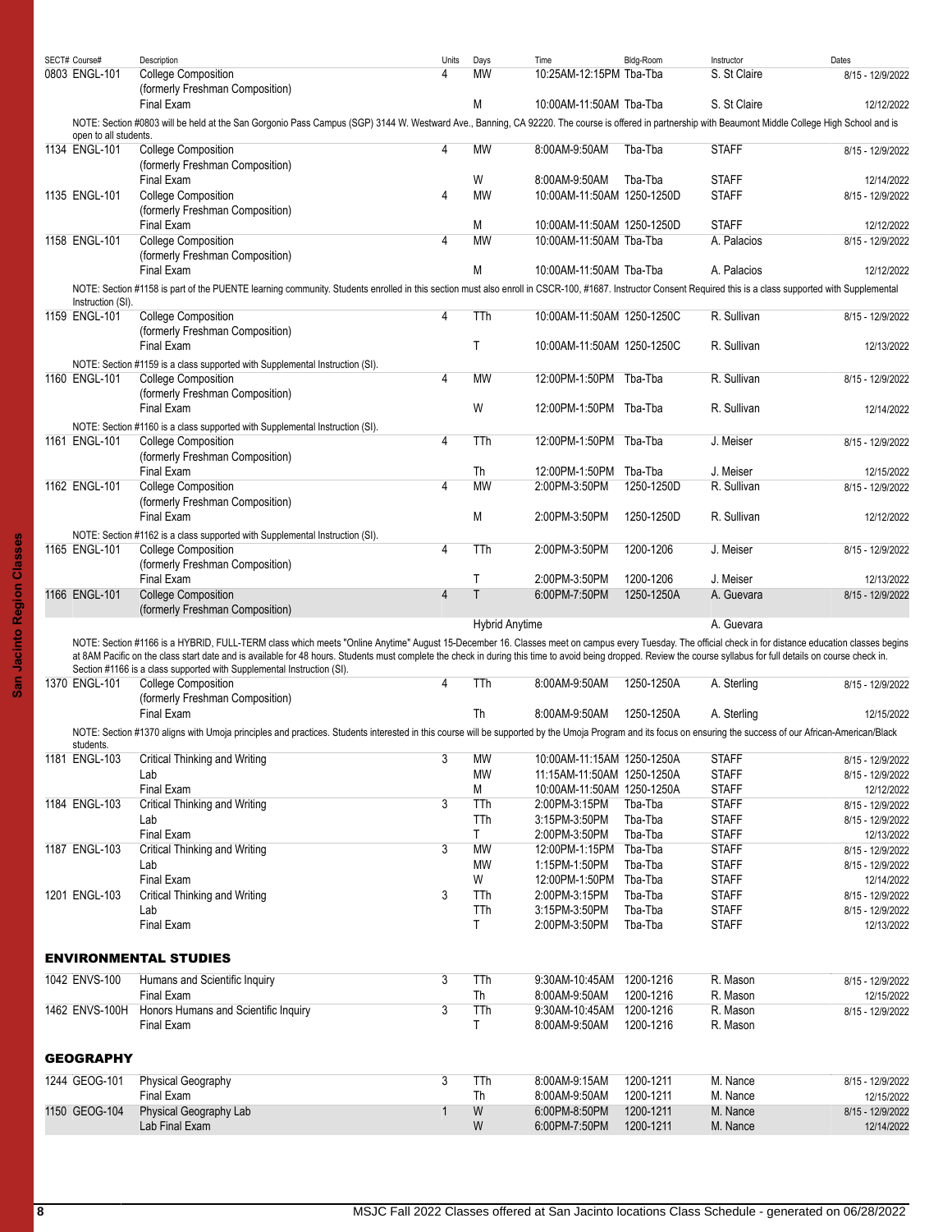<span id="page-7-1"></span><span id="page-7-0"></span>

| SECT# Course#         | Description                                                                                                                                                                                                        | Units          | Days                  | Time                       | Bldg-Room  | Instructor   | Dates            |
|-----------------------|--------------------------------------------------------------------------------------------------------------------------------------------------------------------------------------------------------------------|----------------|-----------------------|----------------------------|------------|--------------|------------------|
| 0803 ENGL-101         | <b>College Composition</b>                                                                                                                                                                                         | 4              | MW                    | 10:25AM-12:15PM Tba-Tba    |            | S. St Claire | 8/15 - 12/9/2022 |
|                       | (formerly Freshman Composition)                                                                                                                                                                                    |                |                       |                            |            |              |                  |
|                       | Final Exam                                                                                                                                                                                                         |                | М                     | 10:00AM-11:50AM Tba-Tba    |            | S. St Claire | 12/12/2022       |
|                       |                                                                                                                                                                                                                    |                |                       |                            |            |              |                  |
| open to all students. | NOTE: Section #0803 will be held at the San Gorgonio Pass Campus (SGP) 3144 W. Westward Ave., Banning, CA 92220. The course is offered in partnership with Beaumont Middle College High School and is              |                |                       |                            |            |              |                  |
| 1134 ENGL-101         | <b>College Composition</b>                                                                                                                                                                                         | 4              | MW                    | 8:00AM-9:50AM              | Tba-Tba    | <b>STAFF</b> | 8/15 - 12/9/2022 |
|                       | (formerly Freshman Composition)                                                                                                                                                                                    |                |                       |                            |            |              |                  |
|                       | Final Exam                                                                                                                                                                                                         |                | W                     | 8:00AM-9:50AM              | Tba-Tba    | <b>STAFF</b> | 12/14/2022       |
| 1135 ENGL-101         | <b>College Composition</b>                                                                                                                                                                                         | 4              | MW                    | 10:00AM-11:50AM 1250-1250D |            | <b>STAFF</b> | 8/15 - 12/9/2022 |
|                       | (formerly Freshman Composition)                                                                                                                                                                                    |                |                       |                            |            |              |                  |
|                       | Final Exam                                                                                                                                                                                                         |                | М                     | 10:00AM-11:50AM 1250-1250D |            | <b>STAFF</b> | 12/12/2022       |
| 1158 ENGL-101         | <b>College Composition</b>                                                                                                                                                                                         | 4              | MW                    | 10:00AM-11:50AM Tba-Tba    |            | A. Palacios  | 8/15 - 12/9/2022 |
|                       | (formerly Freshman Composition)                                                                                                                                                                                    |                |                       |                            |            |              |                  |
|                       | Final Exam                                                                                                                                                                                                         |                | М                     | 10:00AM-11:50AM Tba-Tba    |            | A. Palacios  | 12/12/2022       |
|                       |                                                                                                                                                                                                                    |                |                       |                            |            |              |                  |
| Instruction (SI).     | NOTE: Section #1158 is part of the PUENTE learning community. Students enrolled in this section must also enroll in CSCR-100, #1687. Instructor Consent Required this is a class supported with Supplemental       |                |                       |                            |            |              |                  |
| 1159 ENGL-101         | <b>College Composition</b>                                                                                                                                                                                         | 4              | TTh                   | 10:00AM-11:50AM 1250-1250C |            | R. Sullivan  | 8/15 - 12/9/2022 |
|                       | (formerly Freshman Composition)                                                                                                                                                                                    |                |                       |                            |            |              |                  |
|                       | Final Exam                                                                                                                                                                                                         |                | $\mathsf{T}$          | 10:00AM-11:50AM 1250-1250C |            | R. Sullivan  | 12/13/2022       |
|                       |                                                                                                                                                                                                                    |                |                       |                            |            |              |                  |
|                       | NOTE: Section #1159 is a class supported with Supplemental Instruction (SI).                                                                                                                                       |                |                       |                            |            |              |                  |
| 1160 ENGL-101         | <b>College Composition</b>                                                                                                                                                                                         | 4              | MW                    | 12:00PM-1:50PM Tba-Tba     |            | R. Sullivan  | 8/15 - 12/9/2022 |
|                       | (formerly Freshman Composition)                                                                                                                                                                                    |                |                       |                            |            |              |                  |
|                       | Final Exam                                                                                                                                                                                                         |                | W                     | 12:00PM-1:50PM Tba-Tba     |            | R. Sullivan  | 12/14/2022       |
|                       | NOTE: Section #1160 is a class supported with Supplemental Instruction (SI).                                                                                                                                       |                |                       |                            |            |              |                  |
| 1161 ENGL-101         | <b>College Composition</b>                                                                                                                                                                                         | 4              | TTh                   | 12:00PM-1:50PM Tba-Tba     |            | J. Meiser    | 8/15 - 12/9/2022 |
|                       | (formerly Freshman Composition)                                                                                                                                                                                    |                |                       |                            |            |              |                  |
|                       | Final Exam                                                                                                                                                                                                         |                | Th                    | 12:00PM-1:50PM Tba-Tba     |            | J. Meiser    | 12/15/2022       |
| 1162 ENGL-101         | <b>College Composition</b>                                                                                                                                                                                         | 4              | MW                    | 2:00PM-3:50PM              | 1250-1250D | R. Sullivan  | 8/15 - 12/9/2022 |
|                       | (formerly Freshman Composition)                                                                                                                                                                                    |                |                       |                            |            |              |                  |
|                       | Final Exam                                                                                                                                                                                                         |                | М                     | 2:00PM-3:50PM              | 1250-1250D | R. Sullivan  | 12/12/2022       |
|                       | NOTE: Section #1162 is a class supported with Supplemental Instruction (SI).                                                                                                                                       |                |                       |                            |            |              |                  |
| 1165 ENGL-101         | <b>College Composition</b>                                                                                                                                                                                         | 4              | TTh                   | 2:00PM-3:50PM              | 1200-1206  | J. Meiser    | 8/15 - 12/9/2022 |
|                       | (formerly Freshman Composition)                                                                                                                                                                                    |                |                       |                            |            |              |                  |
|                       | Final Exam                                                                                                                                                                                                         |                | T                     | 2:00PM-3:50PM              | 1200-1206  | J. Meiser    | 12/13/2022       |
| 1166 ENGL-101         | <b>College Composition</b>                                                                                                                                                                                         | $\overline{4}$ | T                     | 6:00PM-7:50PM              | 1250-1250A | A. Guevara   | 8/15 - 12/9/2022 |
|                       | (formerly Freshman Composition)                                                                                                                                                                                    |                |                       |                            |            |              |                  |
|                       |                                                                                                                                                                                                                    |                | <b>Hybrid Anytime</b> |                            |            | A. Guevara   |                  |
|                       | NOTE: Section #1166 is a HYBRID, FULL-TERM class which meets "Online Anytime" August 15-December 16. Classes meet on campus every Tuesday. The official check in for distance education classes begins             |                |                       |                            |            |              |                  |
|                       | at 8AM Pacific on the class start date and is available for 48 hours. Students must complete the check in during this time to avoid being dropped. Review the course syllabus for full details on course check in. |                |                       |                            |            |              |                  |
|                       | Section #1166 is a class supported with Supplemental Instruction (SI).                                                                                                                                             |                |                       |                            |            |              |                  |
| 1370 ENGL-101         | <b>College Composition</b>                                                                                                                                                                                         | 4              | TTh                   | 8:00AM-9:50AM              | 1250-1250A | A. Sterling  | 8/15 - 12/9/2022 |
|                       | (formerly Freshman Composition)                                                                                                                                                                                    |                |                       |                            |            |              |                  |
|                       | Final Exam                                                                                                                                                                                                         |                | Th                    | 8:00AM-9:50AM              | 1250-1250A | A. Sterling  | 12/15/2022       |
|                       | NOTE: Section #1370 aligns with Umoja principles and practices. Students interested in this course will be supported by the Umoja Program and its focus on ensuring the success of our African-American/Black      |                |                       |                            |            |              |                  |
| students.             |                                                                                                                                                                                                                    |                |                       |                            |            |              |                  |
| 1181 ENGL-103         | Critical Thinking and Writing                                                                                                                                                                                      | 3              | МW                    | 10:00AM-11:15AM 1250-1250A |            | <b>STAFF</b> | 8/15 - 12/9/2022 |
|                       | Lab                                                                                                                                                                                                                |                | <b>MW</b>             | 11:15AM-11:50AM 1250-1250A |            | <b>STAFF</b> | 8/15 - 12/9/2022 |
|                       | Final Exam                                                                                                                                                                                                         |                | M                     | 10:00AM-11:50AM 1250-1250A |            | <b>STAFF</b> | 12/12/2022       |
| 1184 ENGL-103         | Critical Thinking and Writing                                                                                                                                                                                      | 3              | <b>TTh</b>            | 2:00PM-3:15PM              | Tba-Tba    | <b>STAFF</b> | 8/15 - 12/9/2022 |
|                       | Lab                                                                                                                                                                                                                |                | TTh                   | 3:15PM-3:50PM              | Tba-Tba    | <b>STAFF</b> | 8/15 - 12/9/2022 |
|                       | Final Exam                                                                                                                                                                                                         |                | $\mathsf{T}$          | 2:00PM-3:50PM              | Tba-Tba    | <b>STAFF</b> | 12/13/2022       |
| 1187 ENGL-103         | Critical Thinking and Writing                                                                                                                                                                                      | 3              | <b>MW</b>             | 12:00PM-1:15PM Tba-Tba     |            | <b>STAFF</b> | 8/15 - 12/9/2022 |
|                       | Lab                                                                                                                                                                                                                |                | <b>MW</b>             | 1:15PM-1:50PM              | Tba-Tba    | <b>STAFF</b> | 8/15 - 12/9/2022 |
|                       | Final Exam                                                                                                                                                                                                         |                | W                     | 12:00PM-1:50PM             | Tba-Tba    | <b>STAFF</b> | 12/14/2022       |
| 1201 ENGL-103         | Critical Thinking and Writing                                                                                                                                                                                      | 3              | TTh                   | 2:00PM-3:15PM              | Tba-Tba    | <b>STAFF</b> | 8/15 - 12/9/2022 |
|                       | Lab                                                                                                                                                                                                                |                | TTh                   | 3:15PM-3:50PM              | Tba-Tba    | <b>STAFF</b> | 8/15 - 12/9/2022 |
|                       | Final Exam                                                                                                                                                                                                         |                | T.                    | 2:00PM-3:50PM              | Tba-Tba    | <b>STAFF</b> | 12/13/2022       |
|                       |                                                                                                                                                                                                                    |                |                       |                            |            |              |                  |
|                       |                                                                                                                                                                                                                    |                |                       |                            |            |              |                  |
|                       | <b>ENVIRONMENTAL STUDIES</b>                                                                                                                                                                                       |                |                       |                            |            |              |                  |
| 1042 ENVS-100         | Humans and Scientific Inquiry                                                                                                                                                                                      | $\overline{3}$ | TTh                   | 9:30AM-10:45AM 1200-1216   |            | R. Mason     | 8/15 - 12/9/2022 |
|                       | Final Exam                                                                                                                                                                                                         |                | Th                    | 8:00AM-9:50AM              | 1200-1216  | R. Mason     | 12/15/2022       |
| 1462 ENVS-100H        | Honors Humans and Scientific Inquiry                                                                                                                                                                               | 3              | TTh                   | 9:30AM-10:45AM 1200-1216   |            | R. Mason     | 8/15 - 12/9/2022 |
|                       | Final Exam                                                                                                                                                                                                         |                | Τ                     | 8:00AM-9:50AM              | 1200-1216  | R. Mason     |                  |
|                       |                                                                                                                                                                                                                    |                |                       |                            |            |              |                  |
| <b>GEOGRAPHY</b>      |                                                                                                                                                                                                                    |                |                       |                            |            |              |                  |
|                       |                                                                                                                                                                                                                    |                |                       |                            |            |              |                  |
| 1244 GEOG-101         | <b>Physical Geography</b>                                                                                                                                                                                          | 3              | TTh                   | 8:00AM-9:15AM              | 1200-1211  | M. Nance     | 8/15 - 12/9/2022 |
|                       | Final Exam                                                                                                                                                                                                         |                | Th                    | 8:00AM-9:50AM              | 1200-1211  | M. Nance     | 12/15/2022       |
| 1150 GEOG-104         | Physical Geography Lab                                                                                                                                                                                             | $\mathbf{1}$   | W                     | 6:00PM-8:50PM              | 1200-1211  | M. Nance     | 8/15 - 12/9/2022 |
|                       | Lab Final Exam                                                                                                                                                                                                     |                | W                     | 6:00PM-7:50PM              | 1200-1211  | M. Nance     | 12/14/2022       |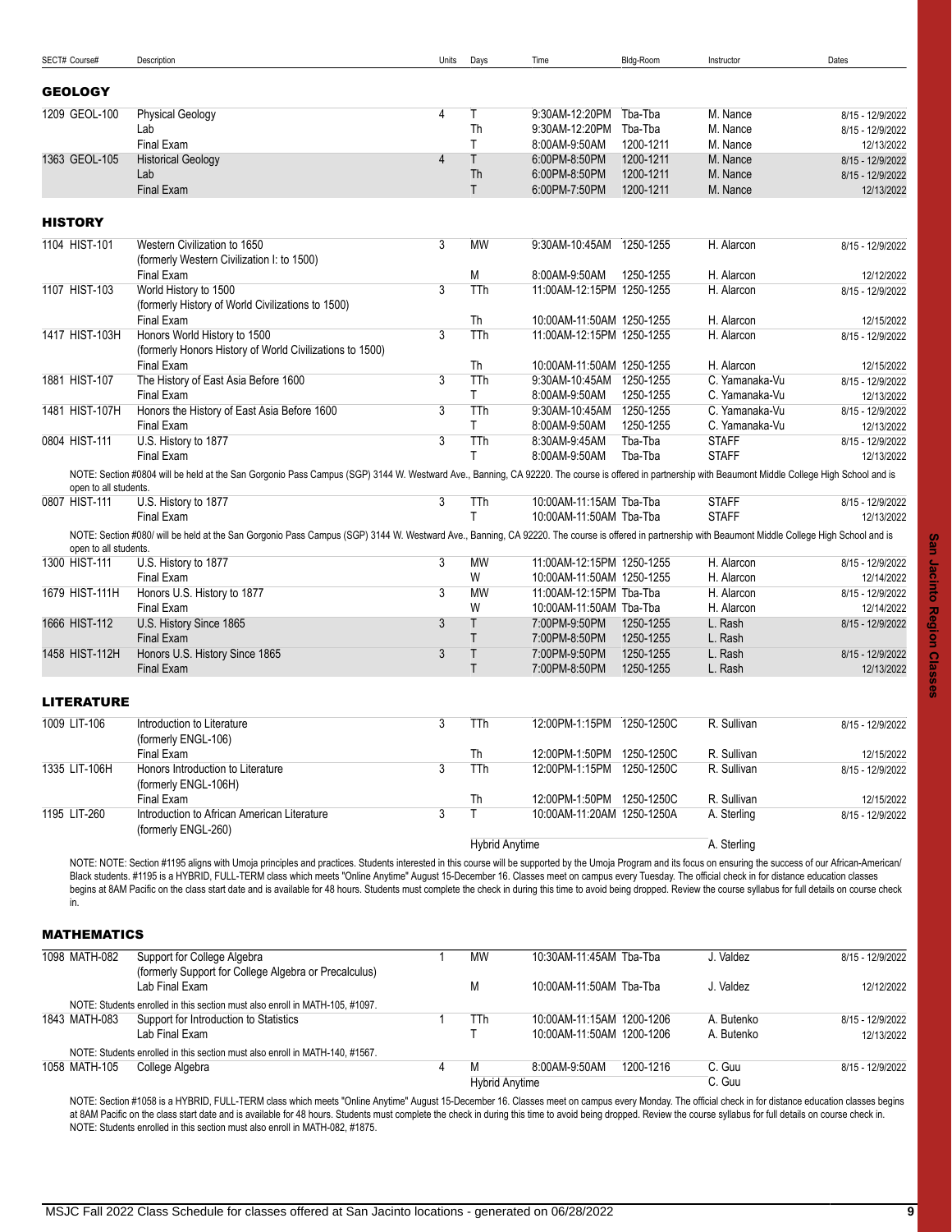<span id="page-8-1"></span><span id="page-8-0"></span>

| SECT# Course#         | Description                                                                                                                                                                                                                                                                                                                                                                                                                | Units | Days                  | Time                       | Bldg-Room              | Instructor     | Dates            |
|-----------------------|----------------------------------------------------------------------------------------------------------------------------------------------------------------------------------------------------------------------------------------------------------------------------------------------------------------------------------------------------------------------------------------------------------------------------|-------|-----------------------|----------------------------|------------------------|----------------|------------------|
| <b>GEOLOGY</b>        |                                                                                                                                                                                                                                                                                                                                                                                                                            |       |                       |                            |                        |                |                  |
|                       |                                                                                                                                                                                                                                                                                                                                                                                                                            |       |                       |                            |                        |                |                  |
| 1209 GEOL-100         | <b>Physical Geology</b>                                                                                                                                                                                                                                                                                                                                                                                                    | 4     | Τ                     | 9:30AM-12:20PM             | Tba-Tba                | M. Nance       | 8/15 - 12/9/2022 |
|                       | Lab                                                                                                                                                                                                                                                                                                                                                                                                                        |       | Th                    | 9:30AM-12:20PM             | Tba-Tba                | M. Nance       | 8/15 - 12/9/2022 |
|                       | Final Exam                                                                                                                                                                                                                                                                                                                                                                                                                 |       | T                     | 8:00AM-9:50AM              | 1200-1211              | M. Nance       | 12/13/2022       |
| 1363 GEOL-105         | <b>Historical Geology</b>                                                                                                                                                                                                                                                                                                                                                                                                  | 4     | T                     | 6:00PM-8:50PM              | 1200-1211              | M. Nance       | 8/15 - 12/9/2022 |
|                       | Lab                                                                                                                                                                                                                                                                                                                                                                                                                        |       | Th                    | 6:00PM-8:50PM              | 1200-1211              | M. Nance       | 8/15 - 12/9/2022 |
|                       | <b>Final Exam</b>                                                                                                                                                                                                                                                                                                                                                                                                          |       | $\mathsf{T}$          | 6:00PM-7:50PM              | 1200-1211              | M. Nance       | 12/13/2022       |
| <b>HISTORY</b>        |                                                                                                                                                                                                                                                                                                                                                                                                                            |       |                       |                            |                        |                |                  |
| 1104 HIST-101         | Western Civilization to 1650                                                                                                                                                                                                                                                                                                                                                                                               | 3     | <b>MW</b>             | 9:30AM-10:45AM             | 1250-1255              | H. Alarcon     | 8/15 - 12/9/2022 |
|                       | (formerly Western Civilization I: to 1500)                                                                                                                                                                                                                                                                                                                                                                                 |       |                       |                            |                        |                |                  |
|                       | Final Exam                                                                                                                                                                                                                                                                                                                                                                                                                 |       | M                     | 8:00AM-9:50AM              | 1250-1255              | H. Alarcon     | 12/12/2022       |
| 1107 HIST-103         | World History to 1500                                                                                                                                                                                                                                                                                                                                                                                                      | 3     | TTh                   | 11:00AM-12:15PM 1250-1255  |                        | H. Alarcon     | 8/15 - 12/9/2022 |
|                       | (formerly History of World Civilizations to 1500)<br>Final Exam                                                                                                                                                                                                                                                                                                                                                            |       | Th                    | 10:00AM-11:50AM 1250-1255  |                        | H. Alarcon     | 12/15/2022       |
| 1417 HIST-103H        | Honors World History to 1500                                                                                                                                                                                                                                                                                                                                                                                               | 3     | <b>TTh</b>            | 11:00AM-12:15PM 1250-1255  |                        | H. Alarcon     | 8/15 - 12/9/2022 |
|                       | (formerly Honors History of World Civilizations to 1500)                                                                                                                                                                                                                                                                                                                                                                   |       |                       |                            |                        |                |                  |
|                       | <b>Final Exam</b>                                                                                                                                                                                                                                                                                                                                                                                                          |       | Th                    | 10:00AM-11:50AM 1250-1255  |                        | H. Alarcon     | 12/15/2022       |
| 1881 HIST-107         | The History of East Asia Before 1600                                                                                                                                                                                                                                                                                                                                                                                       | 3     | TTh                   | 9:30AM-10:45AM             | 1250-1255              | C. Yamanaka-Vu | 8/15 - 12/9/2022 |
|                       | Final Exam                                                                                                                                                                                                                                                                                                                                                                                                                 |       | T.                    | 8:00AM-9:50AM              | 1250-1255              | C. Yamanaka-Vu | 12/13/2022       |
| 1481 HIST-107H        | Honors the History of East Asia Before 1600                                                                                                                                                                                                                                                                                                                                                                                | 3     | TTh                   | 9:30AM-10:45AM             | 1250-1255              | C. Yamanaka-Vu | 8/15 - 12/9/2022 |
|                       | <b>Final Exam</b>                                                                                                                                                                                                                                                                                                                                                                                                          |       | T.                    | 8:00AM-9:50AM              | 1250-1255              | C. Yamanaka-Vu | 12/13/2022       |
| 0804 HIST-111         | U.S. History to 1877                                                                                                                                                                                                                                                                                                                                                                                                       | 3     | TTh                   | 8:30AM-9:45AM              | Tba-Tba                | <b>STAFF</b>   | 8/15 - 12/9/2022 |
|                       | <b>Final Exam</b>                                                                                                                                                                                                                                                                                                                                                                                                          |       | T                     | 8:00AM-9:50AM              | Tba-Tba                | <b>STAFF</b>   | 12/13/2022       |
|                       | NOTE: Section #0804 will be held at the San Gorgonio Pass Campus (SGP) 3144 W. Westward Ave., Banning, CA 92220. The course is offered in partnership with Beaumont Middle College High School and is                                                                                                                                                                                                                      |       |                       |                            |                        |                |                  |
| open to all students. |                                                                                                                                                                                                                                                                                                                                                                                                                            |       |                       |                            |                        |                |                  |
| 0807 HIST-111         | U.S. History to 1877                                                                                                                                                                                                                                                                                                                                                                                                       | 3     | TTh                   | 10:00AM-11:15AM Tba-Tba    |                        | <b>STAFF</b>   | 8/15 - 12/9/2022 |
|                       | Final Exam                                                                                                                                                                                                                                                                                                                                                                                                                 |       | T.                    | 10:00AM-11:50AM Tba-Tba    |                        | <b>STAFF</b>   | 12/13/2022       |
|                       | NOTE: Section #080/ will be held at the San Gorgonio Pass Campus (SGP) 3144 W. Westward Ave., Banning, CA 92220. The course is offered in partnership with Beaumont Middle College High School and is                                                                                                                                                                                                                      |       |                       |                            |                        |                |                  |
| open to all students. |                                                                                                                                                                                                                                                                                                                                                                                                                            |       |                       |                            |                        |                |                  |
| 1300 HIST-111         | U.S. History to 1877                                                                                                                                                                                                                                                                                                                                                                                                       | 3     | <b>MW</b>             | 11:00AM-12:15PM 1250-1255  |                        | H. Alarcon     | 8/15 - 12/9/2022 |
|                       | Final Exam                                                                                                                                                                                                                                                                                                                                                                                                                 |       | W                     | 10:00AM-11:50AM 1250-1255  |                        | H. Alarcon     | 12/14/2022       |
| 1679 HIST-111H        | Honors U.S. History to 1877                                                                                                                                                                                                                                                                                                                                                                                                | 3     | <b>MW</b>             | 11:00AM-12:15PM Tba-Tba    |                        | H. Alarcon     | 8/15 - 12/9/2022 |
|                       | <b>Final Exam</b>                                                                                                                                                                                                                                                                                                                                                                                                          |       | W                     | 10:00AM-11:50AM Tba-Tba    |                        | H. Alarcon     | 12/14/2022       |
| 1666 HIST-112         | U.S. History Since 1865                                                                                                                                                                                                                                                                                                                                                                                                    | 3     | T                     | 7:00PM-9:50PM              | 1250-1255              | L. Rash        | 8/15 - 12/9/2022 |
|                       | <b>Final Exam</b>                                                                                                                                                                                                                                                                                                                                                                                                          |       | T                     | 7:00PM-8:50PM              | 1250-1255              | L. Rash        |                  |
| 1458 HIST-112H        | Honors U.S. History Since 1865                                                                                                                                                                                                                                                                                                                                                                                             | 3     | T<br>$\mathsf{T}$     | 7:00PM-9:50PM              | 1250-1255<br>1250-1255 | L. Rash        | 8/15 - 12/9/2022 |
|                       | <b>Final Exam</b>                                                                                                                                                                                                                                                                                                                                                                                                          |       |                       | 7:00PM-8:50PM              |                        | L. Rash        | 12/13/2022       |
| <b>LITERATURE</b>     |                                                                                                                                                                                                                                                                                                                                                                                                                            |       |                       |                            |                        |                |                  |
| 1009 LIT-106          | Introduction to Literature                                                                                                                                                                                                                                                                                                                                                                                                 | 3     | TTh                   | 12:00PM-1:15PM             | 1250-1250C             | R. Sullivan    | 8/15 - 12/9/2022 |
|                       | (formerly ENGL-106)                                                                                                                                                                                                                                                                                                                                                                                                        |       |                       |                            |                        |                |                  |
|                       | Final Exam                                                                                                                                                                                                                                                                                                                                                                                                                 |       | Th                    | 12:00PM-1:50PM 1250-1250C  |                        | R. Sullivan    | 12/15/2022       |
| 1335 LIT-106H         | Honors Introduction to Literature                                                                                                                                                                                                                                                                                                                                                                                          | 3     | TTh                   | 12:00PM-1:15PM 1250-1250C  |                        | R. Sullivan    | 8/15 - 12/9/2022 |
|                       | (formerly ENGL-106H)                                                                                                                                                                                                                                                                                                                                                                                                       |       |                       |                            |                        |                |                  |
|                       | Final Exam                                                                                                                                                                                                                                                                                                                                                                                                                 |       | Th                    | 12:00PM-1:50PM 1250-1250C  |                        | R. Sullivan    | 12/15/2022       |
| 1195 LIT-260          | Introduction to African American Literature                                                                                                                                                                                                                                                                                                                                                                                | 3     | T                     | 10:00AM-11:20AM 1250-1250A |                        | A. Sterling    | 8/15 - 12/9/2022 |
|                       | (formerly ENGL-260)                                                                                                                                                                                                                                                                                                                                                                                                        |       | <b>Hybrid Anytime</b> |                            |                        | A. Sterling    |                  |
|                       | NOTE: NOTE: Section #1195 aligns with Umoja principles and practices. Students interested in this course will be supported by the Umoja Program and its focus on ensuring the success of our African-American/                                                                                                                                                                                                             |       |                       |                            |                        |                |                  |
| in.                   | Black students. #1195 is a HYBRID, FULL-TERM class which meets "Online Anytime" August 15-December 16. Classes meet on campus every Tuesday. The official check in for distance education classes<br>begins at 8AM Pacific on the class start date and is available for 48 hours. Students must complete the check in during this time to avoid being dropped. Review the course syllabus for full details on course check |       |                       |                            |                        |                |                  |

# <span id="page-8-3"></span><span id="page-8-2"></span>MATHEMATICS

| 1098 MATH-082 | Support for College Algebra<br>(formerly Support for College Algebra or Precalculus) |   | MW                    | 10:30AM-11:45AM Tba-Tba    | J. Valdez  | 8/15 - 12/9/2022 |
|---------------|--------------------------------------------------------------------------------------|---|-----------------------|----------------------------|------------|------------------|
|               | Lab Final Exam                                                                       |   | М                     | 10:00AM-11:50AM Tba-Tba    | J. Valdez  | 12/12/2022       |
|               | NOTE: Students enrolled in this section must also enroll in MATH-105, #1097.         |   |                       |                            |            |                  |
| 1843 MATH-083 | Support for Introduction to Statistics                                               |   | TTh                   | 10:00AM-11:15AM 1200-1206  | A. Butenko | 8/15 - 12/9/2022 |
|               | Lab Final Exam                                                                       |   |                       | 10:00AM-11:50AM 1200-1206  | A. Butenko | 12/13/2022       |
|               | NOTE: Students enrolled in this section must also enroll in MATH-140, #1567.         |   |                       |                            |            |                  |
| 1058 MATH-105 | College Algebra                                                                      | 4 | M                     | 8:00AM-9:50AM<br>1200-1216 | C. Guu     | 8/15 - 12/9/2022 |
|               |                                                                                      |   | <b>Hybrid Anytime</b> |                            | C. Guu     |                  |

NOTE: Section #1058 is a HYBRID, FULL-TERM class which meets "Online Anytime" August 15-December 16. Classes meet on campus every Monday. The official check in for distance education classes begins at 8AM Pacific on the class start date and is available for 48 hours. Students must complete the check in during this time to avoid being dropped. Review the course syllabus for full details on course check in. NOTE: Students enrolled in this section must also enroll in MATH-082, #1875.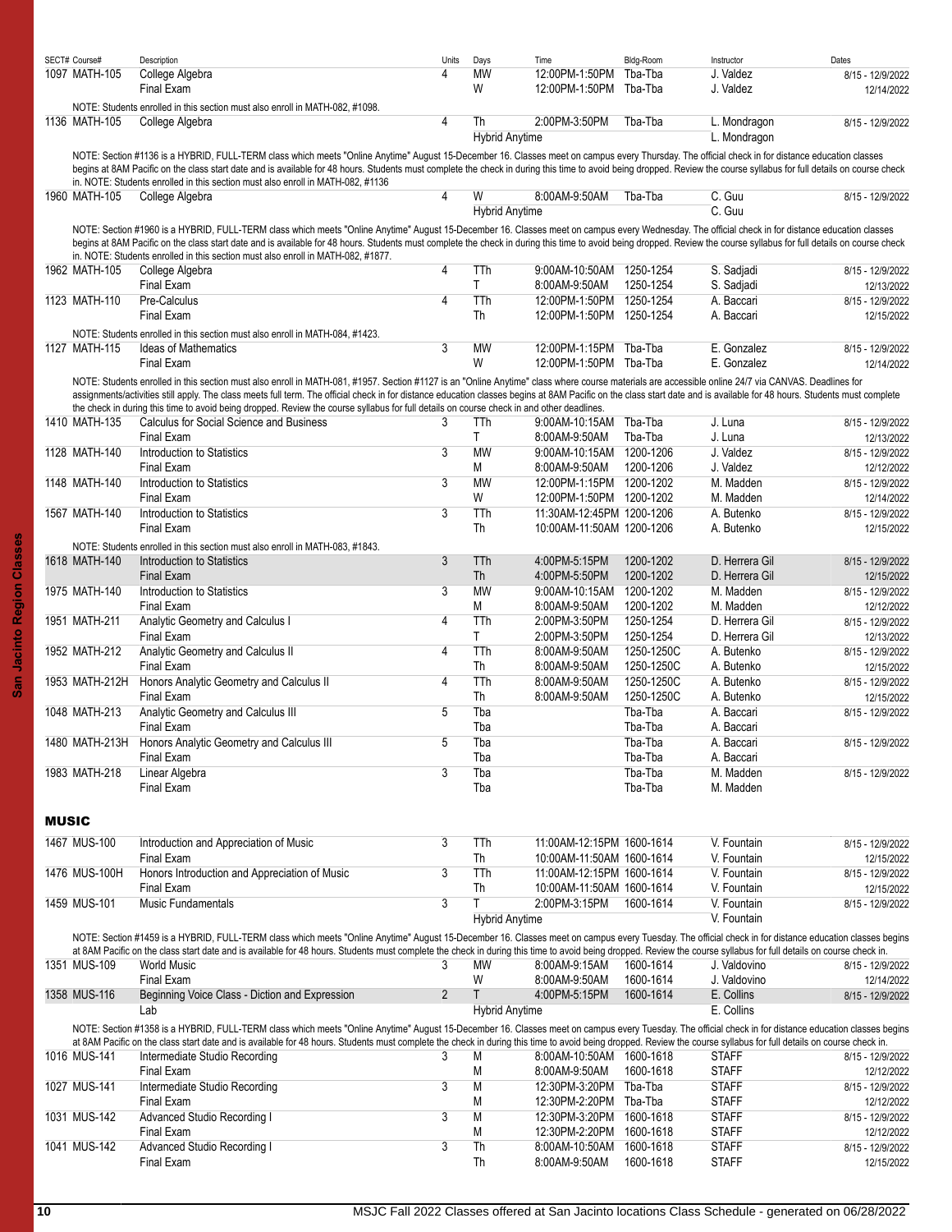<span id="page-9-0"></span>

|              | SECT# Course#  | Description                                                                                                                                                                                                             | Units | Days                  | Time                      | Bldg-Room  | Instructor     | Dates            |
|--------------|----------------|-------------------------------------------------------------------------------------------------------------------------------------------------------------------------------------------------------------------------|-------|-----------------------|---------------------------|------------|----------------|------------------|
|              | 1097 MATH-105  | College Algebra                                                                                                                                                                                                         | 4     | <b>MW</b>             | 12:00PM-1:50PM            | Tba-Tba    | J. Valdez      | 8/15 - 12/9/2022 |
|              |                | Final Exam                                                                                                                                                                                                              |       | W                     | 12:00PM-1:50PM Tba-Tba    |            | J. Valdez      | 12/14/2022       |
|              |                |                                                                                                                                                                                                                         |       |                       |                           |            |                |                  |
|              |                | NOTE: Students enrolled in this section must also enroll in MATH-082, #1098.                                                                                                                                            |       |                       |                           |            |                |                  |
|              | 1136 MATH-105  | College Algebra                                                                                                                                                                                                         | 4     | Th                    | 2:00PM-3:50PM             | Tba-Tba    | L. Mondragon   | 8/15 - 12/9/2022 |
|              |                |                                                                                                                                                                                                                         |       | <b>Hybrid Anytime</b> |                           |            | L. Mondragon   |                  |
|              |                | NOTE: Section #1136 is a HYBRID, FULL-TERM class which meets "Online Anytime" August 15-December 16. Classes meet on campus every Thursday. The official check in for distance education classes                        |       |                       |                           |            |                |                  |
|              |                | begins at 8AM Pacific on the class start date and is available for 48 hours. Students must complete the check in during this time to avoid being dropped. Review the course syllabus for full details on course check   |       |                       |                           |            |                |                  |
|              |                | in. NOTE: Students enrolled in this section must also enroll in MATH-082, #1136                                                                                                                                         |       |                       |                           |            |                |                  |
|              | 1960 MATH-105  | College Algebra                                                                                                                                                                                                         | 4     | W                     | 8:00AM-9:50AM             | Tba-Tba    | C. Guu         | 8/15 - 12/9/2022 |
|              |                |                                                                                                                                                                                                                         |       | <b>Hybrid Anytime</b> |                           |            | C. Guu         |                  |
|              |                |                                                                                                                                                                                                                         |       |                       |                           |            |                |                  |
|              |                | NOTE: Section #1960 is a HYBRID, FULL-TERM class which meets "Online Anytime" August 15-December 16. Classes meet on campus every Wednesday. The official check in for distance education classes                       |       |                       |                           |            |                |                  |
|              |                | begins at 8AM Pacific on the class start date and is available for 48 hours. Students must complete the check in during this time to avoid being dropped. Review the course syllabus for full details on course check   |       |                       |                           |            |                |                  |
|              |                | in. NOTE: Students enrolled in this section must also enroll in MATH-082, #1877.                                                                                                                                        |       |                       |                           |            |                |                  |
|              | 1962 MATH-105  | College Algebra                                                                                                                                                                                                         | 4     | TTh                   | 9:00AM-10:50AM 1250-1254  |            | S. Sadjadi     | 8/15 - 12/9/2022 |
|              |                | Final Exam                                                                                                                                                                                                              |       | T.                    | 8:00AM-9:50AM             | 1250-1254  | S. Sadjadi     | 12/13/2022       |
|              | 1123 MATH-110  | Pre-Calculus                                                                                                                                                                                                            | 4     | TTh                   | 12:00PM-1:50PM 1250-1254  |            | A. Baccari     | 8/15 - 12/9/2022 |
|              |                | Final Exam                                                                                                                                                                                                              |       | Th                    | 12:00PM-1:50PM 1250-1254  |            | A. Baccari     | 12/15/2022       |
|              |                |                                                                                                                                                                                                                         |       |                       |                           |            |                |                  |
|              |                | NOTE: Students enrolled in this section must also enroll in MATH-084, #1423.                                                                                                                                            |       |                       |                           |            |                |                  |
|              | 1127 MATH-115  | <b>Ideas of Mathematics</b>                                                                                                                                                                                             | 3     | MW                    | 12:00PM-1:15PM Tba-Tba    |            | E. Gonzalez    | 8/15 - 12/9/2022 |
|              |                | Final Exam                                                                                                                                                                                                              |       | W                     | 12:00PM-1:50PM Tba-Tba    |            | E. Gonzalez    | 12/14/2022       |
|              |                | NOTE: Students enrolled in this section must also enroll in MATH-081, #1957. Section #1127 is an "Online Anytime" class where course materials are accessible online 24/7 via CANVAS. Deadlines for                     |       |                       |                           |            |                |                  |
|              |                | assignments/activities still apply. The class meets full term. The official check in for distance education classes begins at 8AM Pacific on the class start date and is available for 48 hours. Students must complete |       |                       |                           |            |                |                  |
|              |                | the check in during this time to avoid being dropped. Review the course syllabus for full details on course check in and other deadlines.                                                                               |       |                       |                           |            |                |                  |
|              | 1410 MATH-135  | Calculus for Social Science and Business                                                                                                                                                                                | 3     | TTh                   | 9:00AM-10:15AM Tba-Tba    |            | J. Luna        |                  |
|              |                |                                                                                                                                                                                                                         |       |                       |                           |            |                | 8/15 - 12/9/2022 |
|              |                | Final Exam                                                                                                                                                                                                              |       | T.                    | 8:00AM-9:50AM             | Tba-Tba    | J. Luna        | 12/13/2022       |
|              | 1128 MATH-140  | Introduction to Statistics                                                                                                                                                                                              | 3     | <b>MW</b>             | 9:00AM-10:15AM 1200-1206  |            | J. Valdez      | 8/15 - 12/9/2022 |
|              |                | Final Exam                                                                                                                                                                                                              |       | M                     | 8:00AM-9:50AM             | 1200-1206  | J. Valdez      | 12/12/2022       |
|              | 1148 MATH-140  | Introduction to Statistics                                                                                                                                                                                              | 3     | <b>MW</b>             | 12:00PM-1:15PM 1200-1202  |            | M. Madden      | 8/15 - 12/9/2022 |
|              |                | Final Exam                                                                                                                                                                                                              |       | W                     | 12:00PM-1:50PM 1200-1202  |            | M. Madden      | 12/14/2022       |
|              | 1567 MATH-140  | Introduction to Statistics                                                                                                                                                                                              | 3     | TTh                   | 11:30AM-12:45PM 1200-1206 |            | A. Butenko     |                  |
|              |                |                                                                                                                                                                                                                         |       |                       |                           |            |                | 8/15 - 12/9/2022 |
|              |                | Final Exam                                                                                                                                                                                                              |       | Th                    | 10:00AM-11:50AM 1200-1206 |            | A. Butenko     | 12/15/2022       |
|              |                | NOTE: Students enrolled in this section must also enroll in MATH-083, #1843.                                                                                                                                            |       |                       |                           |            |                |                  |
|              | 1618 MATH-140  | Introduction to Statistics                                                                                                                                                                                              | 3     | TTh                   | 4:00PM-5:15PM             | 1200-1202  | D. Herrera Gil | 8/15 - 12/9/2022 |
|              |                | Final Exam                                                                                                                                                                                                              |       | Th                    | 4:00PM-5:50PM             | 1200-1202  | D. Herrera Gil | 12/15/2022       |
|              | 1975 MATH-140  | Introduction to Statistics                                                                                                                                                                                              | 3     | <b>MW</b>             | 9:00AM-10:15AM            | 1200-1202  | M. Madden      | 8/15 - 12/9/2022 |
|              |                |                                                                                                                                                                                                                         |       |                       |                           |            |                |                  |
|              |                | Final Exam                                                                                                                                                                                                              |       | M                     | 8:00AM-9:50AM             | 1200-1202  | M. Madden      | 12/12/2022       |
|              | 1951 MATH-211  | Analytic Geometry and Calculus I                                                                                                                                                                                        | 4     | TTh                   | 2:00PM-3:50PM             | 1250-1254  | D. Herrera Gil | 8/15 - 12/9/2022 |
|              |                | Final Exam                                                                                                                                                                                                              |       | T                     | 2:00PM-3:50PM             | 1250-1254  | D. Herrera Gil | 12/13/2022       |
|              | 1952 MATH-212  | Analytic Geometry and Calculus II                                                                                                                                                                                       | 4     | TTh                   | 8:00AM-9:50AM             | 1250-1250C | A. Butenko     | 8/15 - 12/9/2022 |
|              |                | Final Exam                                                                                                                                                                                                              |       | Th                    | 8:00AM-9:50AM             | 1250-1250C | A. Butenko     | 12/15/2022       |
|              | 1953 MATH-212H | Honors Analytic Geometry and Calculus II                                                                                                                                                                                | 4     | TTh                   | 8:00AM-9:50AM             | 1250-1250C | A. Butenko     |                  |
|              |                |                                                                                                                                                                                                                         |       |                       |                           |            |                | 8/15 - 12/9/2022 |
|              |                | Final Exam                                                                                                                                                                                                              |       | Th                    | 8:00AM-9:50AM             | 1250-1250C | A. Butenko     | 12/15/2022       |
|              | 1048 MATH-213  | Analytic Geometry and Calculus III                                                                                                                                                                                      | 5     | Tba                   |                           | Tba-Tba    | A. Baccari     | 8/15 - 12/9/2022 |
|              |                | Final Exam                                                                                                                                                                                                              |       | Tba                   |                           | Tba-Tba    | A. Baccari     |                  |
|              |                | 1480 MATH-213H Honors Analytic Geometry and Calculus III                                                                                                                                                                | 5     | Tba                   |                           | Tba-Tba    | A. Baccari     | 8/15 - 12/9/2022 |
|              |                | Final Exam                                                                                                                                                                                                              |       | Tba                   |                           | Tba-Tba    | A. Baccari     |                  |
|              | 1983 MATH-218  |                                                                                                                                                                                                                         | 3     | Tba                   |                           | Tba-Tba    | M. Madden      | 8/15 - 12/9/2022 |
|              |                | Linear Algebra                                                                                                                                                                                                          |       |                       |                           |            |                |                  |
|              |                | Final Exam                                                                                                                                                                                                              |       | Tba                   |                           | Tba-Tba    | M. Madden      |                  |
|              |                |                                                                                                                                                                                                                         |       |                       |                           |            |                |                  |
| <b>MUSIC</b> |                |                                                                                                                                                                                                                         |       |                       |                           |            |                |                  |
|              |                |                                                                                                                                                                                                                         |       |                       |                           |            |                |                  |
|              | 1467 MUS-100   | Introduction and Appreciation of Music                                                                                                                                                                                  | 3     | TTh                   | 11:00AM-12:15PM 1600-1614 |            | V. Fountain    | 8/15 - 12/9/2022 |
|              |                | Final Exam                                                                                                                                                                                                              |       | Th                    | 10:00AM-11:50AM 1600-1614 |            | V. Fountain    | 12/15/2022       |
|              | 1476 MUS-100H  | Honors Introduction and Appreciation of Music                                                                                                                                                                           | 3     | TTh                   | 11:00AM-12:15PM 1600-1614 |            | V. Fountain    | 8/15 - 12/9/2022 |
|              |                | Final Exam                                                                                                                                                                                                              |       | Th                    | 10:00AM-11:50AM 1600-1614 |            | V. Fountain    | 12/15/2022       |
|              |                |                                                                                                                                                                                                                         |       |                       |                           |            |                |                  |
|              | 1459 MUS-101   | <b>Music Fundamentals</b>                                                                                                                                                                                               | 3     | T.                    | 2:00PM-3:15PM             | 1600-1614  | V. Fountain    | 8/15 - 12/9/2022 |
|              |                |                                                                                                                                                                                                                         |       | <b>Hybrid Anytime</b> |                           |            | V. Fountain    |                  |
|              |                | NOTE: Section #1459 is a HYBRID, FULL-TERM class which meets "Online Anytime" August 15-December 16. Classes meet on campus every Tuesday. The official check in for distance education classes begins                  |       |                       |                           |            |                |                  |
|              |                | at 8AM Pacific on the class start date and is available for 48 hours. Students must complete the check in during this time to avoid being dropped. Review the course syllabus for full details on course check in.      |       |                       |                           |            |                |                  |
|              | 1351 MUS-109   | <b>World Music</b>                                                                                                                                                                                                      | 3     | МW                    | 8:00AM-9:15AM             | 1600-1614  | J. Valdovino   | 8/15 - 12/9/2022 |
|              |                | Final Exam                                                                                                                                                                                                              |       | W                     | 8:00AM-9:50AM             | 1600-1614  | J. Valdovino   | 12/14/2022       |
|              |                |                                                                                                                                                                                                                         |       |                       |                           |            |                |                  |
|              | 1358 MUS-116   | Beginning Voice Class - Diction and Expression                                                                                                                                                                          | 2     | Τ                     | 4:00PM-5:15PM             | 1600-1614  | E. Collins     | 8/15 - 12/9/2022 |
|              |                | Lab                                                                                                                                                                                                                     |       | <b>Hybrid Anytime</b> |                           |            | E. Collins     |                  |
|              |                | NOTE: Section #1358 is a HYBRID, FULL-TERM class which meets "Online Anytime" August 15-December 16. Classes meet on campus every Tuesday. The official check in for distance education classes begins                  |       |                       |                           |            |                |                  |
|              |                | at 8AM Pacific on the class start date and is available for 48 hours. Students must complete the check in during this time to avoid being dropped. Review the course syllabus for full details on course check in.      |       |                       |                           |            |                |                  |
|              | 1016 MUS-141   | Intermediate Studio Recording                                                                                                                                                                                           | 3     | Μ                     | 8:00AM-10:50AM 1600-1618  |            | <b>STAFF</b>   | 8/15 - 12/9/2022 |
|              |                | Final Exam                                                                                                                                                                                                              |       | M                     | 8:00AM-9:50AM             | 1600-1618  | <b>STAFF</b>   | 12/12/2022       |
|              |                |                                                                                                                                                                                                                         |       |                       |                           |            |                |                  |
|              | 1027 MUS-141   | Intermediate Studio Recording                                                                                                                                                                                           | 3     | M                     | 12:30PM-3:20PM Tba-Tba    |            | <b>STAFF</b>   | 8/15 - 12/9/2022 |
|              |                | Final Exam                                                                                                                                                                                                              |       | M                     | 12:30PM-2:20PM Tba-Tba    |            | <b>STAFF</b>   | 12/12/2022       |
|              | 1031 MUS-142   | Advanced Studio Recording I                                                                                                                                                                                             | 3     | M                     | 12:30PM-3:20PM 1600-1618  |            | <b>STAFF</b>   | 8/15 - 12/9/2022 |
|              |                | Final Exam                                                                                                                                                                                                              |       | M                     | 12:30PM-2:20PM 1600-1618  |            | <b>STAFF</b>   | 12/12/2022       |
|              | 1041 MUS-142   | Advanced Studio Recording I                                                                                                                                                                                             | 3     | Th                    | 8:00AM-10:50AM 1600-1618  |            | <b>STAFF</b>   | 8/15 - 12/9/2022 |
|              |                | Final Exam                                                                                                                                                                                                              |       | Th                    |                           | 1600-1618  | <b>STAFF</b>   |                  |
|              |                |                                                                                                                                                                                                                         |       |                       | 8:00AM-9:50AM             |            |                | 12/15/2022       |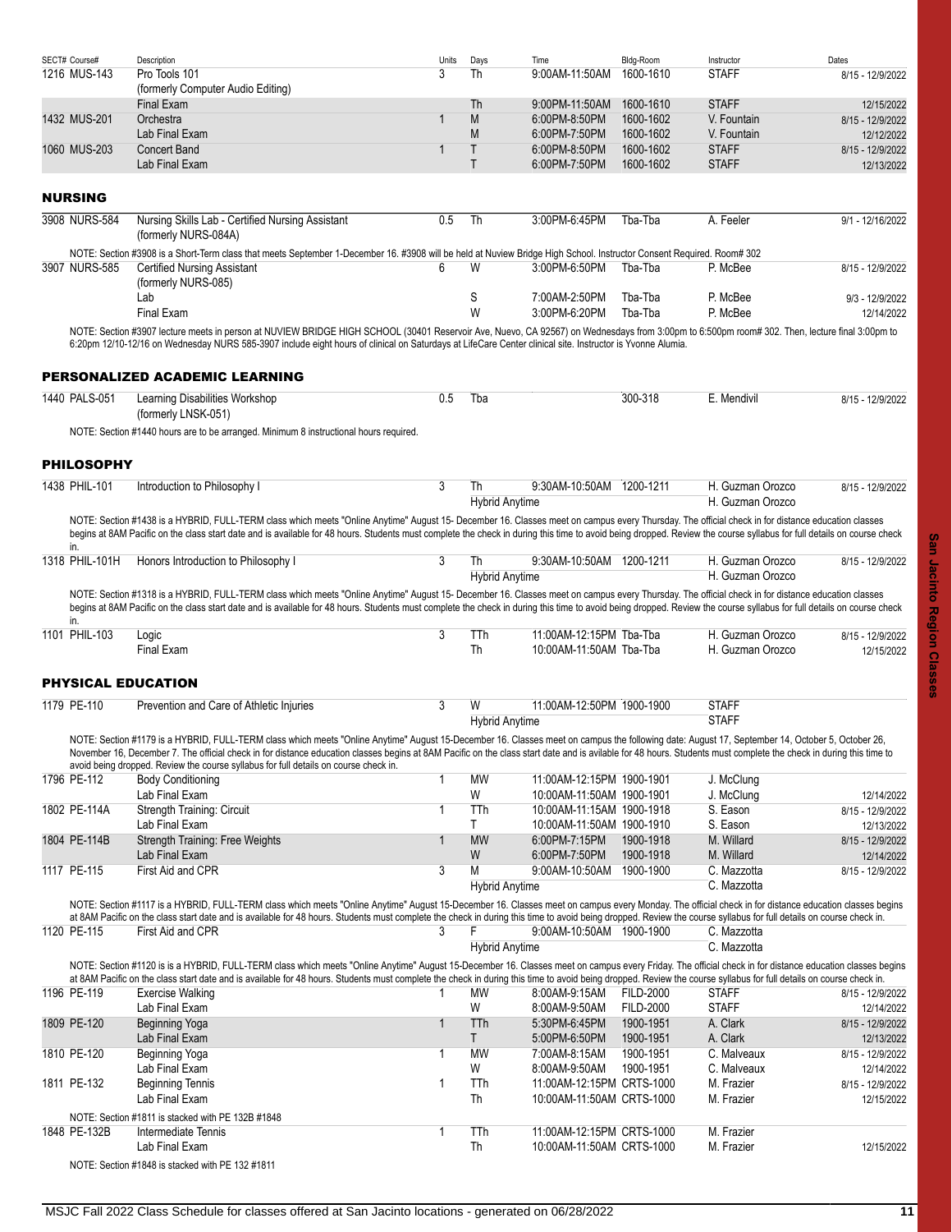<span id="page-10-3"></span><span id="page-10-2"></span><span id="page-10-1"></span><span id="page-10-0"></span>

| SECT# Course#         | Description                                                                                                                                                                                                                                                                                                                                                                                                                                                                                                  | Units        | Days         | Time                                               | Bldg-Room                     | Instructor                           | Dates                          |
|-----------------------|--------------------------------------------------------------------------------------------------------------------------------------------------------------------------------------------------------------------------------------------------------------------------------------------------------------------------------------------------------------------------------------------------------------------------------------------------------------------------------------------------------------|--------------|--------------|----------------------------------------------------|-------------------------------|--------------------------------------|--------------------------------|
| 1216 MUS-143          | Pro Tools 101                                                                                                                                                                                                                                                                                                                                                                                                                                                                                                | 3            | Th           | 9:00AM-11:50AM                                     | 1600-1610                     | <b>STAFF</b>                         | 8/15 - 12/9/2022               |
|                       | (formerly Computer Audio Editing)<br>Final Exam                                                                                                                                                                                                                                                                                                                                                                                                                                                              |              | Th           | 9:00PM-11:50AM                                     | 1600-1610                     | <b>STAFF</b>                         | 12/15/2022                     |
|                       | Orchestra                                                                                                                                                                                                                                                                                                                                                                                                                                                                                                    | 1            | M            | 6:00PM-8:50PM                                      | 1600-1602                     | V. Fountain                          |                                |
| 1432 MUS-201          | Lab Final Exam                                                                                                                                                                                                                                                                                                                                                                                                                                                                                               |              | M            | 6:00PM-7:50PM                                      | 1600-1602                     | V. Fountain                          | 8/15 - 12/9/2022               |
| 1060 MUS-203          | <b>Concert Band</b>                                                                                                                                                                                                                                                                                                                                                                                                                                                                                          | 1            | $\mathsf{T}$ | 6:00PM-8:50PM                                      | 1600-1602                     | <b>STAFF</b>                         | 12/12/2022                     |
|                       | Lab Final Exam                                                                                                                                                                                                                                                                                                                                                                                                                                                                                               |              | $\mathsf{T}$ | 6:00PM-7:50PM                                      | 1600-1602                     | <b>STAFF</b>                         | 8/15 - 12/9/2022<br>12/13/2022 |
| <b>NURSING</b>        |                                                                                                                                                                                                                                                                                                                                                                                                                                                                                                              |              |              |                                                    |                               |                                      |                                |
| 3908 NURS-584         | Nursing Skills Lab - Certified Nursing Assistant                                                                                                                                                                                                                                                                                                                                                                                                                                                             | 0.5          | Th           | 3:00PM-6:45PM                                      | Tba-Tba                       | A. Feeler                            | 9/1 - 12/16/2022               |
|                       | (formerly NURS-084A)                                                                                                                                                                                                                                                                                                                                                                                                                                                                                         |              |              |                                                    |                               |                                      |                                |
|                       | NOTE: Section #3908 is a Short-Term class that meets September 1-December 16. #3908 will be held at Nuview Bridge High School. Instructor Consent Required. Room# 302                                                                                                                                                                                                                                                                                                                                        |              |              |                                                    |                               |                                      |                                |
| 3907 NURS-585         | <b>Certified Nursing Assistant</b>                                                                                                                                                                                                                                                                                                                                                                                                                                                                           | 6            | W            | 3:00PM-6:50PM                                      | Tba-Tba                       | P. McBee                             | 8/15 - 12/9/2022               |
|                       | (formerly NURS-085)<br>Lab                                                                                                                                                                                                                                                                                                                                                                                                                                                                                   |              | S            | 7:00AM-2:50PM                                      | Tba-Tba                       | P. McBee                             | 9/3 - 12/9/2022                |
|                       | <b>Final Exam</b>                                                                                                                                                                                                                                                                                                                                                                                                                                                                                            |              | W            | 3:00PM-6:20PM                                      | Tba-Tba                       | P. McBee                             | 12/14/2022                     |
|                       | NOTE: Section #3907 lecture meets in person at NUVIEW BRIDGE HIGH SCHOOL (30401 Reservoir Ave, Nuevo, CA 92567) on Wednesdays from 3:00pm to 6:500pm room# 302. Then, lecture final 3:00pm to                                                                                                                                                                                                                                                                                                                |              |              |                                                    |                               |                                      |                                |
|                       | 6:20pm 12/10-12/16 on Wednesday NURS 585-3907 include eight hours of clinical on Saturdays at LifeCare Center clinical site. Instructor is Yvonne Alumia.                                                                                                                                                                                                                                                                                                                                                    |              |              |                                                    |                               |                                      |                                |
|                       | PERSONALIZED ACADEMIC LEARNING                                                                                                                                                                                                                                                                                                                                                                                                                                                                               |              |              |                                                    |                               |                                      |                                |
| 1440 PALS-051         | Learning Disabilities Workshop                                                                                                                                                                                                                                                                                                                                                                                                                                                                               | 0.5          | Tba          |                                                    | 300-318                       | E. Mendivil                          | 8/15 - 12/9/2022               |
|                       | (formerly LNSK-051)                                                                                                                                                                                                                                                                                                                                                                                                                                                                                          |              |              |                                                    |                               |                                      |                                |
|                       | NOTE: Section #1440 hours are to be arranged. Minimum 8 instructional hours required.                                                                                                                                                                                                                                                                                                                                                                                                                        |              |              |                                                    |                               |                                      |                                |
| <b>PHILOSOPHY</b>     |                                                                                                                                                                                                                                                                                                                                                                                                                                                                                                              |              |              |                                                    |                               |                                      |                                |
| 1438 PHIL-101         | Introduction to Philosophy I                                                                                                                                                                                                                                                                                                                                                                                                                                                                                 | 3            | Th           | 9:30AM-10:50AM 1200-1211                           |                               | H. Guzman Orozco                     | 8/15 - 12/9/2022               |
|                       |                                                                                                                                                                                                                                                                                                                                                                                                                                                                                                              |              |              | <b>Hybrid Anytime</b>                              |                               | H. Guzman Orozco                     |                                |
|                       | NOTE: Section #1438 is a HYBRID, FULL-TERM class which meets "Online Anytime" August 15- December 16. Classes meet on campus every Thursday. The official check in for distance education classes<br>begins at 8AM Pacific on the class start date and is available for 48 hours. Students must complete the check in during this time to avoid being dropped. Review the course syllabus for full details on course check                                                                                   |              |              |                                                    |                               |                                      |                                |
| in.<br>1318 PHIL-101H | Honors Introduction to Philosophy I                                                                                                                                                                                                                                                                                                                                                                                                                                                                          | 3            | Th           | 9:30AM-10:50AM 1200-1211                           |                               | H. Guzman Orozco                     | 8/15 - 12/9/2022               |
|                       |                                                                                                                                                                                                                                                                                                                                                                                                                                                                                                              |              |              | <b>Hybrid Anytime</b>                              |                               | H. Guzman Orozco                     |                                |
| in.                   | NOTE: Section #1318 is a HYBRID, FULL-TERM class which meets "Online Anytime" August 15- December 16. Classes meet on campus every Thursday. The official check in for distance education classes<br>begins at 8AM Pacific on the class start date and is available for 48 hours. Students must complete the check in during this time to avoid being dropped. Review the course syllabus for full details on course check                                                                                   |              |              |                                                    |                               |                                      |                                |
| 1101 PHIL-103         | Logic<br>Final Exam                                                                                                                                                                                                                                                                                                                                                                                                                                                                                          | 3            | TTh<br>Th    | 11:00AM-12:15PM Tba-Tba<br>10:00AM-11:50AM Tba-Tba |                               | H. Guzman Orozco<br>H. Guzman Orozco | 8/15 - 12/9/2022<br>12/15/2022 |
|                       | <b>PHYSICAL EDUCATION</b>                                                                                                                                                                                                                                                                                                                                                                                                                                                                                    |              |              |                                                    |                               |                                      |                                |
| 1179 PE-110           | Prevention and Care of Athletic Injuries                                                                                                                                                                                                                                                                                                                                                                                                                                                                     | 3            | W            | 11:00AM-12:50PM 1900-1900                          |                               | <b>STAFF</b>                         |                                |
|                       |                                                                                                                                                                                                                                                                                                                                                                                                                                                                                                              |              |              | <b>Hybrid Anytime</b>                              |                               | <b>STAFF</b>                         |                                |
|                       | NOTE: Section #1179 is a HYBRID, FULL-TERM class which meets "Online Anytime" August 15-December 16. Classes meet on campus the following date: August 17, September 14, October 5, October 26,<br>November 16. December 7. The official check in for distance education classes begins at 8AM Pacific on the class start date and is avilable for 48 hours. Students must complete the check in during this time to<br>avoid being dropped. Review the course syllabus for full details on course check in. |              |              |                                                    |                               |                                      |                                |
| 1796 PE-112           | <b>Body Conditioning</b>                                                                                                                                                                                                                                                                                                                                                                                                                                                                                     | $\mathbf{1}$ | МW           | 11:00AM-12:15PM 1900-1901                          |                               | J. McClung                           |                                |
|                       | Lab Final Exam                                                                                                                                                                                                                                                                                                                                                                                                                                                                                               |              | W            | 10:00AM-11:50AM 1900-1901                          |                               | J. McClung                           | 12/14/2022                     |
| 1802 PE-114A          | Strength Training: Circuit                                                                                                                                                                                                                                                                                                                                                                                                                                                                                   | 1            | TTh          | 10:00AM-11:15AM 1900-1918                          |                               | S. Eason                             | 8/15 - 12/9/2022               |
|                       | Lab Final Exam                                                                                                                                                                                                                                                                                                                                                                                                                                                                                               |              | T            | 10:00AM-11:50AM 1900-1910                          |                               | S. Eason                             | 12/13/2022                     |
| 1804 PE-114B          | Strength Training: Free Weights                                                                                                                                                                                                                                                                                                                                                                                                                                                                              | 1            | <b>MW</b>    | 6:00PM-7:15PM                                      | 1900-1918                     | M. Willard                           | 8/15 - 12/9/2022               |
|                       | Lab Final Exam                                                                                                                                                                                                                                                                                                                                                                                                                                                                                               |              | W            | 6:00PM-7:50PM                                      | 1900-1918                     | M. Willard                           | 12/14/2022                     |
| 1117 PE-115           | First Aid and CPR                                                                                                                                                                                                                                                                                                                                                                                                                                                                                            | 3            | M            | 9:00AM-10:50AM                                     | 1900-1900                     | C. Mazzotta                          | 8/15 - 12/9/2022               |
|                       |                                                                                                                                                                                                                                                                                                                                                                                                                                                                                                              |              |              | <b>Hybrid Anytime</b>                              |                               | C. Mazzotta                          |                                |
|                       | NOTE: Section #1117 is a HYBRID, FULL-TERM class which meets "Online Anytime" August 15-December 16. Classes meet on campus every Monday. The official check in for distance education classes begins<br>at 8AM Pacific on the class start date and is available for 48 hours. Students must complete the check in during this time to avoid being dropped. Review the course syllabus for full details on course check in.                                                                                  |              |              |                                                    |                               |                                      |                                |
| 1120 PE-115           | First Aid and CPR                                                                                                                                                                                                                                                                                                                                                                                                                                                                                            | 3            | F            | 9.00AM-10:50AM 1900-1900                           |                               | C. Mazzotta                          |                                |
|                       |                                                                                                                                                                                                                                                                                                                                                                                                                                                                                                              |              |              | <b>Hybrid Anytime</b>                              |                               | C. Mazzotta                          |                                |
|                       | NOTE: Section #1120 is is a HYBRID, FULL-TERM class which meets "Online Anytime" August 15-December 16. Classes meet on campus every Friday. The official check in for distance education classes begins                                                                                                                                                                                                                                                                                                     |              |              |                                                    |                               |                                      |                                |
|                       | at 8AM Pacific on the class start date and is available for 48 hours. Students must complete the check in during this time to avoid being dropped. Review the course syllabus for full details on course check in.                                                                                                                                                                                                                                                                                           |              |              |                                                    |                               |                                      |                                |
| 1196 PE-119           | <b>Exercise Walking</b>                                                                                                                                                                                                                                                                                                                                                                                                                                                                                      | 1            | МW           | 8:00AM-9:15AM                                      | <b>FILD-2000</b>              | <b>STAFF</b>                         | 8/15 - 12/9/2022               |
| 1809 PE-120           | Lab Final Exam                                                                                                                                                                                                                                                                                                                                                                                                                                                                                               | $\mathbf{1}$ | W<br>TTh     | 8:00AM-9.50AM<br>5:30PM-6.45PM                     | <b>FILD-2000</b><br>1900-1951 | <b>STAFF</b><br>A. Clark             | 12/14/2022                     |
|                       | Beginning Yoga<br>Lab Final Exam                                                                                                                                                                                                                                                                                                                                                                                                                                                                             |              | T            | 5:00PM-6:50PM                                      | 1900-1951                     | A. Clark                             | 8/15 - 12/9/2022<br>12/13/2022 |
| 1810 PE-120           | Beginning Yoga                                                                                                                                                                                                                                                                                                                                                                                                                                                                                               | 1            | <b>MW</b>    | 7:00AM-8:15AM                                      | 1900-1951                     | C. Malveaux                          | 8/15 - 12/9/2022               |
|                       | Lab Final Exam                                                                                                                                                                                                                                                                                                                                                                                                                                                                                               |              | W            | 8:00AM-9:50AM                                      | 1900-1951                     | C. Malveaux                          | 12/14/2022                     |
| 1811 PE-132           | <b>Beginning Tennis</b>                                                                                                                                                                                                                                                                                                                                                                                                                                                                                      | $\mathbf{1}$ | TTh          | 11:00AM-12:15PM CRTS-1000                          |                               | M. Frazier                           | 8/15 - 12/9/2022               |
|                       | Lab Final Exam                                                                                                                                                                                                                                                                                                                                                                                                                                                                                               |              | Th           | 10:00AM-11:50AM CRTS-1000                          |                               | M. Frazier                           | 12/15/2022                     |
|                       | NOTE: Section #1811 is stacked with PE 132B #1848                                                                                                                                                                                                                                                                                                                                                                                                                                                            |              |              |                                                    |                               |                                      |                                |
| 1848 PE-132B          | Intermediate Tennis                                                                                                                                                                                                                                                                                                                                                                                                                                                                                          | 1            | TTh          | 11:00AM-12:15PM CRTS-1000                          |                               | M. Frazier                           |                                |
|                       | Lab Final Exam                                                                                                                                                                                                                                                                                                                                                                                                                                                                                               |              | Th           | 10:00AM-11:50AM CRTS-1000                          |                               | M. Frazier                           | 12/15/2022                     |
|                       | NOTE: Section #1848 is stacked with PE 132 #1811                                                                                                                                                                                                                                                                                                                                                                                                                                                             |              |              |                                                    |                               |                                      |                                |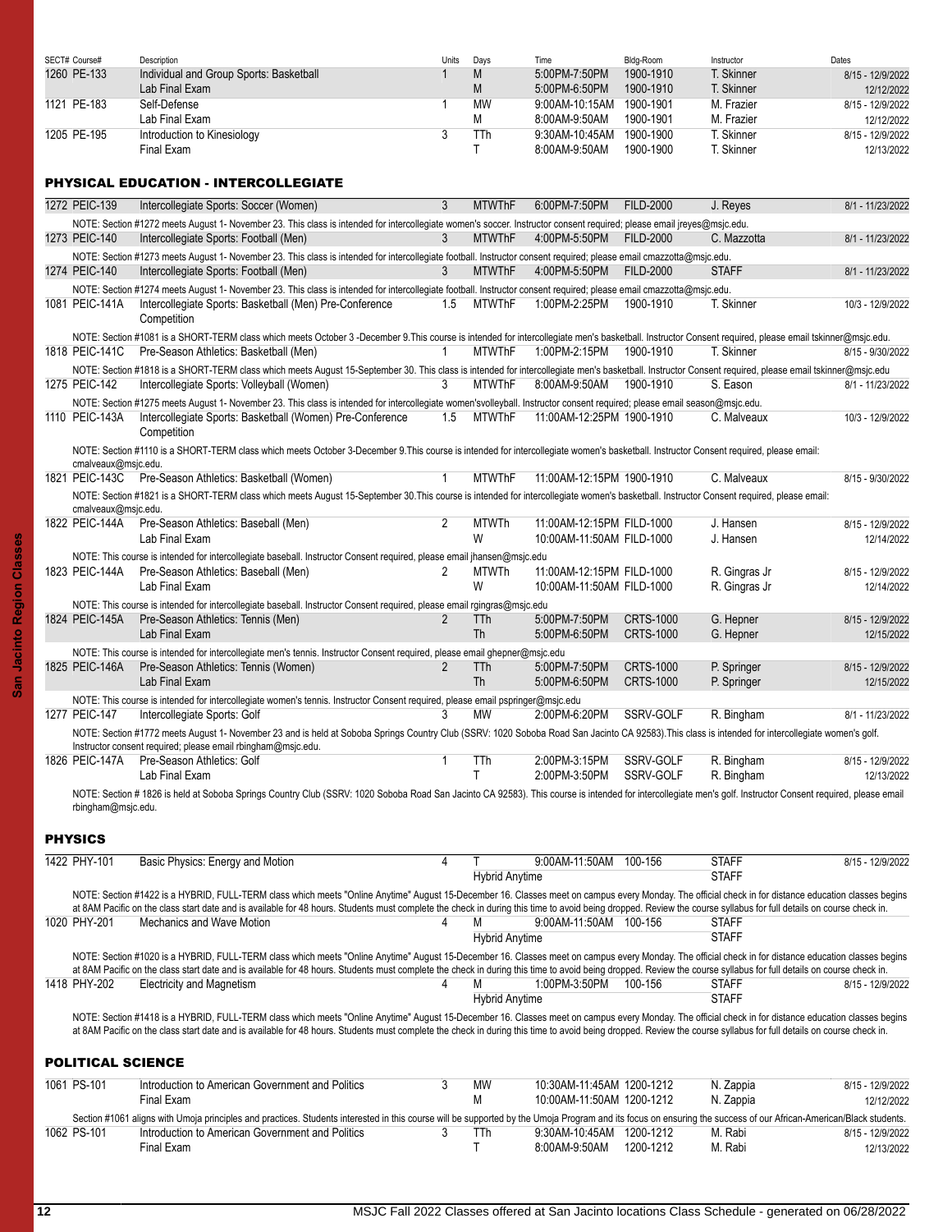| SECT# Course# | Description                             | Units | Days      | Time           | Bldg-Room | Instructor | Dates            |
|---------------|-----------------------------------------|-------|-----------|----------------|-----------|------------|------------------|
| 1260 PE-133   | Individual and Group Sports: Basketball |       | M         | 5:00PM-7:50PM  | 1900-1910 | T. Skinner | 8/15 - 12/9/2022 |
|               | Lab Final Exam                          |       | M         | 5:00PM-6:50PM  | 1900-1910 | T. Skinner | 12/12/2022       |
| 1121 PE-183   | Self-Defense                            |       | <b>MW</b> | 9:00AM-10:15AM | 1900-1901 | M. Frazier | 8/15 - 12/9/2022 |
|               | Lab Final Exam                          |       | М         | 8:00AM-9:50AM  | 1900-1901 | M. Frazier | 12/12/2022       |
| 1205 PE-195   | Introduction to Kinesiology             |       | TTh       | 9:30AM-10:45AM | 1900-1900 | . Skinner  | 8/15 - 12/9/2022 |
|               | Final Exam                              |       |           | 8:00AM-9:50AM  | 1900-1900 | . Skinner  | 12/13/2022       |

# <span id="page-11-0"></span>PHYSICAL EDUCATION - INTERCOLLEGIATE

|                     | PH I SIGAL EDUCATION - INTERCULLEGIATE                                                                                                                                                                                                                             |              |                         |                                |                                      |                            |                                |
|---------------------|--------------------------------------------------------------------------------------------------------------------------------------------------------------------------------------------------------------------------------------------------------------------|--------------|-------------------------|--------------------------------|--------------------------------------|----------------------------|--------------------------------|
| 1272 PEIC-139       | Intercollegiate Sports: Soccer (Women)                                                                                                                                                                                                                             | 3            | <b>MTWThF</b>           | 6:00PM-7:50PM                  | <b>FILD-2000</b>                     | J. Reyes                   | 8/1 - 11/23/2022               |
|                     | NOTE: Section #1272 meets August 1- November 23. This class is intended for intercollegiate women's soccer. Instructor consent required; please email ireyes@msic.edu.                                                                                             |              |                         |                                |                                      |                            |                                |
| 1273 PEIC-140       | Intercollegiate Sports: Football (Men)                                                                                                                                                                                                                             | 3            | <b>MTWThF</b>           | 4:00PM-5:50PM                  | <b>FILD-2000</b>                     | C. Mazzotta                | 8/1 - 11/23/2022               |
|                     | NOTE: Section #1273 meets August 1- November 23. This class is intended for intercollegiate football. Instructor consent required; please email cmazzotta@msjc.edu.                                                                                                |              |                         |                                |                                      |                            |                                |
| 1274 PEIC-140       | Intercollegiate Sports: Football (Men)                                                                                                                                                                                                                             | 3            | <b>MTWThF</b>           | 4:00PM-5:50PM                  | <b>FILD-2000</b>                     | <b>STAFF</b>               | 8/1 - 11/23/2022               |
|                     | NOTE: Section #1274 meets August 1- November 23. This class is intended for intercollegiate football. Instructor consent required; please email cmazzotta@msjc.edu.                                                                                                |              |                         |                                |                                      |                            |                                |
| 1081 PEIC-141A      | Intercollegiate Sports: Basketball (Men) Pre-Conference<br>Competition                                                                                                                                                                                             | 1.5          | <b>MTWThF</b>           | 1:00PM-2:25PM                  | 1900-1910                            | T. Skinner                 | 10/3 - 12/9/2022               |
|                     | NOTE: Section #1081 is a SHORT-TERM class which meets October 3 -December 9.This course is intended for intercollegiate men's basketball. Instructor Consent required, please email tskinner@msjc.edu.                                                             |              |                         |                                |                                      |                            |                                |
| 1818 PEIC-141C      | Pre-Season Athletics: Basketball (Men)                                                                                                                                                                                                                             | $\mathbf{1}$ | <b>MTWThF</b>           | 1:00PM-2:15PM                  | 1900-1910                            | T. Skinner                 | 8/15 - 9/30/2022               |
|                     | NOTE: Section #1818 is a SHORT-TERM class which meets August 15-September 30. This class is intended for intercollegiate men's basketball. Instructor Consent required, please email tskinner@msjc.edu                                                             |              |                         |                                |                                      |                            |                                |
| 1275 PEIC-142       | Intercollegiate Sports: Volleyball (Women)                                                                                                                                                                                                                         | 3            | <b>MTWThF</b>           | 8:00AM-9:50AM                  | 1900-1910                            | S. Eason                   | 8/1 - 11/23/2022               |
|                     | NOTE: Section #1275 meets August 1- November 23. This class is intended for intercollegiate women'svolleyball. Instructor consent required; please email season@msjc.edu.                                                                                          |              |                         |                                |                                      |                            |                                |
| 1110 PEIC-143A      | Intercollegiate Sports: Basketball (Women) Pre-Conference<br>Competition                                                                                                                                                                                           | 1.5          | <b>MTWThF</b>           | 11:00AM-12:25PM 1900-1910      |                                      | C. Malveaux                | 10/3 - 12/9/2022               |
| cmalveaux@msjc.edu. | NOTE: Section #1110 is a SHORT-TERM class which meets October 3-December 9.This course is intended for intercollegiate women's basketball. Instructor Consent required, please email:                                                                              |              |                         |                                |                                      |                            |                                |
| 1821 PEIC-143C      | Pre-Season Athletics: Basketball (Women)                                                                                                                                                                                                                           | $\mathbf{1}$ | <b>MTWThF</b>           | 11:00AM-12:15PM 1900-1910      |                                      | C. Malveaux                | 8/15 - 9/30/2022               |
| cmalveaux@msjc.edu. | NOTE: Section #1821 is a SHORT-TERM class which meets August 15-September 30. This course is intended for intercollegiate women's basketball. Instructor Consent required, please email:                                                                           |              |                         |                                |                                      |                            |                                |
| 1822 PEIC-144A      | Pre-Season Athletics: Baseball (Men)                                                                                                                                                                                                                               | 2            | <b>MTWTh</b>            | 11:00AM-12:15PM FILD-1000      |                                      | J. Hansen                  | 8/15 - 12/9/2022               |
|                     | Lab Final Exam                                                                                                                                                                                                                                                     |              | W                       | 10:00AM-11:50AM FILD-1000      |                                      | J. Hansen                  | 12/14/2022                     |
|                     | NOTE: This course is intended for intercollegiate baseball. Instructor Consent required, please email ihansen@msjc.edu                                                                                                                                             |              |                         |                                |                                      |                            |                                |
| 1823 PEIC-144A      | Pre-Season Athletics: Baseball (Men)                                                                                                                                                                                                                               | 2            | <b>MTWTh</b>            | 11:00AM-12:15PM FILD-1000      |                                      | R. Gingras Jr              | 8/15 - 12/9/2022               |
|                     | Lab Final Exam                                                                                                                                                                                                                                                     |              | W                       | 10:00AM-11:50AM FILD-1000      |                                      | R. Gingras Jr              | 12/14/2022                     |
|                     | NOTE: This course is intended for intercollegiate baseball. Instructor Consent required, please email rgingras@msjc.edu                                                                                                                                            |              |                         |                                |                                      |                            |                                |
| 1824 PEIC-145A      | Pre-Season Athletics: Tennis (Men)<br>Lab Final Exam                                                                                                                                                                                                               | 2            | TTh<br><b>Th</b>        | 5:00PM-7:50PM<br>5:00PM-6:50PM | <b>CRTS-1000</b><br><b>CRTS-1000</b> | G. Hepner<br>G. Hepner     | 8/15 - 12/9/2022               |
|                     |                                                                                                                                                                                                                                                                    |              |                         |                                |                                      |                            | 12/15/2022                     |
|                     | NOTE: This course is intended for intercollegiate men's tennis. Instructor Consent required, please email ghepner@msjc.edu                                                                                                                                         |              |                         |                                | <b>CRTS-1000</b>                     |                            |                                |
| 1825 PEIC-146A      | Pre-Season Athletics: Tennis (Women)<br>Lab Final Exam                                                                                                                                                                                                             | 2            | <b>TTh</b><br><b>Th</b> | 5:00PM-7:50PM<br>5:00PM-6:50PM | <b>CRTS-1000</b>                     | P. Springer<br>P. Springer | 8/15 - 12/9/2022<br>12/15/2022 |
|                     |                                                                                                                                                                                                                                                                    |              |                         |                                |                                      |                            |                                |
| 1277 PEIC-147       | NOTE: This course is intended for intercollegiate women's tennis. Instructor Consent required, please email pspringer@msjc.edu<br>Intercollegiate Sports: Golf                                                                                                     | 3            | <b>MW</b>               | 2:00PM-6:20PM                  | SSRV-GOLF                            | R. Bingham                 | 8/1 - 11/23/2022               |
|                     |                                                                                                                                                                                                                                                                    |              |                         |                                |                                      |                            |                                |
|                     | NOTE: Section #1772 meets August 1- November 23 and is held at Soboba Springs Country Club (SSRV: 1020 Soboba Road San Jacinto CA 92583). This class is intended for intercollegiate women's golf.<br>Instructor consent required; please email rbingham@msjc.edu. |              |                         |                                |                                      |                            |                                |
| 1826 PEIC-147A      | Pre-Season Athletics: Golf                                                                                                                                                                                                                                         | 1            | TTh                     | 2:00PM-3:15PM                  | SSRV-GOLF                            | R. Bingham                 | 8/15 - 12/9/2022               |
|                     | Lab Final Exam                                                                                                                                                                                                                                                     |              | T                       | 2:00PM-3:50PM                  | SSRV-GOLF                            | R. Bingham                 | 12/13/2022                     |
| rbingham@msjc.edu.  | NOTE: Section #1826 is held at Soboba Springs Country Club (SSRV: 1020 Soboba Road San Jacinto CA 92583). This course is intended for intercollegiate men's golf. Instructor Consent required, please email                                                        |              |                         |                                |                                      |                            |                                |

## <span id="page-11-1"></span>PHYSICS

| 1422 PHY-101             | Basic Physics: Energy and Motion                                                                                                                                                                                                                                                                                                                                                                                            | 4 |                       | 9:00AM-11:50AM            | 100-156 | <b>STAFF</b> | 8/15 - 12/9/2022 |
|--------------------------|-----------------------------------------------------------------------------------------------------------------------------------------------------------------------------------------------------------------------------------------------------------------------------------------------------------------------------------------------------------------------------------------------------------------------------|---|-----------------------|---------------------------|---------|--------------|------------------|
|                          |                                                                                                                                                                                                                                                                                                                                                                                                                             |   | <b>Hybrid Anytime</b> |                           |         | <b>STAFF</b> |                  |
|                          | NOTE: Section #1422 is a HYBRID, FULL-TERM class which meets "Online Anytime" August 15-December 16. Classes meet on campus every Monday. The official check in for distance education classes begins                                                                                                                                                                                                                       |   |                       |                           |         |              |                  |
|                          | at 8AM Pacific on the class start date and is available for 48 hours. Students must complete the check in during this time to avoid being dropped. Review the course syllabus for full details on course check in.                                                                                                                                                                                                          |   |                       |                           |         |              |                  |
| 1020 PHY-201             | Mechanics and Wave Motion                                                                                                                                                                                                                                                                                                                                                                                                   |   |                       | 9:00AM-11:50AM 100-156    |         | <b>STAFF</b> |                  |
|                          |                                                                                                                                                                                                                                                                                                                                                                                                                             |   | <b>Hybrid Anytime</b> |                           |         | <b>STAFF</b> |                  |
|                          | NOTE: Section #1020 is a HYBRID, FULL-TERM class which meets "Online Anytime" August 15-December 16. Classes meet on campus every Monday. The official check in for distance education classes begins<br>at 8AM Pacific on the class start date and is available for 48 hours. Students must complete the check in during this time to avoid being dropped. Review the course syllabus for full details on course check in. |   |                       |                           |         |              |                  |
| 1418 PHY-202             | <b>Electricity and Magnetism</b>                                                                                                                                                                                                                                                                                                                                                                                            |   |                       | 1:00PM-3:50PM             | 100-156 | <b>STAFF</b> | 8/15 - 12/9/2022 |
|                          |                                                                                                                                                                                                                                                                                                                                                                                                                             |   | <b>Hybrid Anytime</b> |                           |         | <b>STAFF</b> |                  |
|                          | NOTE: Section #1418 is a HYBRID, FULL-TERM class which meets "Online Anytime" August 15-December 16. Classes meet on campus every Monday. The official check in for distance education classes begins<br>at 8AM Pacific on the class start date and is available for 48 hours. Students must complete the check in during this time to avoid being dropped. Review the course syllabus for full details on course check in. |   |                       |                           |         |              |                  |
| <b>POLITICAL SCIENCE</b> |                                                                                                                                                                                                                                                                                                                                                                                                                             |   |                       |                           |         |              |                  |
| 1061 PS-101              | Introduction to American Government and Politics                                                                                                                                                                                                                                                                                                                                                                            | 3 | <b>MW</b>             | 10:30AM-11:45AM 1200-1212 |         | N. Zappia    | 8/15 - 12/9/2022 |
|                          | Final Exam                                                                                                                                                                                                                                                                                                                                                                                                                  |   |                       | 10:00AM-11:50AM 1200-1212 |         | N. Zappia    | 12/12/2022       |

<span id="page-11-2"></span>

|             | Final Exam                                                                                                                                                                                                        |      |                          |           | N. Zappia | 12/12/2022       |
|-------------|-------------------------------------------------------------------------------------------------------------------------------------------------------------------------------------------------------------------|------|--------------------------|-----------|-----------|------------------|
|             | Section #1061 aligns with Umoja principles and practices. Students interested in this course will be supported by the Umoja Program and its focus on ensuring the success of our African-American/Black students. |      |                          |           |           |                  |
| 1062 PS-101 | Introduction to American Government and Politics                                                                                                                                                                  | TTh. | 9:30AM-10:45AM 1200-1212 |           | M. Rabi   | 8/15 - 12/9/2022 |
|             | Final Exam                                                                                                                                                                                                        |      | 8:00AM-9:50AM            | 1200-1212 | M. Rabi   | 12/13/2022       |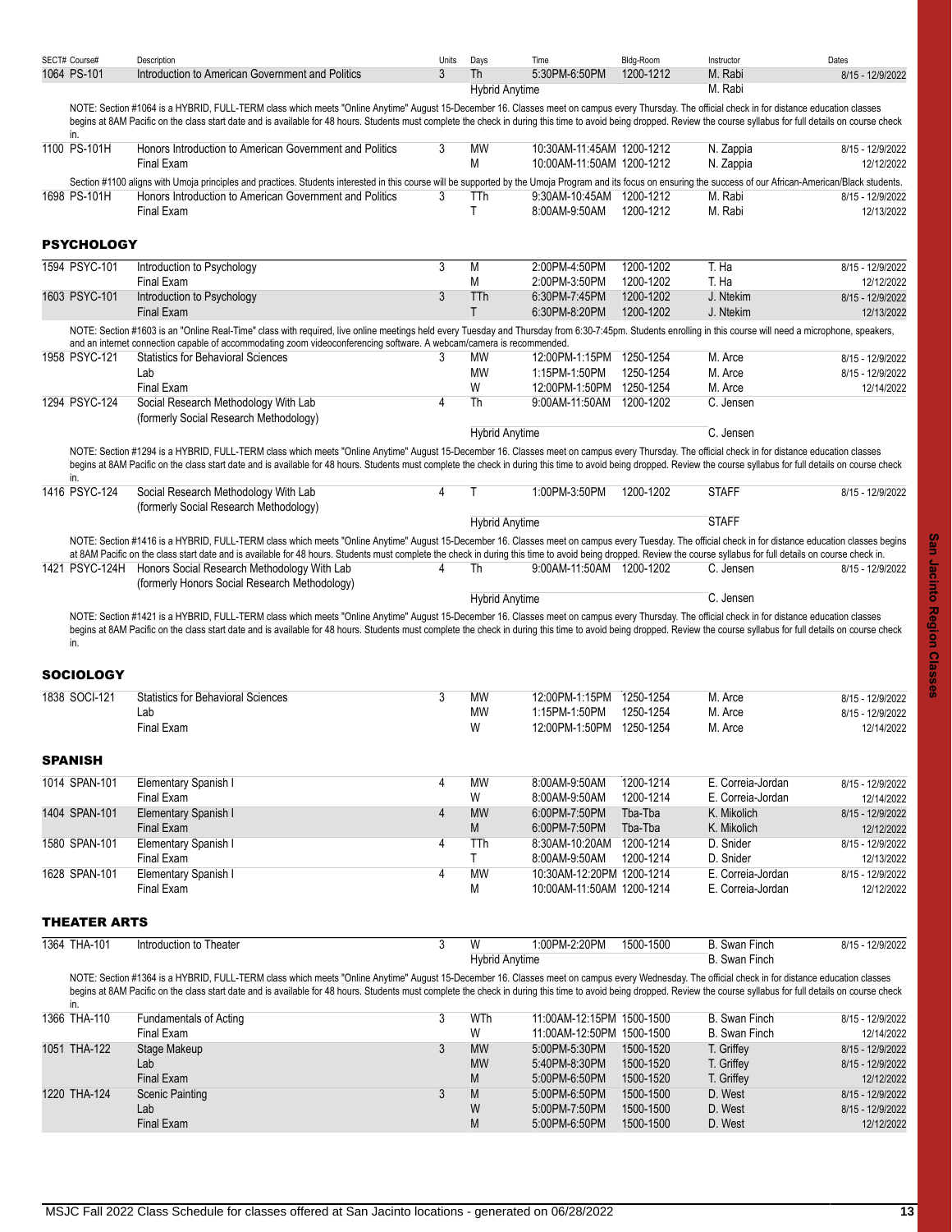<span id="page-12-0"></span>

| SECT# Course#           | Description                                                                                                                                                                                                                                                                                                                                                                                                                | Units | Days                  | Time                                                   | Bldg-Room              | Instructor                             | Dates                          |
|-------------------------|----------------------------------------------------------------------------------------------------------------------------------------------------------------------------------------------------------------------------------------------------------------------------------------------------------------------------------------------------------------------------------------------------------------------------|-------|-----------------------|--------------------------------------------------------|------------------------|----------------------------------------|--------------------------------|
| 1064 PS-101             | Introduction to American Government and Politics                                                                                                                                                                                                                                                                                                                                                                           | 3     | <b>Th</b>             | 5:30PM-6:50PM                                          | 1200-1212              | M. Rabi                                | 8/15 - 12/9/2022               |
|                         |                                                                                                                                                                                                                                                                                                                                                                                                                            |       | <b>Hybrid Anytime</b> |                                                        |                        | M. Rabi                                |                                |
| in.                     | NOTE: Section #1064 is a HYBRID, FULL-TERM class which meets "Online Anytime" August 15-December 16. Classes meet on campus every Thursday. The official check in for distance education classes<br>begins at 8AM Pacific on the class start date and is available for 48 hours. Students must complete the check in during this time to avoid being dropped. Review the course syllabus for full details on course check  |       |                       |                                                        |                        |                                        |                                |
| 1100 PS-101H            | Honors Introduction to American Government and Politics<br><b>Final Exam</b>                                                                                                                                                                                                                                                                                                                                               | 3     | <b>MW</b><br>M        | 10:30AM-11:45AM 1200-1212<br>10:00AM-11:50AM 1200-1212 |                        | N. Zappia<br>N. Zappia                 | 8/15 - 12/9/2022<br>12/12/2022 |
|                         | Section #1100 aligns with Umoja principles and practices. Students interested in this course will be supported by the Umoja Program and its focus on ensuring the success of our African-American/Black students.                                                                                                                                                                                                          |       |                       |                                                        |                        |                                        |                                |
| 1698 PS-101H            | Honors Introduction to American Government and Politics<br><b>Final Exam</b>                                                                                                                                                                                                                                                                                                                                               | 3     | TTh<br>$\mathsf{T}$   | 9:30AM-10:45AM 1200-1212<br>8:00AM-9:50AM              | 1200-1212              | M. Rabi<br>M. Rabi                     | 8/15 - 12/9/2022<br>12/13/2022 |
| <b>PSYCHOLOGY</b>       |                                                                                                                                                                                                                                                                                                                                                                                                                            |       |                       |                                                        |                        |                                        |                                |
| 1594 PSYC-101           | Introduction to Psychology<br>Final Exam                                                                                                                                                                                                                                                                                                                                                                                   | 3     | M<br>M                | 2:00PM-4:50PM<br>2:00PM-3:50PM                         | 1200-1202<br>1200-1202 | T. Ha<br>T. Ha                         | 8/15 - 12/9/2022<br>12/12/2022 |
| 1603 PSYC-101           | Introduction to Psychology<br><b>Final Exam</b>                                                                                                                                                                                                                                                                                                                                                                            | 3     | TTh<br>$\mathsf{T}$   | 6:30PM-7:45PM<br>6:30PM-8:20PM                         | 1200-1202<br>1200-1202 | J. Ntekim<br>J. Ntekim                 | 8/15 - 12/9/2022<br>12/13/2022 |
|                         | NOTE: Section #1603 is an "Online Real-Time" class with required, live online meetings held every Tuesday and Thursday from 6:30-7:45pm. Students enrolling in this course will need a microphone, speakers,                                                                                                                                                                                                               |       |                       |                                                        |                        |                                        |                                |
| 1958 PSYC-121           | and an internet connection capable of accommodating zoom videoconferencing software. A webcam/camera is recommended.<br><b>Statistics for Behavioral Sciences</b>                                                                                                                                                                                                                                                          | 3     | MW                    | 12:00PM-1:15PM 1250-1254                               |                        | M. Arce                                | 8/15 - 12/9/2022               |
|                         | Lab                                                                                                                                                                                                                                                                                                                                                                                                                        |       | <b>MW</b>             | 1:15PM-1:50PM                                          | 1250-1254              | M. Arce                                | 8/15 - 12/9/2022               |
|                         | <b>Final Exam</b>                                                                                                                                                                                                                                                                                                                                                                                                          |       | W                     | 12:00PM-1:50PM 1250-1254                               |                        | M. Arce                                | 12/14/2022                     |
| 1294 PSYC-124           | Social Research Methodology With Lab<br>(formerly Social Research Methodology)                                                                                                                                                                                                                                                                                                                                             | 4     | Th                    | 9:00AM-11:50AM 1200-1202                               |                        | C. Jensen                              |                                |
|                         |                                                                                                                                                                                                                                                                                                                                                                                                                            |       | <b>Hybrid Anytime</b> |                                                        |                        | C. Jensen                              |                                |
| in.                     | NOTE: Section #1294 is a HYBRID, FULL-TERM class which meets "Online Anytime" August 15-December 16. Classes meet on campus every Thursday. The official check in for distance education classes<br>begins at 8AM Pacific on the class start date and is available for 48 hours. Students must complete the check in during this time to avoid being dropped. Review the course syllabus for full details on course check  |       |                       |                                                        |                        |                                        |                                |
| 1416 PSYC-124           | Social Research Methodology With Lab<br>(formerly Social Research Methodology)                                                                                                                                                                                                                                                                                                                                             | 4     |                       | 1:00PM-3:50PM                                          | 1200-1202              | <b>STAFF</b>                           | 8/15 - 12/9/2022               |
|                         |                                                                                                                                                                                                                                                                                                                                                                                                                            |       | <b>Hybrid Anytime</b> |                                                        |                        | <b>STAFF</b>                           |                                |
|                         | NOTE: Section #1416 is a HYBRID, FULL-TERM class which meets "Online Anytime" August 15-December 16. Classes meet on campus every Tuesday. The official check in for distance education classes begins                                                                                                                                                                                                                     |       |                       |                                                        |                        |                                        |                                |
|                         | at 8AM Pacific on the class start date and is available for 48 hours. Students must complete the check in during this time to avoid being dropped. Review the course syllabus for full details on course check in.                                                                                                                                                                                                         |       |                       |                                                        |                        |                                        |                                |
|                         | 1421 PSYC-124H Honors Social Research Methodology With Lab                                                                                                                                                                                                                                                                                                                                                                 | 4     | Th                    | 9:00AM-11:50AM 1200-1202                               |                        | C. Jensen                              | 8/15 - 12/9/2022               |
|                         | (formerly Honors Social Research Methodology)                                                                                                                                                                                                                                                                                                                                                                              |       | <b>Hybrid Anytime</b> |                                                        |                        | C. Jensen                              |                                |
| in.<br><b>SOCIOLOGY</b> | NOTE: Section #1421 is a HYBRID, FULL-TERM class which meets "Online Anytime" August 15-December 16. Classes meet on campus every Thursday. The official check in for distance education classes<br>begins at 8AM Pacific on the class start date and is available for 48 hours. Students must complete the check in during this time to avoid being dropped. Review the course syllabus for full details on course check  |       |                       |                                                        |                        |                                        |                                |
| 1838 SOCI-121           | <b>Statistics for Behavioral Sciences</b>                                                                                                                                                                                                                                                                                                                                                                                  | 3     | <b>MW</b>             | 12:00PM-1:15PM                                         | 1250-1254              | M. Arce                                | 8/15 - 12/9/2022               |
|                         | Lab                                                                                                                                                                                                                                                                                                                                                                                                                        |       | MW                    | 1:15PM-1:50PM                                          | 1250-1254              | M. Arce                                | 8/15 - 12/9/2022               |
|                         | Final Exam                                                                                                                                                                                                                                                                                                                                                                                                                 |       | W                     | 12:00PM-1:50PM 1250-1254                               |                        | M. Arce                                | 12/14/2022                     |
| <b>SPANISH</b>          |                                                                                                                                                                                                                                                                                                                                                                                                                            |       |                       |                                                        |                        |                                        |                                |
| 1014 SPAN-101           | Elementary Spanish I<br><b>Final Exam</b>                                                                                                                                                                                                                                                                                                                                                                                  | 4     | <b>MW</b><br>W        | 8:00AM-9:50AM<br>8:00AM-9:50AM                         | 1200-1214<br>1200-1214 | E. Correia-Jordan<br>E. Correia-Jordan | 8/15 - 12/9/2022<br>12/14/2022 |
| 1404 SPAN-101           | Elementary Spanish I                                                                                                                                                                                                                                                                                                                                                                                                       | 4     | <b>MW</b>             | 6:00PM-7:50PM                                          | Tba-Tba                | K. Mikolich                            | 8/15 - 12/9/2022               |
|                         | <b>Final Exam</b>                                                                                                                                                                                                                                                                                                                                                                                                          |       | ${\sf M}$             | 6.00PM-7:50PM                                          | Tba-Tba                | K. Mikolich                            | 12/12/2022                     |
| 1580 SPAN-101           | Elementary Spanish I                                                                                                                                                                                                                                                                                                                                                                                                       | 4     | TTh                   | 8:30AM-10:20AM                                         | 1200-1214              | D. Snider                              | 8/15 - 12/9/2022               |
|                         | Final Exam                                                                                                                                                                                                                                                                                                                                                                                                                 |       | T.                    | 8:00AM-9:50AM<br>10:30AM-12:20PM 1200-1214             | 1200-1214              | D. Snider                              | 12/13/2022                     |
| 1628 SPAN-101           | Elementary Spanish I<br>Final Exam                                                                                                                                                                                                                                                                                                                                                                                         | 4     | <b>MW</b><br>М        | 10:00AM-11:50AM 1200-1214                              |                        | E. Correia-Jordan<br>E. Correia-Jordan | 8/15 - 12/9/2022<br>12/12/2022 |
| <b>THEATER ARTS</b>     |                                                                                                                                                                                                                                                                                                                                                                                                                            |       |                       |                                                        |                        |                                        |                                |
| 1364 THA-101            | Introduction to Theater                                                                                                                                                                                                                                                                                                                                                                                                    | 3     | W                     | 1:00PM-2:20PM                                          | 1500-1500              | <b>B.</b> Swan Finch                   | 8/15 - 12/9/2022               |
|                         |                                                                                                                                                                                                                                                                                                                                                                                                                            |       | <b>Hybrid Anytime</b> |                                                        |                        | <b>B.</b> Swan Finch                   |                                |
|                         | NOTE: Section #1364 is a HYBRID, FULL-TERM class which meets "Online Anytime" August 15-December 16. Classes meet on campus every Wednesday. The official check in for distance education classes<br>begins at 8AM Pacific on the class start date and is available for 48 hours. Students must complete the check in during this time to avoid being dropped. Review the course syllabus for full details on course check |       |                       |                                                        |                        |                                        |                                |
| in.<br>1366 THA-110     | <b>Fundamentals of Acting</b>                                                                                                                                                                                                                                                                                                                                                                                              | 3     | WTh                   | 11:00AM-12:15PM 1500-1500                              |                        | <b>B.</b> Swan Finch                   | 8/15 - 12/9/2022               |
|                         | Final Exam                                                                                                                                                                                                                                                                                                                                                                                                                 |       | W                     | 11:00AM-12:50PM 1500-1500                              |                        | <b>B.</b> Swan Finch                   | 12/14/2022                     |
| 1051 THA-122            | Stage Makeup                                                                                                                                                                                                                                                                                                                                                                                                               | 3     | <b>MW</b>             | 5:00PM-5:30PM                                          | 1500-1520              | T. Griffey                             | 8/15 - 12/9/2022               |
|                         | Lab                                                                                                                                                                                                                                                                                                                                                                                                                        |       | <b>MW</b>             | 5:40PM-8:30PM                                          | 1500-1520              | T. Griffey                             | 8/15 - 12/9/2022               |
|                         | <b>Final Exam</b>                                                                                                                                                                                                                                                                                                                                                                                                          |       | M                     | 5:00PM-6:50PM                                          | 1500-1520              | T. Griffey                             | 12/12/2022                     |
| 1220 THA-124            | <b>Scenic Painting</b>                                                                                                                                                                                                                                                                                                                                                                                                     | 3     | M                     | 5:00PM-6:50PM                                          | 1500-1500              | D. West                                | 8/15 - 12/9/2022               |

<span id="page-12-3"></span><span id="page-12-2"></span><span id="page-12-1"></span>Lab W 5:00PM-7:50PM 1500-1500 D. West 8/15 - 12/9/2022

5:00PM-6:50PM 1500-1500